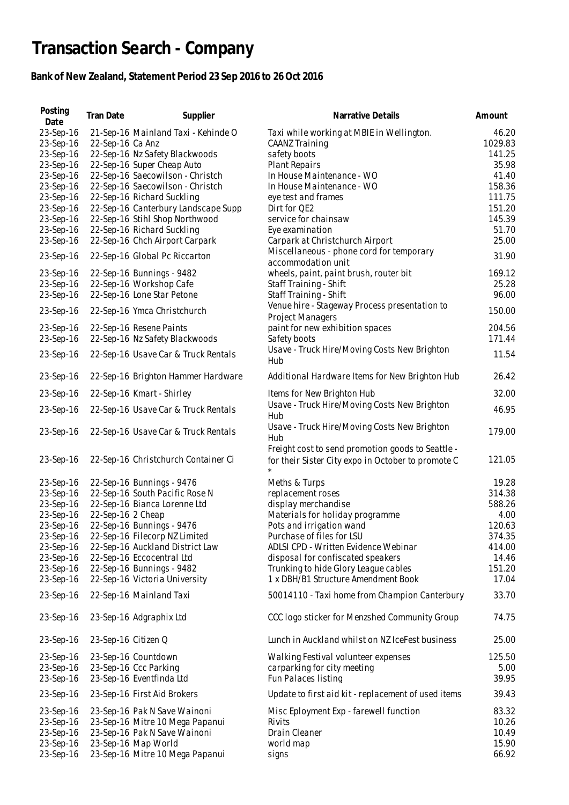## **Transaction Search - Company**

## **Bank of New Zealand, Statement Period 23 Sep 2016 to 26 Oct 2016**

| Posting<br>Date        | Tran Date           | Supplier                                          | Narrative Details                                                                                       | Amount  |
|------------------------|---------------------|---------------------------------------------------|---------------------------------------------------------------------------------------------------------|---------|
|                        |                     |                                                   |                                                                                                         |         |
| 23-Sep-16              |                     | 21-Sep-16 Mainland Taxi - Kehinde O               | Taxi while working at MBIE in Wellington.                                                               | 46.20   |
| 23-Sep-16              | 22-Sep-16 Ca Anz    |                                                   | <b>CAANZ Training</b>                                                                                   | 1029.83 |
| 23-Sep-16              |                     | 22-Sep-16 Nz Safety Blackwoods                    | safety boots                                                                                            | 141.25  |
| 23-Sep-16              |                     | 22-Sep-16 Super Cheap Auto                        | <b>Plant Repairs</b>                                                                                    | 35.98   |
| 23-Sep-16              |                     | 22-Sep-16 Saecowilson - Christch                  | In House Maintenance - WO                                                                               | 41.40   |
| 23-Sep-16              |                     | 22-Sep-16 Saecowilson - Christch                  | In House Maintenance - WO                                                                               | 158.36  |
| 23-Sep-16              |                     | 22-Sep-16 Richard Suckling                        | eye test and frames                                                                                     | 111.75  |
| 23-Sep-16              |                     | 22-Sep-16 Canterbury Landscape Supp               | Dirt for QE2                                                                                            | 151.20  |
| 23-Sep-16              |                     | 22-Sep-16 Stihl Shop Northwood                    | service for chainsaw                                                                                    | 145.39  |
| 23-Sep-16              |                     | 22-Sep-16 Richard Suckling                        | Eye examination                                                                                         | 51.70   |
| 23-Sep-16              |                     | 22-Sep-16 Chch Airport Carpark                    | Carpark at Christchurch Airport                                                                         | 25.00   |
| 23-Sep-16              |                     | 22-Sep-16 Global Pc Riccarton                     | Miscellaneous - phone cord for temporary                                                                | 31.90   |
|                        |                     |                                                   | accommodation unit                                                                                      |         |
| 23-Sep-16              |                     | 22-Sep-16 Bunnings - 9482                         | wheels, paint, paint brush, router bit                                                                  | 169.12  |
| 23-Sep-16              |                     | 22-Sep-16 Workshop Cafe                           | Staff Training - Shift                                                                                  | 25.28   |
| 23-Sep-16              |                     | 22-Sep-16 Lone Star Petone                        | Staff Training - Shift                                                                                  | 96.00   |
| 23-Sep-16              |                     | 22-Sep-16 Ymca Christchurch                       | Venue hire - Stageway Process presentation to<br>Project Managers                                       | 150.00  |
| 23-Sep-16              |                     | 22-Sep-16 Resene Paints                           | paint for new exhibition spaces                                                                         | 204.56  |
| 23-Sep-16              |                     | 22-Sep-16 Nz Safety Blackwoods                    | Safety boots                                                                                            | 171.44  |
|                        |                     |                                                   | Usave - Truck Hire/Moving Costs New Brighton                                                            |         |
| 23-Sep-16              |                     | 22-Sep-16 Usave Car & Truck Rentals               | Hub                                                                                                     | 11.54   |
| 23-Sep-16              |                     | 22-Sep-16 Brighton Hammer Hardware                | Additional Hardware Items for New Brighton Hub                                                          | 26.42   |
| 23-Sep-16              |                     | 22-Sep-16 Kmart - Shirley                         | Items for New Brighton Hub<br>Usave - Truck Hire/Moving Costs New Brighton                              | 32.00   |
| 23-Sep-16              |                     | 22-Sep-16 Usave Car & Truck Rentals               | Hub                                                                                                     | 46.95   |
| 23-Sep-16              |                     | 22-Sep-16 Usave Car & Truck Rentals               | Usave - Truck Hire/Moving Costs New Brighton<br>Hub                                                     | 179.00  |
| 23-Sep-16              |                     | 22-Sep-16 Christchurch Container Ci               | Freight cost to send promotion goods to Seattle -<br>for their Sister City expo in October to promote C | 121.05  |
| 23-Sep-16              |                     | 22-Sep-16 Bunnings - 9476                         | Meths & Turps                                                                                           | 19.28   |
| 23-Sep-16              |                     | 22-Sep-16 South Pacific Rose N                    | replacement roses                                                                                       | 314.38  |
|                        |                     |                                                   |                                                                                                         |         |
| 23-Sep-16              |                     | 22-Sep-16 Bianca Lorenne Ltd                      | display merchandise                                                                                     | 588.26  |
| 23-Sep-16              | 22-Sep-16 2 Cheap   |                                                   | Materials for holiday programme                                                                         | 4.00    |
| 23-Sep-16              |                     | 22-Sep-16 Bunnings - 9476                         | Pots and irrigation wand                                                                                | 120.63  |
| 23-Sep-16              |                     | 22-Sep-16 Filecorp NZ Limited                     | Purchase of files for LSU                                                                               | 374.35  |
| 23-Sep-16              |                     | 22-Sep-16 Auckland District Law                   | ADLSI CPD - Written Evidence Webinar                                                                    | 414.00  |
| 23-Sep-16              |                     | 22-Sep-16 Eccocentral Ltd                         | disposal for confiscated speakers                                                                       | 14.46   |
| 23-Sep-16              |                     | 22-Sep-16 Bunnings - 9482                         | Trunking to hide Glory League cables                                                                    | 151.20  |
| 23-Sep-16              |                     | 22-Sep-16 Victoria University                     | 1 x DBH/B1 Structure Amendment Book                                                                     | 17.04   |
| 23-Sep-16              |                     | 22-Sep-16 Mainland Taxi                           | 50014110 - Taxi home from Champion Canterbury                                                           | 33.70   |
| 23-Sep-16              |                     | 23-Sep-16 Adgraphix Ltd                           | CCC logo sticker for Menzshed Community Group                                                           | 74.75   |
| 23-Sep-16              | 23-Sep-16 Citizen Q |                                                   | Lunch in Auckland whilst on NZ IceFest business                                                         | 25.00   |
| 23-Sep-16              |                     | 23-Sep-16 Countdown                               | Walking Festival volunteer expenses                                                                     | 125.50  |
|                        |                     |                                                   |                                                                                                         | 5.00    |
| 23-Sep-16<br>23-Sep-16 |                     | 23-Sep-16 Ccc Parking<br>23-Sep-16 Eventfinda Ltd | carparking for city meeting<br>Fun Palaces listing                                                      | 39.95   |
| 23-Sep-16              |                     | 23-Sep-16 First Aid Brokers                       | Update to first aid kit - replacement of used items                                                     | 39.43   |
| 23-Sep-16              |                     | 23-Sep-16 Pak N Save Wainoni                      | Misc Eployment Exp - farewell function                                                                  | 83.32   |
| 23-Sep-16              |                     | 23-Sep-16 Mitre 10 Mega Papanui                   | Rivits                                                                                                  | 10.26   |
| 23-Sep-16              |                     | 23-Sep-16 Pak N Save Wainoni                      | Drain Cleaner                                                                                           | 10.49   |
| 23-Sep-16              |                     | 23-Sep-16 Map World                               | world map                                                                                               | 15.90   |
| 23-Sep-16              |                     | 23-Sep-16 Mitre 10 Mega Papanui                   | signs                                                                                                   | 66.92   |
|                        |                     |                                                   |                                                                                                         |         |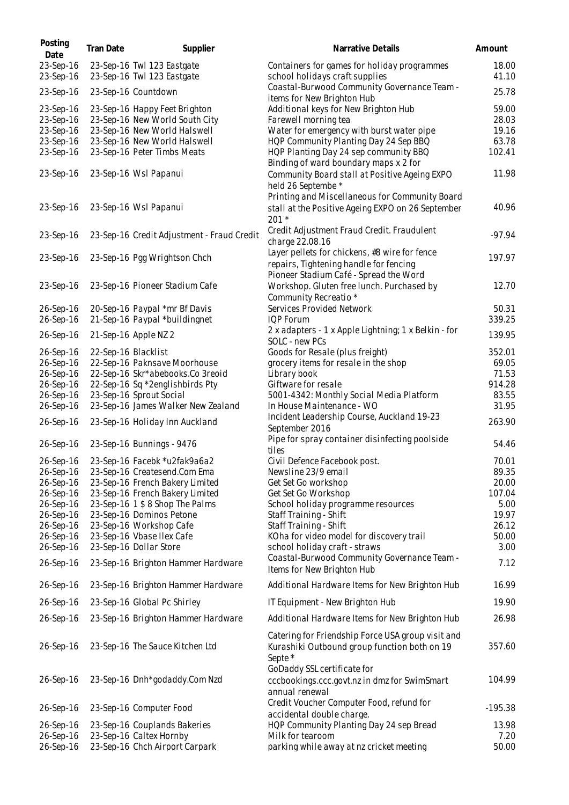| Posting<br>Date        | Tran Date | Supplier                                                 | Narrative Details                                                                                                                           | Amount         |
|------------------------|-----------|----------------------------------------------------------|---------------------------------------------------------------------------------------------------------------------------------------------|----------------|
| 23-Sep-16<br>23-Sep-16 |           | 23-Sep-16 Twl 123 Eastgate<br>23-Sep-16 Twl 123 Eastgate | Containers for games for holiday programmes<br>school holidays craft supplies                                                               | 18.00<br>41.10 |
| 23-Sep-16              |           | 23-Sep-16 Countdown                                      | Coastal-Burwood Community Governance Team -                                                                                                 | 25.78          |
|                        |           |                                                          | items for New Brighton Hub                                                                                                                  |                |
| 23-Sep-16              |           | 23-Sep-16 Happy Feet Brighton                            | Additional keys for New Brighton Hub                                                                                                        | 59.00          |
| 23-Sep-16              |           | 23-Sep-16 New World South City                           | Farewell morning tea                                                                                                                        | 28.03          |
| 23-Sep-16              |           | 23-Sep-16 New World Halswell                             | Water for emergency with burst water pipe                                                                                                   | 19.16          |
| 23-Sep-16              |           | 23-Sep-16 New World Halswell                             | HQP Community Planting Day 24 Sep BBQ                                                                                                       | 63.78          |
| 23-Sep-16              |           | 23-Sep-16 Peter Timbs Meats                              | HQP Planting Day 24 sep community BBQ<br>Binding of ward boundary maps x 2 for                                                              | 102.41         |
| 23-Sep-16              |           | 23-Sep-16 Wsl Papanui                                    | Community Board stall at Positive Ageing EXPO<br>held 26 Septembe *                                                                         | 11.98          |
| 23-Sep-16              |           | 23-Sep-16 Wsl Papanui                                    | Printing and Miscellaneous for Community Board<br>stall at the Positive Ageing EXPO on 26 September<br>$201 *$                              | 40.96          |
| 23-Sep-16              |           | 23-Sep-16 Credit Adjustment - Fraud Credit               | Credit Adjustment Fraud Credit. Fraudulent<br>charge 22.08.16                                                                               | $-97.94$       |
| 23-Sep-16              |           | 23-Sep-16 Pgg Wrightson Chch                             | Layer pellets for chickens, #8 wire for fence<br>repairs, Tightening handle for fencing                                                     | 197.97         |
|                        |           |                                                          | Pioneer Stadium Café - Spread the Word                                                                                                      |                |
|                        |           |                                                          |                                                                                                                                             | 12.70          |
| 23-Sep-16              |           | 23-Sep-16 Pioneer Stadium Cafe                           | Workshop. Gluten free lunch. Purchased by                                                                                                   |                |
|                        |           |                                                          | Community Recreatio *                                                                                                                       |                |
| 26-Sep-16              |           | 20-Sep-16 Paypal *mr Bf Davis                            | Services Provided Network                                                                                                                   | 50.31          |
| 26-Sep-16              |           | 21-Sep-16 Paypal *buildingnet                            | <b>IQP Forum</b>                                                                                                                            | 339.25         |
| 26-Sep-16              |           | 21-Sep-16 Apple NZ 2                                     | 2 x adapters - 1 x Apple Lightning; 1 x Belkin - for<br>SOLC - new PCs                                                                      | 139.95         |
| 26-Sep-16              |           | 22-Sep-16 Blacklist                                      | Goods for Resale (plus freight)                                                                                                             | 352.01         |
| 26-Sep-16              |           | 22-Sep-16 Paknsave Moorhouse                             | grocery items for resale in the shop                                                                                                        | 69.05          |
| 26-Sep-16              |           | 22-Sep-16 Skr*abebooks.Co 3reoid                         | Library book                                                                                                                                | 71.53          |
| 26-Sep-16              |           | 22-Sep-16 Sq *2englishbirds Pty                          | Giftware for resale                                                                                                                         | 914.28         |
| 26-Sep-16              |           | 23-Sep-16 Sprout Social                                  | 5001-4342: Monthly Social Media Platform                                                                                                    | 83.55          |
| 26-Sep-16              |           | 23-Sep-16 James Walker New Zealand                       | In House Maintenance - WO                                                                                                                   | 31.95          |
|                        |           |                                                          | Incident Leadership Course, Auckland 19-23                                                                                                  |                |
| 26-Sep-16              |           | 23-Sep-16 Holiday Inn Auckland                           | September 2016                                                                                                                              | 263.90         |
| 26-Sep-16              |           | 23-Sep-16 Bunnings - 9476                                | Pipe for spray container disinfecting poolside<br>tiles                                                                                     | 54.46          |
| 26-Sep-16              |           | 23-Sep-16 Facebk *u2fak9a6a2                             | Civil Defence Facebook post.                                                                                                                | 70.01          |
| 26-Sep-16              |           | 23-Sep-16 Createsend.Com Ema                             | Newsline 23/9 email                                                                                                                         | 89.35          |
| 26-Sep-16              |           | 23-Sep-16 French Bakery Limited                          | Get Set Go workshop                                                                                                                         | 20.00          |
| 26-Sep-16              |           | 23-Sep-16 French Bakery Limited                          | Get Set Go Workshop                                                                                                                         | 107.04         |
| 26-Sep-16              |           | 23-Sep-16 1 \$ 8 Shop The Palms                          | School holiday programme resources                                                                                                          | 5.00           |
| 26-Sep-16              |           | 23-Sep-16 Dominos Petone                                 | Staff Training - Shift                                                                                                                      | 19.97          |
| 26-Sep-16              |           | 23-Sep-16 Workshop Cafe                                  | Staff Training - Shift                                                                                                                      | 26.12          |
| 26-Sep-16              |           | 23-Sep-16 Vbase Ilex Cafe                                | KOha for video model for discovery trail                                                                                                    | 50.00          |
| 26-Sep-16              |           | 23-Sep-16 Dollar Store                                   | school holiday craft - straws                                                                                                               | 3.00           |
| 26-Sep-16              |           | 23-Sep-16 Brighton Hammer Hardware                       | Coastal-Burwood Community Governance Team -<br>Items for New Brighton Hub                                                                   | 7.12           |
| 26-Sep-16              |           | 23-Sep-16 Brighton Hammer Hardware                       | Additional Hardware Items for New Brighton Hub                                                                                              | 16.99          |
| 26-Sep-16              |           | 23-Sep-16 Global Pc Shirley                              | IT Equipment - New Brighton Hub                                                                                                             | 19.90          |
| 26-Sep-16              |           | 23-Sep-16 Brighton Hammer Hardware                       | Additional Hardware Items for New Brighton Hub                                                                                              | 26.98          |
|                        |           |                                                          |                                                                                                                                             |                |
| 26-Sep-16              |           | 23-Sep-16 The Sauce Kitchen Ltd                          | Catering for Friendship Force USA group visit and<br>Kurashiki Outbound group function both on 19<br>Septe *<br>GoDaddy SSL certificate for | 357.60         |
| 26-Sep-16              |           | 23-Sep-16 Dnh*godaddy.Com Nzd                            | cccbookings.ccc.govt.nz in dmz for SwimSmart<br>annual renewal                                                                              | 104.99         |
| 26-Sep-16              |           | 23-Sep-16 Computer Food                                  | Credit Voucher Computer Food, refund for<br>accidental double charge.                                                                       | $-195.38$      |
| 26-Sep-16              |           | 23-Sep-16 Couplands Bakeries                             | HQP Community Planting Day 24 sep Bread                                                                                                     | 13.98          |
| 26-Sep-16              |           | 23-Sep-16 Caltex Hornby                                  | Milk for tearoom                                                                                                                            | 7.20           |
| 26-Sep-16              |           | 23-Sep-16 Chch Airport Carpark                           | parking while away at nz cricket meeting                                                                                                    | 50.00          |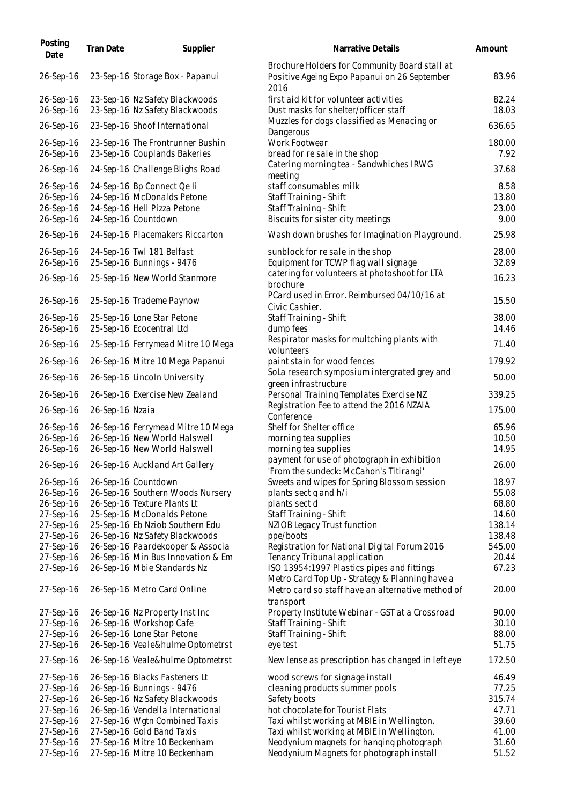| Posting<br>Date        | <b>Tran Date</b> | Supplier                                                         | Narrative Details                                                                                     | Amount         |
|------------------------|------------------|------------------------------------------------------------------|-------------------------------------------------------------------------------------------------------|----------------|
| 26-Sep-16              |                  | 23-Sep-16 Storage Box - Papanui                                  | Brochure Holders for Community Board stall at<br>Positive Ageing Expo Papanui on 26 September<br>2016 | 83.96          |
| 26-Sep-16<br>26-Sep-16 |                  | 23-Sep-16 Nz Safety Blackwoods<br>23-Sep-16 Nz Safety Blackwoods | first aid kit for volunteer activities<br>Dust masks for shelter/officer staff                        | 82.24<br>18.03 |
| 26-Sep-16              |                  | 23-Sep-16 Shoof International                                    | Muzzles for dogs classified as Menacing or<br>Dangerous                                               | 636.65         |
| 26-Sep-16<br>26-Sep-16 |                  | 23-Sep-16 The Frontrunner Bushin<br>23-Sep-16 Couplands Bakeries | Work Footwear<br>bread for re sale in the shop                                                        | 180.00<br>7.92 |
| 26-Sep-16              |                  | 24-Sep-16 Challenge Blighs Road                                  | Catering morning tea - Sandwhiches IRWG<br>meeting                                                    | 37.68          |
| 26-Sep-16<br>26-Sep-16 |                  | 24-Sep-16 Bp Connect Qe li<br>24-Sep-16 McDonalds Petone         | staff consumables milk<br>Staff Training - Shift                                                      | 8.58<br>13.80  |
| 26-Sep-16              |                  | 24-Sep-16 Hell Pizza Petone                                      | Staff Training - Shift                                                                                | 23.00          |
| 26-Sep-16              |                  | 24-Sep-16 Countdown                                              | Biscuits for sister city meetings                                                                     | 9.00           |
| 26-Sep-16              |                  | 24-Sep-16 Placemakers Riccarton                                  | Wash down brushes for Imagination Playground.                                                         | 25.98          |
| 26-Sep-16              |                  | 24-Sep-16 Twl 181 Belfast                                        | sunblock for resale in the shop                                                                       | 28.00          |
| 26-Sep-16              |                  | 25-Sep-16 Bunnings - 9476                                        | Equipment for TCWP flag wall signage                                                                  | 32.89          |
| 26-Sep-16              |                  | 25-Sep-16 New World Stanmore                                     | catering for volunteers at photoshoot for LTA                                                         | 16.23          |
|                        |                  |                                                                  | brochure                                                                                              |                |
| 26-Sep-16              |                  | 25-Sep-16 Trademe Paynow                                         | PCard used in Error. Reimbursed 04/10/16 at<br>Civic Cashier.                                         | 15.50          |
| 26-Sep-16              |                  | 25-Sep-16 Lone Star Petone                                       | Staff Training - Shift                                                                                | 38.00          |
| 26-Sep-16              |                  | 25-Sep-16 Ecocentral Ltd                                         | dump fees                                                                                             | 14.46          |
| 26-Sep-16              |                  | 25-Sep-16 Ferrymead Mitre 10 Mega                                | Respirator masks for multching plants with<br>volunteers                                              | 71.40          |
| 26-Sep-16              |                  | 26-Sep-16 Mitre 10 Mega Papanui                                  | paint stain for wood fences                                                                           | 179.92         |
| 26-Sep-16              |                  | 26-Sep-16 Lincoln University                                     | SoLa research symposium intergrated grey and<br>green infrastructure                                  | 50.00          |
| 26-Sep-16              |                  | 26-Sep-16 Exercise New Zealand                                   | Personal Training Templates Exercise NZ                                                               | 339.25         |
| 26-Sep-16              | 26-Sep-16 Nzaia  |                                                                  | Registration Fee to attend the 2016 NZAIA<br>Conference                                               | 175.00         |
| 26-Sep-16              |                  | 26-Sep-16 Ferrymead Mitre 10 Mega                                | Shelf for Shelter office                                                                              | 65.96          |
| 26-Sep-16              |                  | 26-Sep-16 New World Halswell                                     | morning tea supplies                                                                                  | 10.50          |
| 26-Sep-16              |                  | 26-Sep-16 New World Halswell                                     | morning tea supplies                                                                                  | 14.95          |
| 26-Sep-16              |                  | 26-Sep-16 Auckland Art Gallery                                   | payment for use of photograph in exhibition<br>'From the sundeck: McCahon's Titirangi'                | 26.00          |
| 26-Sep-16              |                  | 26-Sep-16 Countdown                                              | Sweets and wipes for Spring Blossom session                                                           | 18.97          |
| 26-Sep-16              |                  | 26-Sep-16 Southern Woods Nursery                                 | plants sect g and h/i                                                                                 | 55.08          |
| 26-Sep-16              |                  | 26-Sep-16 Texture Plants Lt                                      | plants sect d                                                                                         | 68.80          |
| 27-Sep-16              |                  | 25-Sep-16 McDonalds Petone                                       | Staff Training - Shift                                                                                | 14.60          |
| 27-Sep-16              |                  | 25-Sep-16 Eb Nziob Southern Edu                                  | NZIOB Legacy Trust function                                                                           | 138.14         |
| 27-Sep-16              |                  | 26-Sep-16 Nz Safety Blackwoods                                   | ppe/boots                                                                                             | 138.48         |
| 27-Sep-16              |                  | 26-Sep-16 Paardekooper & Associa                                 | Registration for National Digital Forum 2016                                                          | 545.00         |
| 27-Sep-16<br>27-Sep-16 |                  | 26-Sep-16 Min Bus Innovation & Em                                | Tenancy Tribunal application                                                                          | 20.44<br>67.23 |
|                        |                  | 26-Sep-16 Mbie Standards Nz                                      | ISO 13954:1997 Plastics pipes and fittings<br>Metro Card Top Up - Strategy & Planning have a          |                |
| 27-Sep-16              |                  | 26-Sep-16 Metro Card Online                                      | Metro card so staff have an alternative method of<br>transport                                        | 20.00          |
| 27-Sep-16              |                  | 26-Sep-16 Nz Property Inst Inc                                   | Property Institute Webinar - GST at a Crossroad                                                       | 90.00          |
| 27-Sep-16              |                  | 26-Sep-16 Workshop Cafe                                          | Staff Training - Shift                                                                                | 30.10          |
| 27-Sep-16              |                  | 26-Sep-16 Lone Star Petone                                       | Staff Training - Shift                                                                                | 88.00          |
| 27-Sep-16              |                  | 26-Sep-16 Veale&hulme Optometrst                                 | eye test                                                                                              | 51.75          |
| 27-Sep-16              |                  | 26-Sep-16 Veale&hulme Optometrst                                 | New lense as prescription has changed in left eye                                                     | 172.50         |
| 27-Sep-16              |                  | 26-Sep-16 Blacks Fasteners Lt                                    | wood screws for signage install                                                                       | 46.49          |
| 27-Sep-16              |                  | 26-Sep-16 Bunnings - 9476                                        | cleaning products summer pools                                                                        | 77.25          |
| 27-Sep-16              |                  | 26-Sep-16 Nz Safety Blackwoods                                   | Safety boots                                                                                          | 315.74         |
| 27-Sep-16              |                  | 26-Sep-16 Vendella International                                 | hot chocolate for Tourist Flats                                                                       | 47.71          |
| 27-Sep-16              |                  | 27-Sep-16 Wgtn Combined Taxis                                    | Taxi whilst working at MBIE in Wellington.                                                            | 39.60          |
| 27-Sep-16              |                  | 27-Sep-16 Gold Band Taxis                                        | Taxi whilst working at MBIE in Wellington.                                                            | 41.00          |
| 27-Sep-16              |                  | 27-Sep-16 Mitre 10 Beckenham                                     | Neodynium magnets for hanging photograph                                                              | 31.60          |
| 27-Sep-16              |                  | 27-Sep-16 Mitre 10 Beckenham                                     | Neodynium Magnets for photograph install                                                              | 51.52          |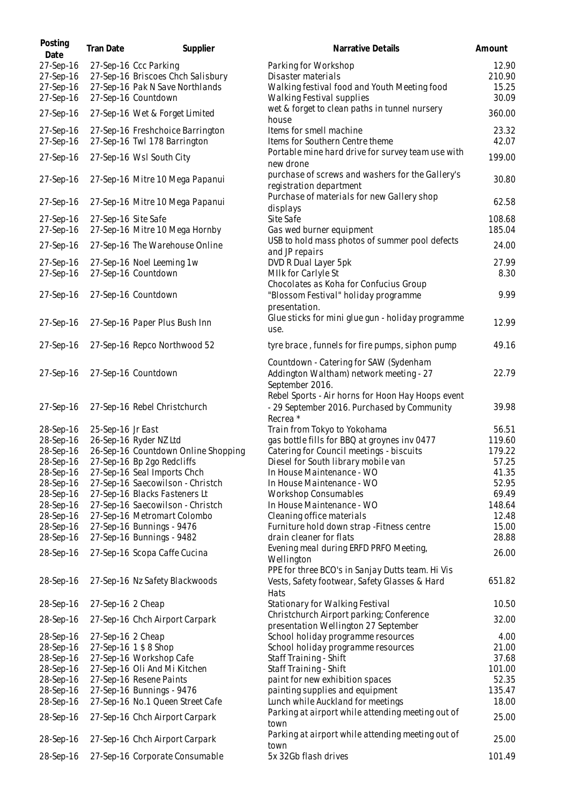| Posting<br>Date        | <b>Tran Date</b>    | Supplier                                                      | Narrative Details                                                                | Amount           |
|------------------------|---------------------|---------------------------------------------------------------|----------------------------------------------------------------------------------|------------------|
| 27-Sep-16              |                     | 27-Sep-16 Ccc Parking                                         | Parking for Workshop                                                             | 12.90            |
| 27-Sep-16              |                     | 27-Sep-16 Briscoes Chch Salisbury                             | Disaster materials                                                               | 210.90           |
| 27-Sep-16              |                     | 27-Sep-16 Pak N Save Northlands                               | Walking festival food and Youth Meeting food                                     | 15.25            |
| 27-Sep-16              |                     | 27-Sep-16 Countdown                                           | Walking Festival supplies                                                        | 30.09            |
| 27-Sep-16              |                     | 27-Sep-16 Wet & Forget Limited                                | wet & forget to clean paths in tunnel nursery<br>house                           | 360.00           |
| 27-Sep-16              |                     | 27-Sep-16 Freshchoice Barrington                              | Items for smell machine                                                          | 23.32            |
| 27-Sep-16              |                     | 27-Sep-16 Twl 178 Barrington                                  | Items for Southern Centre theme                                                  | 42.07            |
| 27-Sep-16              |                     | 27-Sep-16 Wsl South City                                      | Portable mine hard drive for survey team use with                                | 199.00           |
|                        |                     |                                                               | new drone                                                                        |                  |
| 27-Sep-16              |                     | 27-Sep-16 Mitre 10 Mega Papanui                               | purchase of screws and washers for the Gallery's<br>registration department      | 30.80            |
| 27-Sep-16              |                     | 27-Sep-16 Mitre 10 Mega Papanui                               | Purchase of materials for new Gallery shop<br>displays                           | 62.58            |
| 27-Sep-16              | 27-Sep-16 Site Safe |                                                               | Site Safe                                                                        | 108.68           |
| 27-Sep-16              |                     | 27-Sep-16 Mitre 10 Mega Hornby                                | Gas wed burner equipment                                                         | 185.04           |
| 27-Sep-16              |                     | 27-Sep-16 The Warehouse Online                                | USB to hold mass photos of summer pool defects                                   | 24.00            |
|                        |                     |                                                               | and JP repairs                                                                   |                  |
| 27-Sep-16              |                     | 27-Sep-16 Noel Leeming 1w                                     | DVD R Dual Layer 5pk                                                             | 27.99            |
| 27-Sep-16              |                     | 27-Sep-16 Countdown                                           | MIIk for Carlyle St                                                              | 8.30             |
|                        |                     |                                                               | Chocolates as Koha for Confucius Group                                           |                  |
| 27-Sep-16              |                     | 27-Sep-16 Countdown                                           | "Blossom Festival" holiday programme                                             | 9.99             |
|                        |                     |                                                               | presentation.                                                                    |                  |
| 27-Sep-16              |                     | 27-Sep-16 Paper Plus Bush Inn                                 | Glue sticks for mini glue gun - holiday programme                                | 12.99            |
|                        |                     |                                                               | use.                                                                             |                  |
| 27-Sep-16              |                     | 27-Sep-16 Repco Northwood 52                                  | tyre brace, funnels for fire pumps, siphon pump                                  | 49.16            |
|                        |                     |                                                               | Countdown - Catering for SAW (Sydenham                                           |                  |
| 27-Sep-16              |                     | 27-Sep-16 Countdown                                           | Addington Waltham) network meeting - 27                                          | 22.79            |
|                        |                     |                                                               | September 2016.                                                                  |                  |
|                        |                     |                                                               | Rebel Sports - Air horns for Hoon Hay Hoops event                                |                  |
| 27-Sep-16              |                     | 27-Sep-16 Rebel Christchurch                                  | - 29 September 2016. Purchased by Community                                      | 39.98            |
|                        |                     |                                                               | Recrea *                                                                         |                  |
| 28-Sep-16              | 25-Sep-16 Jr East   |                                                               | Train from Tokyo to Yokohama                                                     | 56.51            |
| 28-Sep-16<br>28-Sep-16 |                     | 26-Sep-16 Ryder NZ Ltd<br>26-Sep-16 Countdown Online Shopping | gas bottle fills for BBQ at groynes inv 0477                                     | 119.60<br>179.22 |
| 28-Sep-16              |                     | 27-Sep-16 Bp 2go Redcliffs                                    | Catering for Council meetings - biscuits<br>Diesel for South library mobile van  | 57.25            |
| 28-Sep-16              |                     | 27-Sep-16 Seal Imports Chch                                   | In House Maintenance - WO                                                        | 41.35            |
| 28-Sep-16              |                     | 27-Sep-16 Saecowilson - Christch                              | In House Maintenance - WO                                                        | 52.95            |
| 28-Sep-16              |                     | 27-Sep-16 Blacks Fasteners Lt                                 | <b>Workshop Consumables</b>                                                      | 69.49            |
| 28-Sep-16              |                     | 27-Sep-16 Saecowilson - Christch                              | In House Maintenance - WO                                                        | 148.64           |
| 28-Sep-16              |                     | 27-Sep-16 Metromart Colombo                                   | Cleaning office materials                                                        | 12.48            |
| 28-Sep-16              |                     | 27-Sep-16 Bunnings - 9476                                     | Furniture hold down strap - Fitness centre                                       | 15.00            |
| 28-Sep-16              |                     | 27-Sep-16 Bunnings - 9482                                     | drain cleaner for flats                                                          | 28.88            |
| 28-Sep-16              |                     | 27-Sep-16 Scopa Caffe Cucina                                  | Evening meal during ERFD PRFO Meeting,                                           | 26.00            |
|                        |                     |                                                               | Wellington                                                                       |                  |
|                        |                     |                                                               | PPE for three BCO's in Sanjay Dutts team. Hi Vis                                 |                  |
| 28-Sep-16              |                     | 27-Sep-16 Nz Safety Blackwoods                                | Vests, Safety footwear, Safety Glasses & Hard                                    | 651.82           |
|                        |                     |                                                               | Hats                                                                             |                  |
| 28-Sep-16              | 27-Sep-16 2 Cheap   |                                                               | Stationary for Walking Festival                                                  | 10.50            |
| 28-Sep-16              |                     | 27-Sep-16 Chch Airport Carpark                                | Christchurch Airport parking; Conference<br>presentation Wellington 27 September | 32.00            |
| 28-Sep-16              | 27-Sep-16 2 Cheap   |                                                               | School holiday programme resources                                               | 4.00             |
| 28-Sep-16              |                     | 27-Sep-16 1 \$ 8 Shop                                         | School holiday programme resources                                               | 21.00            |
| 28-Sep-16              |                     | 27-Sep-16 Workshop Cafe                                       | Staff Training - Shift                                                           | 37.68            |
| 28-Sep-16              |                     | 27-Sep-16 Oli And Mi Kitchen                                  | Staff Training - Shift                                                           | 101.00           |
| 28-Sep-16              |                     | 27-Sep-16 Resene Paints                                       | paint for new exhibition spaces                                                  | 52.35            |
| 28-Sep-16              |                     | 27-Sep-16 Bunnings - 9476                                     | painting supplies and equipment                                                  | 135.47           |
| 28-Sep-16              |                     | 27-Sep-16 No.1 Queen Street Cafe                              | Lunch while Auckland for meetings                                                | 18.00            |
| 28-Sep-16              |                     | 27-Sep-16 Chch Airport Carpark                                | Parking at airport while attending meeting out of<br>town                        | 25.00            |
| 28-Sep-16              |                     | 27-Sep-16 Chch Airport Carpark                                | Parking at airport while attending meeting out of                                | 25.00            |
| 28-Sep-16              |                     | 27-Sep-16 Corporate Consumable                                | town<br>5x 32Gb flash drives                                                     | 101.49           |
|                        |                     |                                                               |                                                                                  |                  |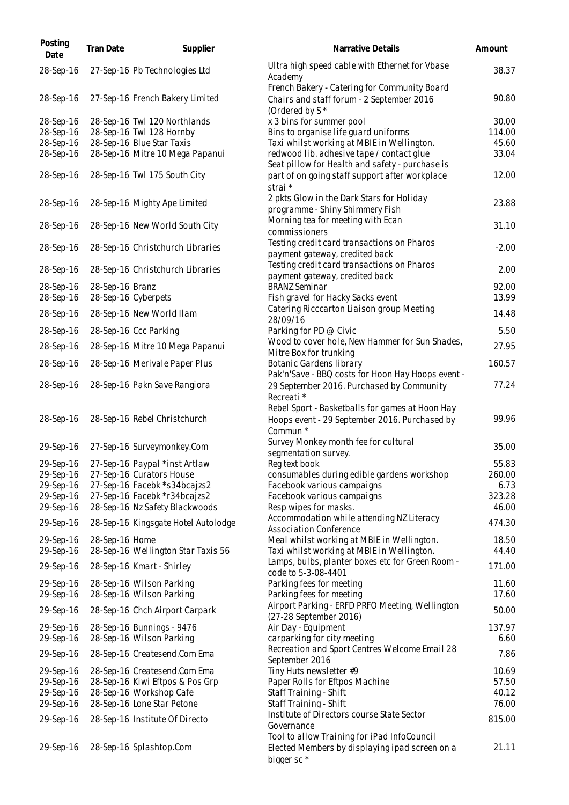| Posting<br>Date        | <b>Tran Date</b> | Supplier                                              | Narrative Details                                                                                                       | Amount  |
|------------------------|------------------|-------------------------------------------------------|-------------------------------------------------------------------------------------------------------------------------|---------|
| 28-Sep-16              |                  | 27-Sep-16 Pb Technologies Ltd                         | Ultra high speed cable with Ethernet for Vbase<br>Academy                                                               | 38.37   |
| 28-Sep-16              |                  | 27-Sep-16 French Bakery Limited                       | French Bakery - Catering for Community Board<br>Chairs and staff forum - 2 September 2016<br>(Ordered by S <sup>*</sup> | 90.80   |
| 28-Sep-16              |                  | 28-Sep-16 Twl 120 Northlands                          | x 3 bins for summer pool                                                                                                | 30.00   |
| 28-Sep-16              |                  | 28-Sep-16 Twl 128 Hornby                              | Bins to organise life guard uniforms                                                                                    | 114.00  |
| 28-Sep-16              |                  | 28-Sep-16 Blue Star Taxis                             | Taxi whilst working at MBIE in Wellington.                                                                              | 45.60   |
| 28-Sep-16              |                  | 28-Sep-16 Mitre 10 Mega Papanui                       | redwood lib. adhesive tape / contact glue                                                                               | 33.04   |
| 28-Sep-16              |                  | 28-Sep-16 Twl 175 South City                          | Seat pillow for Health and safety - purchase is<br>part of on going staff support after workplace                       | 12.00   |
| 28-Sep-16              |                  | 28-Sep-16 Mighty Ape Limited                          | strai *<br>2 pkts Glow in the Dark Stars for Holiday<br>programme - Shiny Shimmery Fish                                 | 23.88   |
| 28-Sep-16              |                  | 28-Sep-16 New World South City                        | Morning tea for meeting with Ecan<br>commissioners                                                                      | 31.10   |
| 28-Sep-16              |                  | 28-Sep-16 Christchurch Libraries                      | Testing credit card transactions on Pharos<br>payment gateway, credited back                                            | $-2.00$ |
| 28-Sep-16              |                  | 28-Sep-16 Christchurch Libraries                      | Testing credit card transactions on Pharos                                                                              | 2.00    |
|                        |                  |                                                       | payment gateway, credited back                                                                                          |         |
| 28-Sep-16              | 28-Sep-16 Branz  |                                                       | <b>BRANZ Seminar</b>                                                                                                    | 92.00   |
| 28-Sep-16              |                  | 28-Sep-16 Cyberpets                                   | Fish gravel for Hacky Sacks event                                                                                       | 13.99   |
| 28-Sep-16              |                  | 28-Sep-16 New World Ilam                              | Catering Ricccarton Liaison group Meeting                                                                               | 14.48   |
| 28-Sep-16              |                  | 28-Sep-16 Ccc Parking                                 | 28/09/16<br>Parking for PD @ Civic                                                                                      | 5.50    |
|                        |                  |                                                       | Wood to cover hole, New Hammer for Sun Shades,                                                                          |         |
| 28-Sep-16              |                  | 28-Sep-16 Mitre 10 Mega Papanui                       | Mitre Box for trunking                                                                                                  | 27.95   |
| 28-Sep-16              |                  | 28-Sep-16 Merivale Paper Plus                         | Botanic Gardens library<br>Pak'n'Save - BBQ costs for Hoon Hay Hoops event -                                            | 160.57  |
| 28-Sep-16              |                  | 28-Sep-16 Pakn Save Rangiora                          | 29 September 2016. Purchased by Community<br>Recreati *                                                                 | 77.24   |
| 28-Sep-16              |                  | 28-Sep-16 Rebel Christchurch                          | Rebel Sport - Basketballs for games at Hoon Hay<br>Hoops event - 29 September 2016. Purchased by<br>Commun *            | 99.96   |
| 29-Sep-16              |                  | 27-Sep-16 Surveymonkey.Com                            | Survey Monkey month fee for cultural<br>segmentation survey.                                                            | 35.00   |
|                        |                  | 29-Sep-16 27-Sep-16 Paypal *inst Artlaw               | Reg text book                                                                                                           | 55.83   |
| 29-Sep-16              |                  | 27-Sep-16 Curators House                              | consumables during edible gardens workshop                                                                              | 260.00  |
| 29-Sep-16              |                  | 27-Sep-16 Facebk *s34bcajzs2                          | Facebook various campaigns                                                                                              | 6.73    |
| 29-Sep-16              |                  | 27-Sep-16 Facebk *r34bcajzs2                          | Facebook various campaigns                                                                                              | 323.28  |
| 29-Sep-16              |                  | 28-Sep-16 Nz Safety Blackwoods                        | Resp wipes for masks.                                                                                                   | 46.00   |
| 29-Sep-16              |                  | 28-Sep-16 Kingsgate Hotel Autolodge                   | Accommodation while attending NZ Literacy<br><b>Association Conference</b>                                              | 474.30  |
| 29-Sep-16              | 28-Sep-16 Home   |                                                       | Meal whilst working at MBIE in Wellington.                                                                              | 18.50   |
| 29-Sep-16              |                  | 28-Sep-16 Wellington Star Taxis 56                    | Taxi whilst working at MBIE in Wellington.                                                                              | 44.40   |
| 29-Sep-16              |                  | 28-Sep-16 Kmart - Shirley                             | Lamps, bulbs, planter boxes etc for Green Room -<br>code to 5-3-08-4401                                                 | 171.00  |
| 29-Sep-16              |                  | 28-Sep-16 Wilson Parking                              | Parking fees for meeting                                                                                                | 11.60   |
| 29-Sep-16              |                  | 28-Sep-16 Wilson Parking                              | Parking fees for meeting                                                                                                | 17.60   |
| 29-Sep-16              |                  | 28-Sep-16 Chch Airport Carpark                        | Airport Parking - ERFD PRFO Meeting, Wellington<br>(27-28 September 2016)                                               | 50.00   |
| 29-Sep-16              |                  | 28-Sep-16 Bunnings - 9476                             | Air Day - Equipment                                                                                                     | 137.97  |
| 29-Sep-16              |                  | 28-Sep-16 Wilson Parking                              | carparking for city meeting                                                                                             | 6.60    |
| 29-Sep-16              |                  | 28-Sep-16 Createsend.Com Ema                          | Recreation and Sport Centres Welcome Email 28<br>September 2016                                                         | 7.86    |
| 29-Sep-16              |                  | 28-Sep-16 Createsend.Com Ema                          | Tiny Huts newsletter #9                                                                                                 | 10.69   |
| 29-Sep-16              |                  | 28-Sep-16 Kiwi Eftpos & Pos Grp                       | Paper Rolls for Eftpos Machine                                                                                          | 57.50   |
| 29-Sep-16<br>29-Sep-16 |                  | 28-Sep-16 Workshop Cafe<br>28-Sep-16 Lone Star Petone | Staff Training - Shift                                                                                                  | 40.12   |
|                        |                  |                                                       | Staff Training - Shift<br>Institute of Directors course State Sector                                                    | 76.00   |
| 29-Sep-16              |                  | 28-Sep-16 Institute Of Directo                        | Governance                                                                                                              | 815.00  |
| 29-Sep-16              |                  | 28-Sep-16 Splashtop.Com                               | Tool to allow Training for iPad InfoCouncil<br>Elected Members by displaying ipad screen on a<br>bigger sc *            | 21.11   |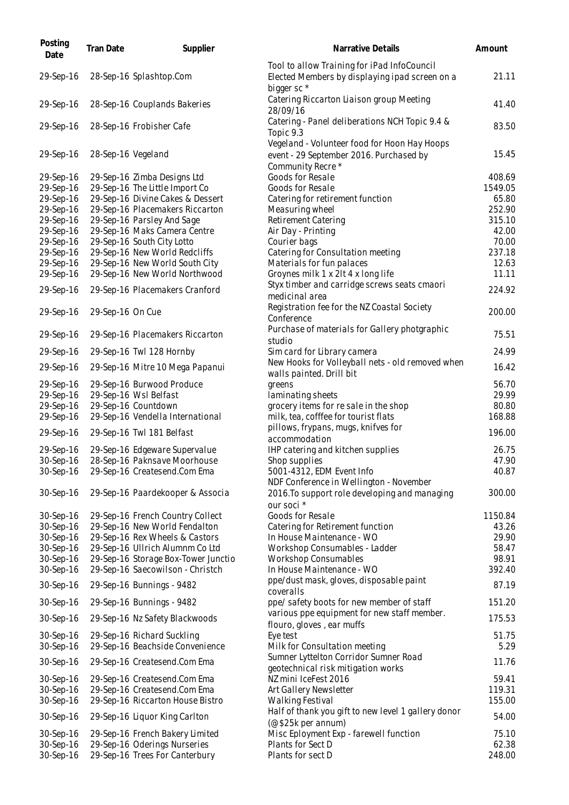| Posting<br>Date        | Tran Date          | Supplier                                                      | Narrative Details                                                                                                       | Amount        |
|------------------------|--------------------|---------------------------------------------------------------|-------------------------------------------------------------------------------------------------------------------------|---------------|
| 29-Sep-16              |                    | 28-Sep-16 Splashtop.Com                                       | Tool to allow Training for iPad InfoCouncil<br>Elected Members by displaying ipad screen on a<br>bigger sc <sup>*</sup> | 21.11         |
| 29-Sep-16              |                    | 28-Sep-16 Couplands Bakeries                                  | Catering Riccarton Liaison group Meeting<br>28/09/16                                                                    | 41.40         |
| 29-Sep-16              |                    | 28-Sep-16 Frobisher Cafe                                      | Catering - Panel deliberations NCH Topic 9.4 &<br>Topic 9.3                                                             | 83.50         |
| 29-Sep-16              | 28-Sep-16 Vegeland |                                                               | Vegeland - Volunteer food for Hoon Hay Hoops<br>event - 29 September 2016. Purchased by<br>Community Recre*             | 15.45         |
| 29-Sep-16              |                    | 29-Sep-16 Zimba Designs Ltd                                   | Goods for Resale                                                                                                        | 408.69        |
| 29-Sep-16              |                    | 29-Sep-16 The Little Import Co                                | Goods for Resale                                                                                                        | 1549.05       |
| 29-Sep-16              |                    | 29-Sep-16 Divine Cakes & Dessert                              | Catering for retirement function                                                                                        | 65.80         |
| 29-Sep-16              |                    | 29-Sep-16 Placemakers Riccarton                               | Measuring wheel                                                                                                         | 252.90        |
| 29-Sep-16              |                    | 29-Sep-16 Parsley And Sage                                    | Retirement Catering                                                                                                     | 315.10        |
| 29-Sep-16              |                    | 29-Sep-16 Maks Camera Centre                                  | Air Day - Printing                                                                                                      | 42.00         |
| 29-Sep-16              |                    | 29-Sep-16 South City Lotto                                    | Courier bags                                                                                                            | 70.00         |
| 29-Sep-16              |                    | 29-Sep-16 New World Redcliffs                                 | Catering for Consultation meeting                                                                                       | 237.18        |
| 29-Sep-16              |                    | 29-Sep-16 New World South City                                | Materials for fun palaces                                                                                               | 12.63         |
| 29-Sep-16              |                    | 29-Sep-16 New World Northwood                                 | Groynes milk 1 x 2lt 4 x long life                                                                                      | 11.11         |
| 29-Sep-16              |                    | 29-Sep-16 Placemakers Cranford                                | Styx timber and carridge screws seats cmaori<br>medicinal area                                                          | 224.92        |
| 29-Sep-16              | 29-Sep-16 On Cue   |                                                               | Registration fee for the NZ Coastal Society<br>Conference                                                               | 200.00        |
| 29-Sep-16              |                    | 29-Sep-16 Placemakers Riccarton                               | Purchase of materials for Gallery photgraphic<br>studio                                                                 | 75.51         |
| 29-Sep-16              |                    | 29-Sep-16 Twl 128 Hornby                                      | Sim card for Library camera                                                                                             | 24.99         |
| 29-Sep-16              |                    | 29-Sep-16 Mitre 10 Mega Papanui                               | New Hooks for Volleyball nets - old removed when<br>walls painted. Drill bit                                            | 16.42         |
| 29-Sep-16              |                    | 29-Sep-16 Burwood Produce                                     | greens                                                                                                                  | 56.70         |
| 29-Sep-16              |                    | 29-Sep-16 Wsl Belfast                                         | laminating sheets                                                                                                       | 29.99         |
| 29-Sep-16              |                    | 29-Sep-16 Countdown                                           | grocery items for re sale in the shop                                                                                   | 80.80         |
| 29-Sep-16              |                    | 29-Sep-16 Vendella International                              | milk, tea, cofffee for tourist flats                                                                                    | 168.88        |
| 29-Sep-16              |                    | 29-Sep-16 Twl 181 Belfast                                     | pillows, frypans, mugs, knifves for<br>accommodation                                                                    | 196.00        |
| 29-Sep-16              |                    | 29-Sep-16 Edgeware Supervalue                                 | IHP catering and kitchen supplies                                                                                       | 26.75         |
| 30-Sep-16              |                    | 28-Sep-16 Paknsave Moorhouse                                  | Shop supplies                                                                                                           | 47.90         |
| 30-Sep-16              |                    | 29-Sep-16 Createsend.Com Ema                                  | 5001-4312, EDM Event Info<br>NDF Conference in Wellington - November                                                    | 40.87         |
| 30-Sep-16              |                    | 29-Sep-16 Paardekooper & Associa                              | 2016. To support role developing and managing<br>our soci *                                                             | 300.00        |
| 30-Sep-16              |                    | 29-Sep-16 French Country Collect                              | Goods for Resale                                                                                                        | 1150.84       |
| 30-Sep-16              |                    | 29-Sep-16 New World Fendalton                                 | Catering for Retirement function                                                                                        | 43.26         |
| 30-Sep-16              |                    | 29-Sep-16 Rex Wheels & Castors                                | In House Maintenance - WO                                                                                               | 29.90         |
| 30-Sep-16              |                    | 29-Sep-16 Ullrich Alumnm Co Ltd                               | Workshop Consumables - Ladder                                                                                           | 58.47         |
| 30-Sep-16              |                    | 29-Sep-16 Storage Box-Tower Junctio                           | Workshop Consumables                                                                                                    | 98.91         |
| 30-Sep-16              |                    | 29-Sep-16 Saecowilson - Christch                              | In House Maintenance - WO                                                                                               | 392.40        |
| 30-Sep-16              |                    | 29-Sep-16 Bunnings - 9482                                     | ppe/dust mask, gloves, disposable paint<br>coveralls                                                                    | 87.19         |
| 30-Sep-16              |                    | 29-Sep-16 Bunnings - 9482                                     | ppe/ safety boots for new member of staff                                                                               | 151.20        |
| 30-Sep-16              |                    | 29-Sep-16 Nz Safety Blackwoods                                | various ppe equipment for new staff member.<br>flouro, gloves, ear muffs                                                | 175.53        |
| 30-Sep-16<br>30-Sep-16 |                    | 29-Sep-16 Richard Suckling<br>29-Sep-16 Beachside Convenience | Eye test<br>Milk for Consultation meeting                                                                               | 51.75<br>5.29 |
| 30-Sep-16              |                    | 29-Sep-16 Createsend.Com Ema                                  | Sumner Lyttelton Corridor Sumner Road                                                                                   | 11.76         |
| 30-Sep-16              |                    | 29-Sep-16 Createsend.Com Ema                                  | geotechnical risk mitigation works<br>NZ mini IceFest 2016                                                              | 59.41         |
| 30-Sep-16              |                    | 29-Sep-16 Createsend.Com Ema                                  | Art Gallery Newsletter                                                                                                  | 119.31        |
| 30-Sep-16              |                    | 29-Sep-16 Riccarton House Bistro                              | Walking Festival                                                                                                        | 155.00        |
| 30-Sep-16              |                    | 29-Sep-16 Liquor King Carlton                                 | Half of thank you gift to new level 1 gallery donor<br>(@\$25k per annum)                                               | 54.00         |
| 30-Sep-16              |                    | 29-Sep-16 French Bakery Limited                               | Misc Eployment Exp - farewell function                                                                                  | 75.10         |
| 30-Sep-16              |                    | 29-Sep-16 Oderings Nurseries                                  | Plants for Sect D                                                                                                       | 62.38         |
| 30-Sep-16              |                    | 29-Sep-16 Trees For Canterbury                                | Plants for sect D                                                                                                       | 248.00        |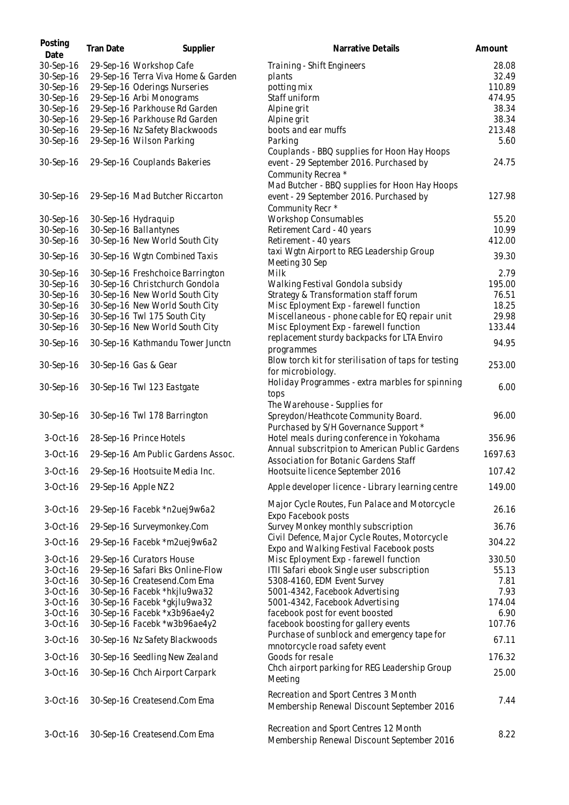| Posting<br>Date | <b>Tran Date</b> | Supplier                           | Narrative Details                                    | Amount  |
|-----------------|------------------|------------------------------------|------------------------------------------------------|---------|
| 30-Sep-16       |                  | 29-Sep-16 Workshop Cafe            | Training - Shift Engineers                           | 28.08   |
| 30-Sep-16       |                  | 29-Sep-16 Terra Viva Home & Garden | plants                                               | 32.49   |
| 30-Sep-16       |                  | 29-Sep-16 Oderings Nurseries       | potting mix                                          | 110.89  |
| 30-Sep-16       |                  | 29-Sep-16 Arbi Monograms           | Staff uniform                                        | 474.95  |
| 30-Sep-16       |                  | 29-Sep-16 Parkhouse Rd Garden      | Alpine grit                                          | 38.34   |
| 30-Sep-16       |                  | 29-Sep-16 Parkhouse Rd Garden      | Alpine grit                                          | 38.34   |
| 30-Sep-16       |                  | 29-Sep-16 Nz Safety Blackwoods     | boots and ear muffs                                  | 213.48  |
| 30-Sep-16       |                  | 29-Sep-16 Wilson Parking           | Parking                                              | 5.60    |
|                 |                  |                                    | Couplands - BBQ supplies for Hoon Hay Hoops          |         |
| 30-Sep-16       |                  | 29-Sep-16 Couplands Bakeries       | event - 29 September 2016. Purchased by              | 24.75   |
|                 |                  |                                    | Community Recrea *                                   |         |
|                 |                  |                                    | Mad Butcher - BBQ supplies for Hoon Hay Hoops        |         |
| 30-Sep-16       |                  | 29-Sep-16 Mad Butcher Riccarton    | event - 29 September 2016. Purchased by              | 127.98  |
|                 |                  |                                    | Community Recr *                                     |         |
| 30-Sep-16       |                  | 30-Sep-16 Hydraquip                | <b>Workshop Consumables</b>                          | 55.20   |
| 30-Sep-16       |                  | 30-Sep-16 Ballantynes              | Retirement Card - 40 years                           | 10.99   |
| 30-Sep-16       |                  | 30-Sep-16 New World South City     | Retirement - 40 years                                | 412.00  |
|                 |                  |                                    | taxi Wgtn Airport to REG Leadership Group            | 39.30   |
| 30-Sep-16       |                  | 30-Sep-16 Wgtn Combined Taxis      | Meeting 30 Sep                                       |         |
| 30-Sep-16       |                  | 30-Sep-16 Freshchoice Barrington   | Milk                                                 | 2.79    |
| 30-Sep-16       |                  | 30-Sep-16 Christchurch Gondola     | Walking Festival Gondola subsidy                     | 195.00  |
| 30-Sep-16       |                  | 30-Sep-16 New World South City     | Strategy & Transformation staff forum                | 76.51   |
| 30-Sep-16       |                  | 30-Sep-16 New World South City     | Misc Eployment Exp - farewell function               | 18.25   |
| 30-Sep-16       |                  | 30-Sep-16 Twl 175 South City       | Miscellaneous - phone cable for EQ repair unit       | 29.98   |
| 30-Sep-16       |                  | 30-Sep-16 New World South City     | Misc Eployment Exp - farewell function               | 133.44  |
|                 |                  |                                    | replacement sturdy backpacks for LTA Enviro          | 94.95   |
| 30-Sep-16       |                  | 30-Sep-16 Kathmandu Tower Junctn   | programmes                                           |         |
|                 |                  |                                    | Blow torch kit for sterilisation of taps for testing |         |
| 30-Sep-16       |                  | 30-Sep-16 Gas & Gear               | for microbiology.                                    | 253.00  |
|                 |                  |                                    | Holiday Programmes - extra marbles for spinning      |         |
| 30-Sep-16       |                  | 30-Sep-16 Twl 123 Eastgate         | tops                                                 | 6.00    |
|                 |                  |                                    | The Warehouse - Supplies for                         |         |
| 30-Sep-16       |                  | 30-Sep-16 Twl 178 Barrington       | Spreydon/Heathcote Community Board.                  | 96.00   |
|                 |                  |                                    | Purchased by S/H Governance Support *                |         |
| $3-Oct-16$      |                  | 28-Sep-16 Prince Hotels            | Hotel meals during conference in Yokohama            | 356.96  |
|                 |                  |                                    | Annual subscritpion to American Public Gardens       |         |
| $3-Oct-16$      |                  | 29-Sep-16 Am Public Gardens Assoc. | Association for Botanic Gardens Staff                | 1697.63 |
| $3-Oct-16$      |                  | 29-Sep-16 Hootsuite Media Inc.     | Hootsuite licence September 2016                     | 107.42  |
|                 |                  |                                    |                                                      |         |
| 3-Oct-16        |                  | 29-Sep-16 Apple NZ 2               | Apple developer licence - Library learning centre    | 149.00  |
|                 |                  |                                    | Major Cycle Routes, Fun Palace and Motorcycle        |         |
| $3-Oct-16$      |                  | 29-Sep-16 Facebk *n2uej9w6a2       | Expo Facebook posts                                  | 26.16   |
| 3-Oct-16        |                  | 29-Sep-16 Surveymonkey.Com         | Survey Monkey monthly subscription                   | 36.76   |
|                 |                  |                                    | Civil Defence, Major Cycle Routes, Motorcycle        |         |
| 3-Oct-16        |                  | 29-Sep-16 Facebk *m2uej9w6a2       | Expo and Walking Festival Facebook posts             | 304.22  |
| $3-Oct-16$      |                  | 29-Sep-16 Curators House           | Misc Eployment Exp - farewell function               | 330.50  |
| $3-Oct-16$      |                  | 29-Sep-16 Safari Bks Online-Flow   | ITII Safari ebook Single user subscription           | 55.13   |
| $3-Oct-16$      |                  | 30-Sep-16 Createsend.Com Ema       | 5308-4160, EDM Event Survey                          | 7.81    |
| $3-Oct-16$      |                  | 30-Sep-16 Facebk *hkjlu9wa32       | 5001-4342, Facebook Advertising                      | 7.93    |
| $3-Oct-16$      |                  | 30-Sep-16 Facebk *gkjlu9wa32       | 5001-4342, Facebook Advertising                      | 174.04  |
| $3-Oct-16$      |                  | 30-Sep-16 Facebk *x3b96ae4y2       | facebook post for event boosted                      | 6.90    |
| $3-Oct-16$      |                  | 30-Sep-16 Facebk *w3b96ae4y2       | facebook boosting for gallery events                 | 107.76  |
|                 |                  |                                    | Purchase of sunblock and emergency tape for          |         |
| 3-Oct-16        |                  | 30-Sep-16 Nz Safety Blackwoods     | mnotorcycle road safety event                        | 67.11   |
| $3-Oct-16$      |                  | 30-Sep-16 Seedling New Zealand     | Goods for resale                                     | 176.32  |
|                 |                  |                                    | Chch airport parking for REG Leadership Group        |         |
| $3-Oct-16$      |                  | 30-Sep-16 Chch Airport Carpark     | Meeting                                              | 25.00   |
|                 |                  |                                    |                                                      |         |
| $3-Oct-16$      |                  | 30-Sep-16 Createsend.Com Ema       | Recreation and Sport Centres 3 Month                 | 7.44    |
|                 |                  |                                    | Membership Renewal Discount September 2016           |         |
|                 |                  |                                    |                                                      |         |
| $3-Oct-16$      |                  | 30-Sep-16 Createsend.Com Ema       | Recreation and Sport Centres 12 Month                | 8.22    |
|                 |                  |                                    | Membership Renewal Discount September 2016           |         |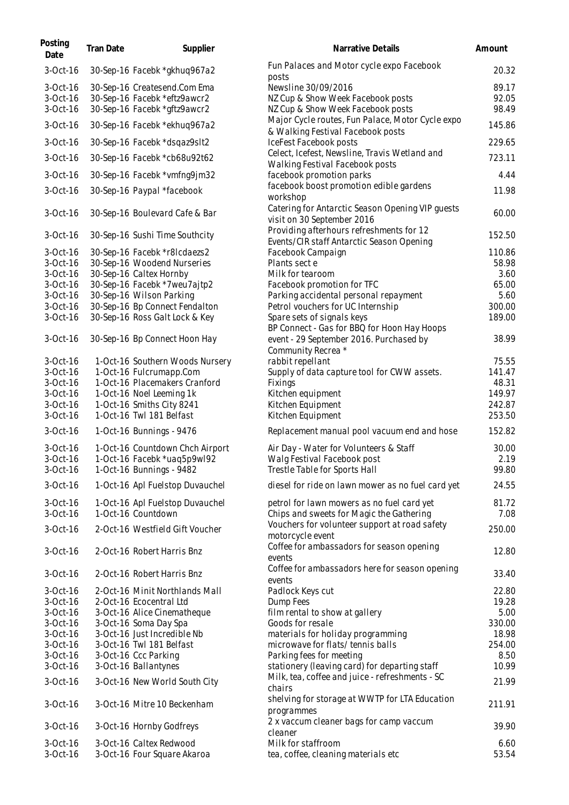| Posting<br>Date | <b>Tran Date</b> | Supplier                        | Narrative Details                                                                          | Amount |
|-----------------|------------------|---------------------------------|--------------------------------------------------------------------------------------------|--------|
| 3-Oct-16        |                  | 30-Sep-16 Facebk *gkhuq967a2    | Fun Palaces and Motor cycle expo Facebook<br>posts                                         | 20.32  |
| $3-Oct-16$      |                  | 30-Sep-16 Createsend.Com Ema    | Newsline 30/09/2016                                                                        | 89.17  |
| $3-Oct-16$      |                  | 30-Sep-16 Facebk *eftz9awcr2    | NZ Cup & Show Week Facebook posts                                                          | 92.05  |
| 3-Oct-16        |                  | 30-Sep-16 Facebk *gftz9awcr2    | NZ Cup & Show Week Facebook posts                                                          | 98.49  |
| 3-Oct-16        |                  | 30-Sep-16 Facebk *ekhuq967a2    | Major Cycle routes, Fun Palace, Motor Cycle expo<br>& Walking Festival Facebook posts      | 145.86 |
| $3-Oct-16$      |                  | 30-Sep-16 Facebk *dsqaz9slt2    | IceFest Facebook posts                                                                     | 229.65 |
| 3-Oct-16        |                  | 30-Sep-16 Facebk *cb68u92t62    | Celect, Icefest, Newsline, Travis Wetland and                                              | 723.11 |
|                 |                  |                                 | Walking Festival Facebook posts                                                            |        |
| 3-Oct-16        |                  | 30-Sep-16 Facebk *vmfng9jm32    | facebook promotion parks                                                                   | 4.44   |
| 3-Oct-16        |                  | 30-Sep-16 Paypal *facebook      | facebook boost promotion edible gardens                                                    | 11.98  |
| $3-Oct-16$      |                  | 30-Sep-16 Boulevard Cafe & Bar  | workshop<br>Catering for Antarctic Season Opening VIP guests<br>visit on 30 September 2016 | 60.00  |
| $3-Oct-16$      |                  | 30-Sep-16 Sushi Time Southcity  | Providing afterhours refreshments for 12                                                   | 152.50 |
|                 |                  |                                 | Events/CIR staff Antarctic Season Opening                                                  |        |
| $3-Oct-16$      |                  | 30-Sep-16 Facebk *r8lcdaezs2    | Facebook Campaign                                                                          | 110.86 |
| 3-Oct-16        |                  | 30-Sep-16 Woodend Nurseries     | Plants sect e                                                                              | 58.98  |
| $3-Oct-16$      |                  | 30-Sep-16 Caltex Hornby         | Milk for tearoom                                                                           | 3.60   |
| 3-Oct-16        |                  | 30-Sep-16 Facebk *7weu7ajtp2    | Facebook promotion for TFC                                                                 | 65.00  |
| $3-Oct-16$      |                  | 30-Sep-16 Wilson Parking        | Parking accidental personal repayment                                                      | 5.60   |
| $3-Oct-16$      |                  | 30-Sep-16 Bp Connect Fendalton  | Petrol vouchers for UC Internship                                                          | 300.00 |
| $3-Oct-16$      |                  | 30-Sep-16 Ross Galt Lock & Key  | Spare sets of signals keys<br>BP Connect - Gas for BBQ for Hoon Hay Hoops                  | 189.00 |
| $3-Oct-16$      |                  | 30-Sep-16 Bp Connect Hoon Hay   | event - 29 September 2016. Purchased by<br>Community Recrea *                              | 38.99  |
| $3-Oct-16$      |                  | 1-Oct-16 Southern Woods Nursery | rabbit repellant                                                                           | 75.55  |
| 3-Oct-16        |                  | 1-Oct-16 Fulcrumapp.Com         | Supply of data capture tool for CWW assets.                                                | 141.47 |
| 3-Oct-16        |                  | 1-Oct-16 Placemakers Cranford   | Fixings                                                                                    | 48.31  |
| 3-Oct-16        |                  | 1-Oct-16 Noel Leeming 1k        | Kitchen equipment                                                                          | 149.97 |
| $3-Oct-16$      |                  | 1-Oct-16 Smiths City 8241       | Kitchen Equipment                                                                          | 242.87 |
| 3-Oct-16        |                  | 1-Oct-16 Twl 181 Belfast        | Kitchen Equipment                                                                          | 253.50 |
| $3-Oct-16$      |                  | 1-Oct-16 Bunnings - 9476        | Replacement manual pool vacuum end and hose                                                | 152.82 |
| 3-Oct-16        |                  | 1-Oct-16 Countdown Chch Airport | Air Day - Water for Volunteers & Staff                                                     | 30.00  |
| 3-Oct-16        |                  | 1-Oct-16 Facebk *uaq5p9wl92     | Walg Festival Facebook post                                                                | 2.19   |
| 3-Oct-16        |                  | 1-Oct-16 Bunnings - 9482        | Trestle Table for Sports Hall                                                              | 99.80  |
| 3-Oct-16        |                  | 1-Oct-16 Apl Fuelstop Duvauchel | diesel for ride on lawn mower as no fuel card yet                                          | 24.55  |
| 3-Oct-16        |                  | 1-Oct-16 Apl Fuelstop Duvauchel | petrol for lawn mowers as no fuel card yet                                                 | 81.72  |
| 3-Oct-16        |                  | 1-Oct-16 Countdown              | Chips and sweets for Magic the Gathering                                                   | 7.08   |
| $3-Oct-16$      |                  | 2-Oct-16 Westfield Gift Voucher | Vouchers for volunteer support at road safety<br>motorcycle event                          | 250.00 |
|                 |                  |                                 | Coffee for ambassadors for season opening                                                  |        |
| 3-Oct-16        |                  | 2-Oct-16 Robert Harris Bnz      | events                                                                                     | 12.80  |
| $3-Oct-16$      |                  | 2-Oct-16 Robert Harris Bnz      | Coffee for ambassadors here for season opening<br>events                                   | 33.40  |
| 3-Oct-16        |                  | 2-Oct-16 Minit Northlands Mall  | Padlock Keys cut                                                                           | 22.80  |
| $3-Oct-16$      |                  | 2-Oct-16 Ecocentral Ltd         | Dump Fees                                                                                  | 19.28  |
| 3-Oct-16        |                  | 3-Oct-16 Alice Cinematheque     | film rental to show at gallery                                                             | 5.00   |
| 3-Oct-16        |                  | 3-Oct-16 Soma Day Spa           | Goods for resale                                                                           | 330.00 |
| 3-Oct-16        |                  | 3-Oct-16 Just Incredible Nb     | materials for holiday programming                                                          | 18.98  |
| 3-Oct-16        |                  | 3-Oct-16 Twl 181 Belfast        | microwave for flats/tennis balls                                                           | 254.00 |
| 3-Oct-16        |                  | 3-Oct-16 Ccc Parking            | Parking fees for meeting                                                                   | 8.50   |
| 3-Oct-16        |                  | 3-Oct-16 Ballantynes            | stationery (leaving card) for departing staff                                              | 10.99  |
| 3-Oct-16        |                  | 3-Oct-16 New World South City   | Milk, tea, coffee and juice - refreshments - SC<br>chairs                                  | 21.99  |
| $3-Oct-16$      |                  | 3-Oct-16 Mitre 10 Beckenham     | shelving for storage at WWTP for LTA Education<br>programmes                               | 211.91 |
| 3-Oct-16        |                  | 3-Oct-16 Hornby Godfreys        | 2 x vaccum cleaner bags for camp vaccum<br>cleaner                                         | 39.90  |
| 3-Oct-16        |                  | 3-Oct-16 Caltex Redwood         | Milk for staffroom                                                                         | 6.60   |
| 3-Oct-16        |                  | 3-Oct-16 Four Square Akaroa     | tea, coffee, cleaning materials etc                                                        | 53.54  |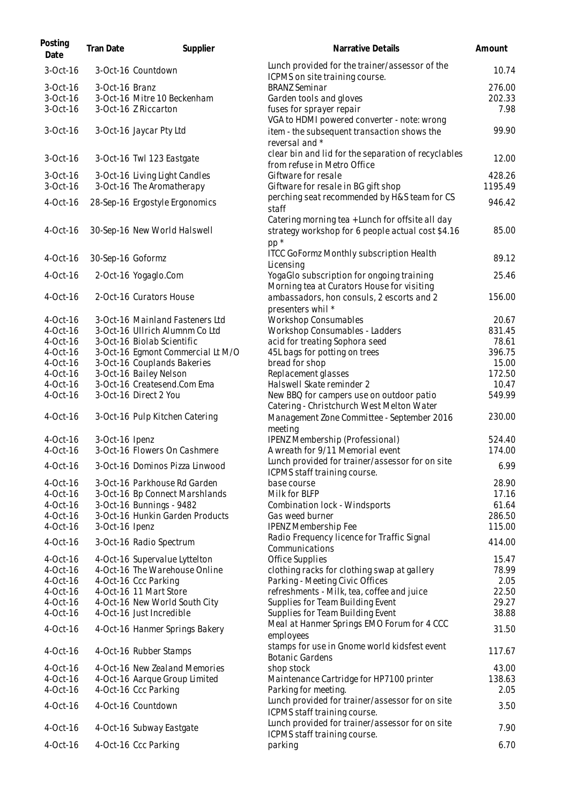| Posting<br>Date        | <b>Tran Date</b>  | Supplier                                                       | Narrative Details                                                                | Amount          |
|------------------------|-------------------|----------------------------------------------------------------|----------------------------------------------------------------------------------|-----------------|
| 3-Oct-16               |                   | 3-Oct-16 Countdown                                             | Lunch provided for the trainer/assessor of the<br>ICPMS on site training course. | 10.74           |
| 3-Oct-16               | 3-Oct-16 Branz    |                                                                | <b>BRANZ Seminar</b>                                                             | 276.00          |
| 3-Oct-16               |                   | 3-Oct-16 Mitre 10 Beckenham                                    | Garden tools and gloves                                                          | 202.33          |
| 3-Oct-16               |                   | 3-Oct-16 Z Riccarton                                           | fuses for sprayer repair                                                         | 7.98            |
|                        |                   |                                                                | VGA to HDMI powered converter - note: wrong                                      |                 |
| 3-Oct-16               |                   | 3-Oct-16 Jaycar Pty Ltd                                        | item - the subsequent transaction shows the                                      | 99.90           |
|                        |                   |                                                                | reversal and *                                                                   |                 |
| $3-Oct-16$             |                   | 3-Oct-16 Twl 123 Eastgate                                      | clear bin and lid for the separation of recyclables                              | 12.00           |
|                        |                   |                                                                | from refuse in Metro Office                                                      |                 |
| 3-Oct-16               |                   | 3-Oct-16 Living Light Candles                                  | Giftware for resale                                                              | 428.26          |
| 3-Oct-16               |                   | 3-Oct-16 The Aromatherapy                                      | Giftware for resale in BG gift shop                                              | 1195.49         |
| 4-Oct-16               |                   | 28-Sep-16 Ergostyle Ergonomics                                 | perching seat recommended by H&S team for CS                                     | 946.42          |
|                        |                   |                                                                | staff                                                                            |                 |
|                        |                   |                                                                | Catering morning tea + Lunch for offsite all day                                 |                 |
| 4-Oct-16               |                   | 30-Sep-16 New World Halswell                                   | strategy workshop for 6 people actual cost \$4.16                                | 85.00           |
|                        |                   |                                                                | $pp *$                                                                           |                 |
| $4-Oct-16$             | 30-Sep-16 Goformz |                                                                | <b>ITCC GoFormz Monthly subscription Health</b>                                  | 89.12           |
|                        |                   |                                                                | Licensing                                                                        |                 |
| 4-Oct-16               |                   | 2-Oct-16 Yogaglo.Com                                           | YogaGlo subscription for ongoing training                                        | 25.46           |
|                        |                   |                                                                | Morning tea at Curators House for visiting                                       |                 |
| 4-Oct-16               |                   | 2-Oct-16 Curators House                                        | ambassadors, hon consuls, 2 escorts and 2                                        | 156.00          |
|                        |                   |                                                                | presenters whil *                                                                |                 |
| 4-Oct-16               |                   | 3-Oct-16 Mainland Fasteners Ltd                                | <b>Workshop Consumables</b>                                                      | 20.67           |
| 4-Oct-16<br>4-Oct-16   |                   | 3-Oct-16 Ullrich Alumnm Co Ltd<br>3-Oct-16 Biolab Scientific   | Workshop Consumables - Ladders                                                   | 831.45<br>78.61 |
| 4-Oct-16               |                   | 3-Oct-16 Egmont Commercial Lt M/O                              | acid for treating Sophora seed<br>45L bags for potting on trees                  | 396.75          |
| 4-Oct-16               |                   | 3-Oct-16 Couplands Bakeries                                    | bread for shop                                                                   | 15.00           |
| 4-Oct-16               |                   | 3-Oct-16 Bailey Nelson                                         | Replacement glasses                                                              | 172.50          |
| 4-Oct-16               |                   | 3-Oct-16 Createsend.Com Ema                                    | Halswell Skate reminder 2                                                        | 10.47           |
| 4-Oct-16               |                   | 3-Oct-16 Direct 2 You                                          | New BBQ for campers use on outdoor patio                                         | 549.99          |
|                        |                   |                                                                | Catering - Christchurch West Melton Water                                        |                 |
| 4-Oct-16               |                   | 3-Oct-16 Pulp Kitchen Catering                                 | Management Zone Committee - September 2016                                       | 230.00          |
|                        |                   |                                                                | meeting                                                                          |                 |
| 4-Oct-16               | 3-Oct-16 Ipenz    |                                                                | IPENZ Membership (Professional)                                                  | 524.40          |
| 4-Oct-16               |                   | 3-Oct-16 Flowers On Cashmere                                   | A wreath for 9/11 Memorial event                                                 | 174.00          |
|                        |                   |                                                                | Lunch provided for trainer/assessor for on site                                  |                 |
| $4-Oct-16$             |                   | 3-Oct-16 Dominos Pizza Linwood                                 | ICPMS staff training course.                                                     | 6.99            |
| $4-Oct-16$             |                   | 3-Oct-16 Parkhouse Rd Garden                                   | base course                                                                      | 28.90           |
| $4-Oct-16$             |                   | 3-Oct-16 Bp Connect Marshlands                                 | Milk for BLFP                                                                    | 17.16           |
| 4-Oct-16               |                   | 3-Oct-16 Bunnings - 9482                                       | Combination lock - Windsports                                                    | 61.64           |
| 4-Oct-16               |                   | 3-Oct-16 Hunkin Garden Products                                | Gas weed burner                                                                  | 286.50          |
| 4-Oct-16               | 3-Oct-16 Ipenz    |                                                                | <b>IPENZ Membership Fee</b>                                                      | 115.00          |
| 4-Oct-16               |                   | 3-Oct-16 Radio Spectrum                                        | Radio Frequency licence for Traffic Signal                                       | 414.00          |
|                        |                   |                                                                | Communications                                                                   |                 |
| 4-Oct-16               |                   | 4-Oct-16 Supervalue Lyttelton                                  | Office Supplies                                                                  | 15.47           |
| 4-Oct-16               |                   | 4-Oct-16 The Warehouse Online                                  | clothing racks for clothing swap at gallery                                      | 78.99           |
| 4-Oct-16               |                   | 4-Oct-16 Ccc Parking                                           | Parking - Meeting Civic Offices                                                  | 2.05            |
| 4-Oct-16               |                   | 4-Oct-16 11 Mart Store                                         | refreshments - Milk, tea, coffee and juice                                       | 22.50           |
| 4-Oct-16               |                   | 4-Oct-16 New World South City                                  | Supplies for Team Building Event                                                 | 29.27           |
| 4-Oct-16               |                   | 4-Oct-16 Just Incredible                                       | Supplies for Team Building Event                                                 | 38.88           |
| 4-Oct-16               |                   | 4-Oct-16 Hanmer Springs Bakery                                 | Meal at Hanmer Springs EMO Forum for 4 CCC                                       | 31.50           |
|                        |                   |                                                                | employees                                                                        |                 |
| 4-Oct-16               |                   | 4-Oct-16 Rubber Stamps                                         | stamps for use in Gnome world kidsfest event                                     | 117.67          |
|                        |                   |                                                                | <b>Botanic Gardens</b>                                                           |                 |
| $4-Oct-16$<br>4-Oct-16 |                   | 4-Oct-16 New Zealand Memories<br>4-Oct-16 Aarque Group Limited | shop stock<br>Maintenance Cartridge for HP7100 printer                           | 43.00<br>138.63 |
| 4-Oct-16               |                   | 4-Oct-16 Ccc Parking                                           | Parking for meeting.                                                             | 2.05            |
|                        |                   |                                                                | Lunch provided for trainer/assessor for on site                                  |                 |
| 4-Oct-16               |                   | 4-Oct-16 Countdown                                             | ICPMS staff training course.                                                     | 3.50            |
|                        |                   |                                                                | Lunch provided for trainer/assessor for on site                                  |                 |
| 4-Oct-16               |                   | 4-Oct-16 Subway Eastgate                                       | ICPMS staff training course.                                                     | 7.90            |
| 4-Oct-16               |                   | 4-Oct-16 Ccc Parking                                           | parking                                                                          | 6.70            |
|                        |                   |                                                                |                                                                                  |                 |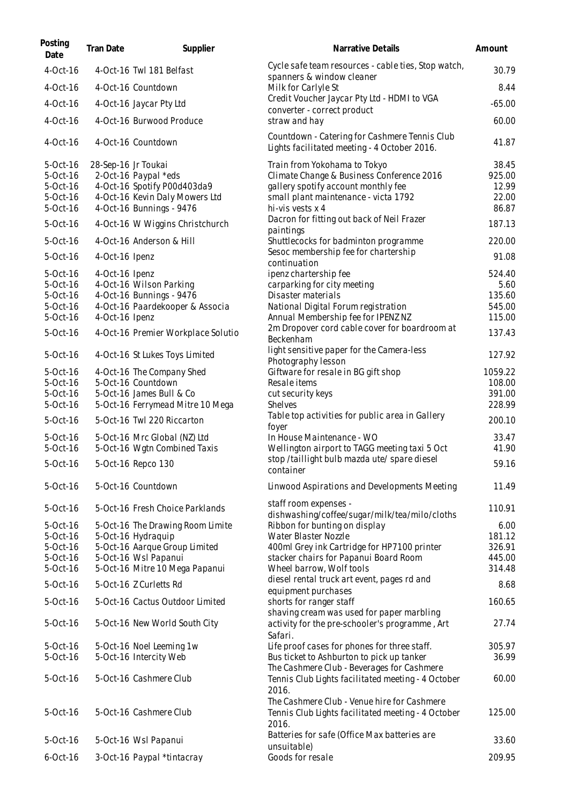| Posting<br>Date      | Tran Date           | Supplier                                            | Narrative Details                                                                                          | Amount            |
|----------------------|---------------------|-----------------------------------------------------|------------------------------------------------------------------------------------------------------------|-------------------|
| 4-Oct-16             |                     | 4-Oct-16 Twl 181 Belfast                            | Cycle safe team resources - cable ties, Stop watch,<br>spanners & window cleaner                           | 30.79             |
| 4-Oct-16             |                     | 4-Oct-16 Countdown                                  | Milk for Carlyle St                                                                                        | 8.44              |
| 4-Oct-16             |                     | 4-Oct-16 Jaycar Pty Ltd                             | Credit Voucher Jaycar Pty Ltd - HDMI to VGA<br>converter - correct product                                 | $-65.00$          |
| 4-Oct-16             |                     | 4-Oct-16 Burwood Produce                            | straw and hay                                                                                              | 60.00             |
| 4-Oct-16             |                     | 4-Oct-16 Countdown                                  | Countdown - Catering for Cashmere Tennis Club<br>Lights facilitated meeting - 4 October 2016.              | 41.87             |
| 5-Oct-16             | 28-Sep-16 Jr Toukai |                                                     | Train from Yokohama to Tokyo                                                                               | 38.45             |
| 5-Oct-16<br>5-Oct-16 |                     | 2-Oct-16 Paypal *eds<br>4-Oct-16 Spotify P00d403da9 | Climate Change & Business Conference 2016<br>gallery spotify account monthly fee                           | 925.00<br>12.99   |
| 5-Oct-16             |                     | 4-Oct-16 Kevin Daly Mowers Ltd                      | small plant maintenance - victa 1792                                                                       | 22.00             |
| 5-Oct-16             |                     | 4-Oct-16 Bunnings - 9476                            | hi-vis vests x 4                                                                                           | 86.87             |
| 5-Oct-16             |                     | 4-Oct-16 W Wiggins Christchurch                     | Dacron for fitting out back of Neil Frazer<br>paintings                                                    | 187.13            |
| $5-0ct-16$           |                     | 4-Oct-16 Anderson & Hill                            | Shuttlecocks for badminton programme                                                                       | 220.00            |
| 5-Oct-16             | 4-Oct-16 Ipenz      |                                                     | Sesoc membership fee for chartership<br>continuation                                                       | 91.08             |
| 5-Oct-16             | 4-Oct-16 Ipenz      |                                                     | ipenz chartership fee                                                                                      | 524.40            |
| 5-Oct-16             |                     | 4-Oct-16 Wilson Parking                             | carparking for city meeting                                                                                | 5.60              |
| 5-Oct-16             |                     | 4-Oct-16 Bunnings - 9476                            | Disaster materials                                                                                         | 135.60            |
| 5-Oct-16             |                     | 4-Oct-16 Paardekooper & Associa                     | National Digital Forum registration                                                                        | 545.00            |
| 5-Oct-16<br>5-Oct-16 | 4-Oct-16 Ipenz      | 4-Oct-16 Premier Workplace Solutio                  | Annual Membership fee for IPENZ NZ<br>2m Dropover cord cable cover for boardroom at<br>Beckenham           | 115.00<br>137.43  |
| 5-Oct-16             |                     | 4-Oct-16 St Lukes Toys Limited                      | light sensitive paper for the Camera-less                                                                  | 127.92            |
|                      |                     |                                                     | Photography lesson                                                                                         |                   |
| 5-Oct-16<br>5-Oct-16 |                     | 4-Oct-16 The Company Shed<br>5-Oct-16 Countdown     | Giftware for resale in BG gift shop<br>Resale items                                                        | 1059.22<br>108.00 |
| 5-Oct-16             |                     | 5-Oct-16 James Bull & Co                            | cut security keys                                                                                          | 391.00            |
| 5-Oct-16             |                     | 5-Oct-16 Ferrymead Mitre 10 Mega                    | <b>Shelves</b>                                                                                             | 228.99            |
| 5-Oct-16             |                     | 5-Oct-16 Twl 220 Riccarton                          | Table top activities for public area in Gallery<br>foyer                                                   | 200.10            |
| 5-Oct-16             |                     | 5-Oct-16 Mrc Global (NZ) Ltd                        | In House Maintenance - WO                                                                                  | 33.47             |
| 5-Oct-16             |                     | 5-Oct-16 Wgtn Combined Taxis                        | Wellington airport to TAGG meeting taxi 5 Oct                                                              | 41.90             |
| 5-Oct-16             |                     | 5-Oct-16 Repco 130                                  | stop /taillight bulb mazda ute/ spare diesel<br>container                                                  | 59.16             |
| 5-Oct-16             |                     | 5-Oct-16 Countdown                                  | Linwood Aspirations and Developments Meeting                                                               | 11.49             |
| 5-Oct-16             |                     | 5-Oct-16 Fresh Choice Parklands                     | staff room expenses -<br>dishwashing/coffee/sugar/milk/tea/milo/cloths                                     | 110.91            |
| 5-Oct-16             |                     | 5-Oct-16 The Drawing Room Limite                    | Ribbon for bunting on display                                                                              | 6.00              |
| 5-Oct-16             |                     | 5-Oct-16 Hydraquip                                  | Water Blaster Nozzle                                                                                       | 181.12            |
| 5-Oct-16             |                     | 5-Oct-16 Aarque Group Limited                       | 400ml Grey ink Cartridge for HP7100 printer                                                                | 326.91            |
| 5-Oct-16             |                     | 5-Oct-16 Wsl Papanui                                | stacker chairs for Papanui Board Room                                                                      | 445.00            |
| 5-Oct-16             |                     | 5-Oct-16 Mitre 10 Mega Papanui                      | Wheel barrow, Wolf tools                                                                                   | 314.48            |
| 5-Oct-16             |                     | 5-Oct-16 Z Curletts Rd                              | diesel rental truck art event, pages rd and<br>equipment purchases                                         | 8.68              |
| 5-Oct-16             |                     | 5-Oct-16 Cactus Outdoor Limited                     | shorts for ranger staff<br>shaving cream was used for paper marbling                                       | 160.65            |
| 5-Oct-16             |                     | 5-Oct-16 New World South City                       | activity for the pre-schooler's programme, Art<br>Safari.                                                  | 27.74             |
| 5-Oct-16             |                     | 5-Oct-16 Noel Leeming 1w                            | Life proof cases for phones for three staff.                                                               | 305.97            |
| 5-Oct-16             |                     | 5-Oct-16 Intercity Web                              | Bus ticket to Ashburton to pick up tanker<br>The Cashmere Club - Beverages for Cashmere                    | 36.99             |
| 5-Oct-16             |                     | 5-Oct-16 Cashmere Club                              | Tennis Club Lights facilitated meeting - 4 October<br>2016.<br>The Cashmere Club - Venue hire for Cashmere | 60.00             |
| 5-Oct-16             |                     | 5-Oct-16 Cashmere Club                              | Tennis Club Lights facilitated meeting - 4 October<br>2016.                                                | 125.00            |
| 5-Oct-16             |                     | 5-Oct-16 Wsl Papanui                                | Batteries for safe (Office Max batteries are<br>unsuitable)                                                | 33.60             |
| $6$ -Oct-16          |                     | 3-Oct-16 Paypal *tintacray                          | Goods for resale                                                                                           | 209.95            |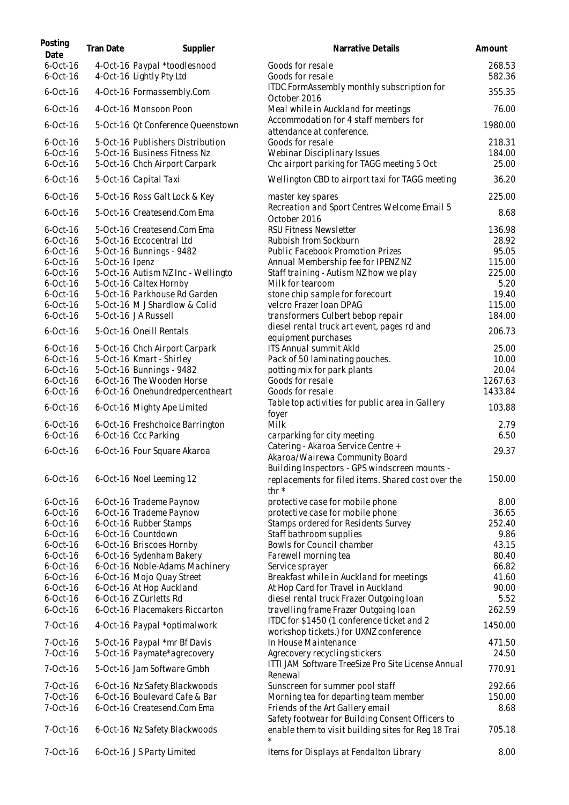| Posting<br>Date            | <b>Tran Date</b> | Supplier                                                      | Narrative Details                                                                                       | Amount           |
|----------------------------|------------------|---------------------------------------------------------------|---------------------------------------------------------------------------------------------------------|------------------|
| $6$ -Oct-16<br>$6$ -Oct-16 |                  | 4-Oct-16 Paypal *toodlesnood<br>4-Oct-16 Lightly Pty Ltd      | Goods for resale<br>Goods for resale                                                                    | 268.53<br>582.36 |
| $6-Oct-16$                 |                  | 4-Oct-16 Formassembly.Com                                     | ITDC FormAssembly monthly subscription for                                                              | 355.35           |
| $6$ -Oct-16                |                  | 4-Oct-16 Monsoon Poon                                         | October 2016<br>Meal while in Auckland for meetings                                                     | 76.00            |
| $6$ -Oct-16                |                  | 5-Oct-16 Qt Conference Queenstown                             | Accommodation for 4 staff members for<br>attendance at conference.                                      | 1980.00          |
| $6$ -Oct-16                |                  | 5-Oct-16 Publishers Distribution                              | Goods for resale                                                                                        | 218.31           |
| $6$ -Oct-16<br>$6$ -Oct-16 |                  | 5-Oct-16 Business Fitness Nz<br>5-Oct-16 Chch Airport Carpark | Webinar Disciplinary Issues<br>Chc airport parking for TAGG meeting 5 Oct                               | 184.00<br>25.00  |
| $6-Oct-16$                 |                  | 5-Oct-16 Capital Taxi                                         | Wellington CBD to airport taxi for TAGG meeting                                                         | 36.20            |
| $6-Oct-16$                 |                  | 5-Oct-16 Ross Galt Lock & Key                                 | master key spares                                                                                       | 225.00           |
| $6$ -Oct-16                |                  | 5-Oct-16 Createsend.Com Ema                                   | Recreation and Sport Centres Welcome Email 5<br>October 2016                                            | 8.68             |
| $6$ -Oct-16                |                  | 5-Oct-16 Createsend.Com Ema                                   | <b>RSU Fitness Newsletter</b>                                                                           | 136.98           |
| $6$ -Oct-16                |                  | 5-Oct-16 Eccocentral Ltd                                      | Rubbish from Sockburn                                                                                   | 28.92            |
| $6-Oct-16$                 |                  | 5-Oct-16 Bunnings - 9482                                      | Public Facebook Promotion Prizes                                                                        | 95.05            |
| $6$ -Oct-16                | 5-Oct-16 Ipenz   |                                                               | Annual Membership fee for IPENZ NZ                                                                      | 115.00           |
| $6$ -Oct-16                |                  | 5-Oct-16 Autism NZ Inc - Wellingto                            | Staff training - Autism NZ how we play                                                                  | 225.00           |
| $6$ -Oct-16                |                  | 5-Oct-16 Caltex Hornby                                        | Milk for tearoom                                                                                        | 5.20             |
| $6$ -Oct-16                |                  | 5-Oct-16 Parkhouse Rd Garden                                  | stone chip sample for forecourt                                                                         | 19.40            |
| $6$ -Oct-16                |                  | 5-Oct-16 M J Shardlow & Colid                                 | velcro Frazer Ioan DPAG                                                                                 | 115.00           |
| $6$ -Oct-16                |                  | 5-Oct-16 JA Russell                                           | transformers Culbert bebop repair                                                                       | 184.00           |
| $6$ -Oct-16                |                  | 5-Oct-16 Oneill Rentals                                       | diesel rental truck art event, pages rd and<br>equipment purchases                                      | 206.73           |
| $6$ -Oct-16                |                  | 5-Oct-16 Chch Airport Carpark                                 | ITS Annual summit Akld                                                                                  | 25.00            |
| $6$ -Oct-16                |                  | 5-Oct-16 Kmart - Shirley                                      | Pack of 50 laminating pouches.                                                                          | 10.00            |
| $6$ -Oct-16                |                  | 5-Oct-16 Bunnings - 9482                                      | potting mix for park plants                                                                             | 20.04            |
| $6$ -Oct-16                |                  | 6-Oct-16 The Wooden Horse                                     | Goods for resale                                                                                        | 1267.63          |
| $6$ -Oct-16                |                  | 6-Oct-16 Onehundredpercentheart                               | Goods for resale                                                                                        | 1433.84          |
| $6$ -Oct-16                |                  | 6-Oct-16 Mighty Ape Limited                                   | Table top activities for public area in Gallery<br>foyer                                                | 103.88           |
| $6$ -Oct-16                |                  | 6-Oct-16 Freshchoice Barrington                               | Milk                                                                                                    | 2.79             |
| $6$ -Oct-16                |                  | 6-Oct-16 Ccc Parking                                          | carparking for city meeting                                                                             | 6.50             |
| $6$ -Oct-16                |                  | 6-Oct-16 Four Square Akaroa                                   | Catering - Akaroa Service Centre +                                                                      | 29.37            |
|                            |                  |                                                               | Akaroa/Wairewa Community Board<br>Building Inspectors - GPS windscreen mounts -                         |                  |
| $6-Oct-16$                 |                  | 6-Oct-16 Noel Leeming 12                                      | replacements for filed items. Shared cost over the<br>thr $*$                                           | 150.00           |
| $6$ -Oct-16                |                  | 6-Oct-16 Trademe Paynow                                       | protective case for mobile phone                                                                        | 8.00             |
| $6$ -Oct-16                |                  | 6-Oct-16 Trademe Paynow                                       | protective case for mobile phone                                                                        | 36.65            |
| $6$ -Oct-16                |                  | 6-Oct-16 Rubber Stamps                                        | Stamps ordered for Residents Survey                                                                     | 252.40           |
| $6$ -Oct-16                |                  | 6-Oct-16 Countdown                                            | Staff bathroom supplies                                                                                 | 9.86             |
| $6$ -Oct-16                |                  | 6-Oct-16 Briscoes Hornby                                      | Bowls for Council chamber                                                                               | 43.15            |
| $6$ -Oct-16                |                  | 6-Oct-16 Sydenham Bakery                                      | Farewell morning tea                                                                                    | 80.40            |
| $6$ -Oct-16                |                  | 6-Oct-16 Noble-Adams Machinery                                | Service sprayer                                                                                         | 66.82            |
| $6$ -Oct-16                |                  | 6-Oct-16 Mojo Quay Street                                     | Breakfast while in Auckland for meetings                                                                | 41.60            |
| $6$ -Oct-16                |                  | 6-Oct-16 At Hop Auckland                                      | At Hop Card for Travel in Auckland                                                                      | 90.00            |
| $6$ -Oct-16                |                  | 6-Oct-16 Z Curletts Rd                                        | diesel rental truck Frazer Outgoing Ioan                                                                | 5.52             |
| $6-Oct-16$                 |                  | 6-Oct-16 Placemakers Riccarton                                | travelling frame Frazer Outgoing Ioan                                                                   | 262.59           |
| 7-Oct-16                   |                  | 4-Oct-16 Paypal *optimalwork                                  | ITDC for \$1450 (1 conference ticket and 2                                                              | 1450.00          |
|                            |                  |                                                               | workshop tickets.) for UXNZ conference                                                                  |                  |
| 7-Oct-16<br>7-Oct-16       |                  | 5-Oct-16 Paypal *mr Bf Davis<br>5-Oct-16 Paymate*agrecovery   | In House Maintenance                                                                                    | 471.50<br>24.50  |
| 7-Oct-16                   |                  | 5-Oct-16 Jam Software Gmbh                                    | Agrecovery recycling stickers<br>ITTI JAM Software TreeSize Pro Site License Annual                     | 770.91           |
|                            |                  |                                                               | Renewal                                                                                                 |                  |
| 7-Oct-16                   |                  | 6-Oct-16 Nz Safety Blackwoods                                 | Sunscreen for summer pool staff                                                                         | 292.66           |
| 7-Oct-16                   |                  | 6-Oct-16 Boulevard Cafe & Bar                                 | Morning tea for departing team member                                                                   | 150.00           |
| 7-Oct-16                   |                  | 6-Oct-16 Createsend.Com Ema                                   | Friends of the Art Gallery email                                                                        | 8.68             |
| 7-Oct-16                   |                  | 6-Oct-16 Nz Safety Blackwoods                                 | Safety footwear for Building Consent Officers to<br>enable them to visit building sites for Reg 18 Trai | 705.18           |
| 7-Oct-16                   |                  | 6-Oct-16 JS Party Limited                                     | $\star$<br>Items for Displays at Fendalton Library                                                      | 8.00             |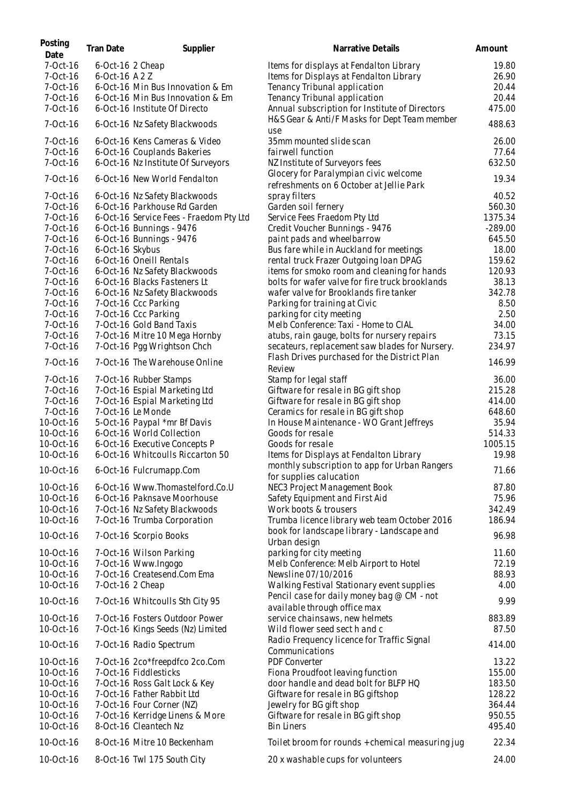| Posting<br>Date        | <b>Tran Date</b> | Supplier                                                          | Narrative Details                                                                              | Amount          |
|------------------------|------------------|-------------------------------------------------------------------|------------------------------------------------------------------------------------------------|-----------------|
| 7-Oct-16               | 6-Oct-16 2 Cheap |                                                                   | Items for displays at Fendalton Library                                                        | 19.80           |
| 7-Oct-16               | 6-Oct-16 A2Z     |                                                                   | Items for Displays at Fendalton Library                                                        | 26.90           |
| 7-Oct-16               |                  | 6-Oct-16 Min Bus Innovation & Em                                  | Tenancy Tribunal application                                                                   | 20.44           |
| 7-Oct-16               |                  | 6-Oct-16 Min Bus Innovation & Em                                  | Tenancy Tribunal application                                                                   | 20.44           |
| 7-Oct-16               |                  | 6-Oct-16 Institute Of Directo                                     | Annual subscription for Institute of Directors                                                 | 475.00          |
| 7-Oct-16               |                  | 6-Oct-16 Nz Safety Blackwoods                                     | H&S Gear & Anti/F Masks for Dept Team member<br>use                                            | 488.63          |
| 7-Oct-16               |                  | 6-Oct-16 Kens Cameras & Video                                     | 35mm mounted slide scan                                                                        | 26.00           |
| 7-Oct-16               |                  | 6-Oct-16 Couplands Bakeries                                       | fairwell function                                                                              | 77.64           |
| 7-Oct-16               |                  | 6-Oct-16 Nz Institute Of Surveyors                                | NZ Institute of Surveyors fees                                                                 | 632.50          |
|                        |                  |                                                                   | Glocery for Paralympian civic welcome                                                          |                 |
| 7-Oct-16               |                  | 6-Oct-16 New World Fendalton                                      | refreshments on 6 October at Jellie Park                                                       | 19.34           |
| 7-Oct-16               |                  | 6-Oct-16 Nz Safety Blackwoods                                     | spray filters                                                                                  | 40.52           |
| 7-Oct-16               |                  | 6-Oct-16 Parkhouse Rd Garden                                      | Garden soil fernery                                                                            | 560.30          |
| 7-Oct-16               |                  | 6-Oct-16 Service Fees - Fraedom Pty Ltd                           | Service Fees Fraedom Pty Ltd                                                                   | 1375.34         |
| 7-Oct-16               |                  | 6-Oct-16 Bunnings - 9476                                          | Credit Voucher Bunnings - 9476                                                                 | $-289.00$       |
| 7-Oct-16               |                  | 6-Oct-16 Bunnings - 9476                                          | paint pads and wheelbarrow                                                                     | 645.50          |
| 7-Oct-16               | 6-Oct-16 Skybus  |                                                                   | Bus fare while in Auckland for meetings                                                        | 18.00           |
| 7-Oct-16               |                  | 6-Oct-16 Oneill Rentals                                           | rental truck Frazer Outgoing Ioan DPAG                                                         | 159.62          |
| 7-Oct-16               |                  | 6-Oct-16 Nz Safety Blackwoods                                     | items for smoko room and cleaning for hands                                                    | 120.93          |
| 7-Oct-16               |                  | 6-Oct-16 Blacks Fasteners Lt                                      | bolts for wafer valve for fire truck brooklands                                                | 38.13           |
| 7-Oct-16               |                  | 6-Oct-16 Nz Safety Blackwoods                                     | wafer valve for Brooklands fire tanker                                                         | 342.78          |
| 7-Oct-16               |                  | 7-Oct-16 Ccc Parking                                              | Parking for training at Civic                                                                  | 8.50            |
| 7-Oct-16               |                  | 7-Oct-16 Ccc Parking                                              | parking for city meeting                                                                       | 2.50            |
| 7-Oct-16               |                  | 7-Oct-16 Gold Band Taxis                                          | Melb Conference: Taxi - Home to CIAL                                                           | 34.00           |
| 7-Oct-16               |                  | 7-Oct-16 Mitre 10 Mega Hornby                                     | atubs, rain gauge, bolts for nursery repairs                                                   | 73.15           |
| 7-Oct-16               |                  | 7-Oct-16 Pgg Wrightson Chch                                       | secateurs, replacement saw blades for Nursery.<br>Flash Drives purchased for the District Plan | 234.97          |
| 7-Oct-16<br>7-Oct-16   |                  | 7-Oct-16 The Warehouse Online<br>7-Oct-16 Rubber Stamps           | Review<br>Stamp for legal staff                                                                | 146.99<br>36.00 |
| 7-Oct-16               |                  | 7-Oct-16 Espial Marketing Ltd                                     | Giftware for resale in BG gift shop                                                            | 215.28          |
| 7-Oct-16               |                  | 7-Oct-16 Espial Marketing Ltd                                     | Giftware for resale in BG gift shop                                                            | 414.00          |
| 7-Oct-16               |                  | 7-Oct-16 Le Monde                                                 |                                                                                                | 648.60          |
|                        |                  |                                                                   | Ceramics for resale in BG gift shop                                                            |                 |
| 10-Oct-16              |                  | 5-Oct-16 Paypal *mr Bf Davis                                      | In House Maintenance - WO Grant Jeffreys                                                       | 35.94           |
| 10-Oct-16              |                  | 6-Oct-16 World Collection                                         | Goods for resale                                                                               | 514.33          |
| 10-Oct-16              |                  | 6-Oct-16 Executive Concepts P<br>6-Oct-16 Whitcoulls Riccarton 50 | Goods for resale                                                                               | 1005.15         |
| 10-Oct-16              |                  |                                                                   | Items for Displays at Fendalton Library                                                        | 19.98           |
| 10-Oct-16              |                  | 6-Oct-16 Fulcrumapp.Com                                           | monthly subscription to app for Urban Rangers<br>for supplies calucation                       | 71.66           |
| 10-Oct-16              |                  | 6-Oct-16 Www.Thomastelford.Co.U                                   | NEC3 Project Management Book                                                                   | 87.80           |
| 10-Oct-16              |                  | 6-Oct-16 Paknsave Moorhouse                                       | Safety Equipment and First Aid                                                                 | 75.96           |
| 10-Oct-16              |                  | 7-Oct-16 Nz Safety Blackwoods                                     | Work boots & trousers                                                                          | 342.49          |
| 10-Oct-16              |                  | 7-Oct-16 Trumba Corporation                                       | Trumba licence library web team October 2016                                                   | 186.94          |
| 10-Oct-16              |                  | 7-Oct-16 Scorpio Books                                            | book for landscape library - Landscape and<br>Urban design                                     | 96.98           |
| 10-Oct-16              |                  | 7-Oct-16 Wilson Parking                                           | parking for city meeting                                                                       | 11.60           |
| 10-Oct-16              |                  | 7-Oct-16 Www.Ingogo                                               | Melb Conference: Melb Airport to Hotel                                                         | 72.19           |
| 10-Oct-16              |                  | 7-Oct-16 Createsend.Com Ema                                       | Newsline 07/10/2016                                                                            | 88.93           |
| 10-Oct-16              | 7-Oct-16 2 Cheap |                                                                   | Walking Festival Stationary event supplies                                                     | 4.00            |
| 10-Oct-16              |                  | 7-Oct-16 Whitcoulls Sth City 95                                   | Pencil case for daily money bag @ CM - not<br>available through office max                     | 9.99            |
| 10-Oct-16              |                  | 7-Oct-16 Fosters Outdoor Power                                    | service chainsaws, new helmets                                                                 | 883.89          |
| 10-Oct-16              |                  | 7-Oct-16 Kings Seeds (Nz) Limited                                 | Wild flower seed sect h and c                                                                  | 87.50           |
| 10-Oct-16              |                  | 7-Oct-16 Radio Spectrum                                           | Radio Frequency licence for Traffic Signal<br>Communications                                   | 414.00          |
| 10-Oct-16              |                  | 7-Oct-16 2co*freepdfco 2co.Com                                    | PDF Converter                                                                                  | 13.22           |
| 10-Oct-16              |                  | 7-Oct-16 Fiddlesticks                                             | Fiona Proudfoot leaving function                                                               | 155.00          |
| 10-Oct-16              |                  | 7-Oct-16 Ross Galt Lock & Key                                     | door handle and dead bolt for BLFP HQ                                                          | 183.50          |
| 10-Oct-16              |                  | 7-Oct-16 Father Rabbit Ltd                                        | Giftware for resale in BG giftshop                                                             | 128.22          |
| 10-Oct-16              |                  | 7-Oct-16 Four Corner (NZ)                                         | Jewelry for BG gift shop                                                                       | 364.44          |
| 10-Oct-16              |                  | 7-Oct-16 Kerridge Linens & More                                   | Giftware for resale in BG gift shop                                                            | 950.55          |
| 10-Oct-16              |                  | 8-Oct-16 Cleantech Nz                                             | <b>Bin Liners</b>                                                                              | 495.40          |
|                        |                  |                                                                   |                                                                                                |                 |
| 10-Oct-16<br>10-Oct-16 |                  | 8-Oct-16 Mitre 10 Beckenham<br>8-Oct-16 Twl 175 South City        | Toilet broom for rounds + chemical measuring jug<br>20 x washable cups for volunteers          | 22.34<br>24.00  |
|                        |                  |                                                                   |                                                                                                |                 |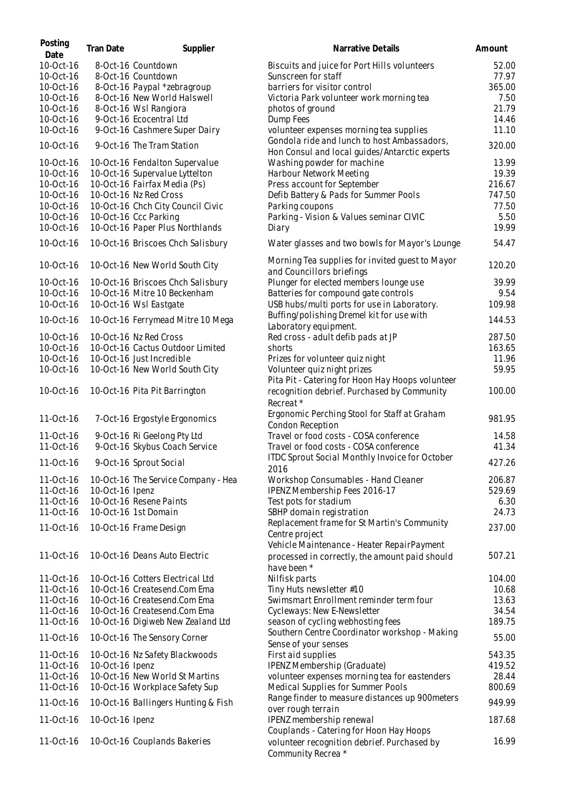| Posting<br>Date        | <b>Tran Date</b> | Supplier                                                         | Narrative Details                                                                            | Amount |
|------------------------|------------------|------------------------------------------------------------------|----------------------------------------------------------------------------------------------|--------|
| 10-Oct-16              |                  | 8-Oct-16 Countdown                                               | Biscuits and juice for Port Hills volunteers                                                 | 52.00  |
| 10-Oct-16              |                  | 8-Oct-16 Countdown                                               | Sunscreen for staff                                                                          | 77.97  |
| 10-Oct-16              |                  | 8-Oct-16 Paypal *zebragroup                                      | barriers for visitor control                                                                 | 365.00 |
| 10-Oct-16              |                  | 8-Oct-16 New World Halswell                                      | Victoria Park volunteer work morning tea                                                     | 7.50   |
| 10-Oct-16              |                  | 8-Oct-16 Wsl Rangiora                                            | photos of ground                                                                             | 21.79  |
| 10-Oct-16              |                  | 9-Oct-16 Ecocentral Ltd                                          | Dump Fees                                                                                    | 14.46  |
| 10-Oct-16              |                  | 9-Oct-16 Cashmere Super Dairy                                    | volunteer expenses morning tea supplies                                                      | 11.10  |
| 10-Oct-16              |                  | 9-Oct-16 The Tram Station                                        | Gondola ride and lunch to host Ambassadors,<br>Hon Consul and local guides/Antarctic experts | 320.00 |
| 10-Oct-16              |                  | 10-Oct-16 Fendalton Supervalue                                   | Washing powder for machine                                                                   | 13.99  |
| 10-Oct-16              |                  | 10-Oct-16 Supervalue Lyttelton                                   | Harbour Network Meeting                                                                      | 19.39  |
| 10-Oct-16              |                  | 10-Oct-16 Fairfax Media (Ps)                                     | Press account for September                                                                  | 216.67 |
| 10-Oct-16              |                  | 10-Oct-16 Nz Red Cross                                           | Defib Battery & Pads for Summer Pools                                                        | 747.50 |
| 10-Oct-16              |                  | 10-Oct-16 Chch City Council Civic                                | Parking coupons                                                                              | 77.50  |
| 10-Oct-16              |                  | 10-Oct-16 Ccc Parking                                            | Parking - Vision & Values seminar CIVIC                                                      | 5.50   |
| 10-Oct-16              |                  | 10-Oct-16 Paper Plus Northlands                                  | Diary                                                                                        | 19.99  |
| 10-Oct-16              |                  | 10-Oct-16 Briscoes Chch Salisbury                                | Water glasses and two bowls for Mayor's Lounge                                               | 54.47  |
| 10-Oct-16              |                  | 10-Oct-16 New World South City                                   | Morning Tea supplies for invited guest to Mayor<br>and Councillors briefings                 | 120.20 |
| 10-Oct-16              |                  | 10-Oct-16 Briscoes Chch Salisbury                                | Plunger for elected members lounge use                                                       | 39.99  |
| 10-Oct-16              |                  | 10-Oct-16 Mitre 10 Beckenham                                     | Batteries for compound gate controls                                                         | 9.54   |
| 10-Oct-16              |                  | 10-Oct-16 Wsl Eastgate                                           | USB hubs/multi ports for use in Laboratory.                                                  | 109.98 |
| 10-Oct-16              |                  | 10-Oct-16 Ferrymead Mitre 10 Mega                                | Buffing/polishing Dremel kit for use with<br>Laboratory equipment.                           | 144.53 |
| 10-Oct-16              |                  | 10-Oct-16 Nz Red Cross                                           | Red cross - adult defib pads at JP                                                           | 287.50 |
| 10-Oct-16              |                  | 10-Oct-16 Cactus Outdoor Limited                                 | shorts                                                                                       | 163.65 |
| 10-Oct-16              |                  | 10-Oct-16 Just Incredible                                        | Prizes for volunteer quiz night                                                              | 11.96  |
| 10-Oct-16              |                  | 10-Oct-16 New World South City                                   | Volunteer quiz night prizes                                                                  | 59.95  |
|                        |                  |                                                                  | Pita Pit - Catering for Hoon Hay Hoops volunteer                                             |        |
| 10-Oct-16              |                  | 10-Oct-16 Pita Pit Barrington                                    | recognition debrief. Purchased by Community                                                  | 100.00 |
|                        |                  |                                                                  | Recreat*                                                                                     |        |
| 11-Oct-16              |                  |                                                                  | Ergonomic Perching Stool for Staff at Graham                                                 | 981.95 |
|                        |                  | 7-Oct-16 Ergostyle Ergonomics                                    | Condon Reception                                                                             |        |
| 11-Oct-16              |                  | 9-Oct-16 Ri Geelong Pty Ltd                                      | Travel or food costs - COSA conference                                                       | 14.58  |
| 11-Oct-16              |                  | 9-Oct-16 Skybus Coach Service                                    | Travel or food costs - COSA conference                                                       | 41.34  |
| 11-Oct-16              |                  | 9-Oct-16 Sprout Social                                           | <b>ITDC Sprout Social Monthly Invoice for October</b>                                        | 427.26 |
|                        |                  |                                                                  | 2016                                                                                         |        |
| 11-Oct-16              |                  | 10-Oct-16 The Service Company - Hea                              | Workshop Consumables - Hand Cleaner                                                          | 206.87 |
| 11-Oct-16              | 10-Oct-16 Ipenz  |                                                                  | IPENZ Membership Fees 2016-17                                                                | 529.69 |
| 11-Oct-16              |                  | 10-Oct-16 Resene Paints                                          | Test pots for stadium                                                                        | 6.30   |
| 11-Oct-16              |                  | 10-Oct-16 1st Domain                                             | SBHP domain registration                                                                     | 24.73  |
| 11-Oct-16              |                  | 10-Oct-16 Frame Design                                           | Replacement frame for St Martin's Community                                                  | 237.00 |
|                        |                  |                                                                  | Centre project                                                                               |        |
| 11-Oct-16              |                  | 10-Oct-16 Deans Auto Electric                                    | Vehicle Maintenance - Heater RepairPayment                                                   | 507.21 |
|                        |                  |                                                                  | processed in correctly, the amount paid should                                               |        |
|                        |                  |                                                                  | have been *                                                                                  | 104.00 |
| 11-Oct-16              |                  | 10-Oct-16 Cotters Electrical Ltd<br>10-Oct-16 Createsend.Com Ema | Nilfisk parts<br>Tiny Huts newsletter #10                                                    | 10.68  |
| 11-Oct-16<br>11-Oct-16 |                  | 10-Oct-16 Createsend.Com Ema                                     | Swimsmart Enrollment reminder term four                                                      | 13.63  |
| 11-Oct-16              |                  | 10-Oct-16 Createsend.Com Ema                                     | Cycleways: New E-Newsletter                                                                  | 34.54  |
| 11-Oct-16              |                  | 10-Oct-16 Digiweb New Zealand Ltd                                | season of cycling webhosting fees                                                            | 189.75 |
|                        |                  |                                                                  | Southern Centre Coordinator workshop - Making                                                |        |
| 11-Oct-16              |                  | 10-Oct-16 The Sensory Corner                                     | Sense of your senses                                                                         | 55.00  |
| 11-Oct-16              |                  | 10-Oct-16 Nz Safety Blackwoods                                   | First aid supplies                                                                           | 543.35 |
| 11-Oct-16              | 10-Oct-16 Ipenz  |                                                                  | IPENZ Membership (Graduate)                                                                  | 419.52 |
| 11-Oct-16              |                  | 10-Oct-16 New World St Martins                                   | volunteer expenses morning tea for eastenders                                                | 28.44  |
| 11-Oct-16              |                  | 10-Oct-16 Workplace Safety Sup                                   | Medical Supplies for Summer Pools                                                            | 800.69 |
| 11-Oct-16              |                  | 10-Oct-16 Ballingers Hunting & Fish                              | Range finder to measure distances up 900 meters                                              | 949.99 |
|                        |                  |                                                                  | over rough terrain                                                                           |        |
| 11-Oct-16              | 10-Oct-16 Ipenz  |                                                                  | IPENZ membership renewal<br>Couplands - Catering for Hoon Hay Hoops                          | 187.68 |
| 11-Oct-16              |                  | 10-Oct-16 Couplands Bakeries                                     | volunteer recognition debrief. Purchased by                                                  | 16.99  |
|                        |                  |                                                                  | Community Recrea *                                                                           |        |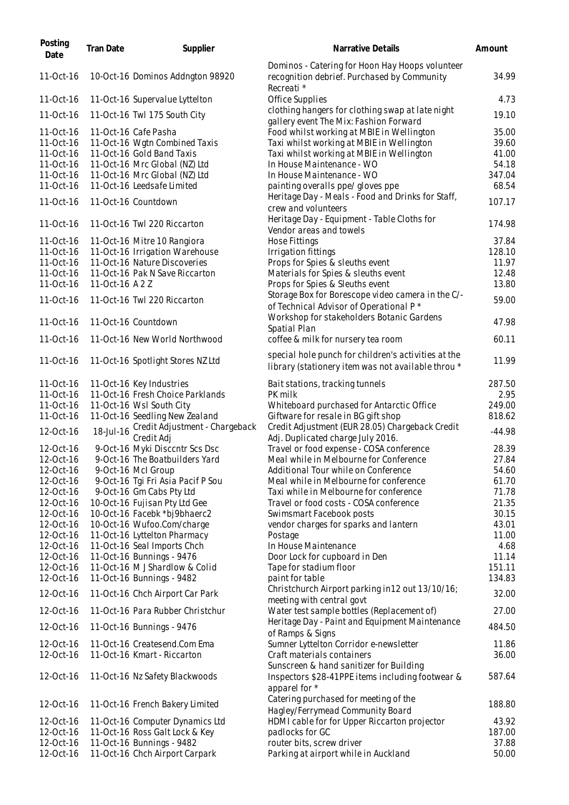| Posting<br>Date        | <b>Tran Date</b> | Supplier                                                     | Narrative Details                                                                                            | Amount          |
|------------------------|------------------|--------------------------------------------------------------|--------------------------------------------------------------------------------------------------------------|-----------------|
| 11-Oct-16              |                  | 10-Oct-16 Dominos Addngton 98920                             | Dominos - Catering for Hoon Hay Hoops volunteer<br>recognition debrief. Purchased by Community<br>Recreati * | 34.99           |
| 11-Oct-16              |                  | 11-Oct-16 Supervalue Lyttelton                               | Office Supplies                                                                                              | 4.73            |
| 11-Oct-16              |                  | 11-Oct-16 Twl 175 South City                                 | clothing hangers for clothing swap at late night<br>gallery event The Mix: Fashion Forward                   | 19.10           |
| 11-Oct-16              |                  | 11-Oct-16 Cafe Pasha                                         | Food whilst working at MBIE in Wellington                                                                    | 35.00           |
| 11-Oct-16              |                  | 11-Oct-16 Wgtn Combined Taxis                                | Taxi whilst working at MBIE in Wellington                                                                    | 39.60           |
| 11-Oct-16              |                  | 11-Oct-16 Gold Band Taxis                                    | Taxi whilst working at MBIE in Wellington                                                                    | 41.00           |
| 11-Oct-16              |                  | 11-Oct-16 Mrc Global (NZ) Ltd                                | In House Maintenance - WO                                                                                    | 54.18           |
| 11-Oct-16              |                  | 11-Oct-16 Mrc Global (NZ) Ltd                                | In House Maintenance - WO                                                                                    | 347.04          |
| 11-Oct-16              |                  | 11-Oct-16 Leedsafe Limited                                   | painting overalls ppe/ gloves ppe                                                                            | 68.54           |
| 11-Oct-16              |                  | 11-Oct-16 Countdown                                          | Heritage Day - Meals - Food and Drinks for Staff,<br>crew and volunteers                                     | 107.17          |
| 11-Oct-16              |                  | 11-Oct-16 Twl 220 Riccarton                                  | Heritage Day - Equipment - Table Cloths for<br>Vendor areas and towels                                       | 174.98          |
| 11-Oct-16              |                  | 11-Oct-16 Mitre 10 Rangiora                                  | Hose Fittings                                                                                                | 37.84           |
| 11-Oct-16              |                  | 11-Oct-16 Irrigation Warehouse                               | Irrigation fittings                                                                                          | 128.10          |
| 11-Oct-16              |                  | 11-Oct-16 Nature Discoveries                                 | Props for Spies & sleuths event                                                                              | 11.97           |
| 11-Oct-16              |                  | 11-Oct-16 Pak N Save Riccarton                               | Materials for Spies & sleuths event                                                                          | 12.48           |
| 11-Oct-16              | 11-Oct-16 A 2 Z  |                                                              | Props for Spies & Sleuths event                                                                              | 13.80           |
| 11-Oct-16              |                  | 11-Oct-16 Twl 220 Riccarton                                  | Storage Box for Borescope video camera in the C/-<br>of Technical Advisor of Operational P *                 | 59.00           |
| 11-Oct-16              |                  | 11-Oct-16 Countdown                                          | Workshop for stakeholders Botanic Gardens<br>Spatial Plan                                                    | 47.98           |
| 11-Oct-16              |                  | 11-Oct-16 New World Northwood                                | coffee & milk for nursery tea room<br>special hole punch for children's activities at the                    | 60.11           |
| 11-Oct-16              |                  | 11-Oct-16 Spotlight Stores NZ Ltd                            | library (stationery item was not available throu *                                                           | 11.99           |
| 11-Oct-16              |                  | 11-Oct-16 Key Industries                                     | Bait stations, tracking tunnels                                                                              | 287.50          |
| 11-Oct-16              |                  | 11-Oct-16 Fresh Choice Parklands                             | PK milk                                                                                                      | 2.95            |
| 11-Oct-16              |                  | 11-Oct-16 Wsl South City                                     | Whiteboard purchased for Antarctic Office                                                                    | 249.00          |
| 11-Oct-16              |                  | 11-Oct-16 Seedling New Zealand                               | Giftware for resale in BG gift shop                                                                          | 818.62          |
| 12-Oct-16              | 18-Jul-16        | Credit Adjustment - Chargeback                               | Credit Adjustment (EUR 28.05) Chargeback Credit                                                              | $-44.98$        |
| 12-Oct-16              |                  | Credit Adj<br>9-Oct-16 Myki Discentr Scs Dsc                 | Adj. Duplicated charge July 2016.<br>Travel or food expense - COSA conference                                | 28.39           |
| 12-Oct-16              |                  | 9-Oct-16 The Boatbuilders Yard                               | Meal while in Melbourne for Conference                                                                       | 27.84           |
| 12-Oct-16              |                  | 9-Oct-16 McI Group                                           | Additional Tour while on Conference                                                                          | 54.60           |
| 12-Oct-16              |                  | 9-Oct-16 Tgi Fri Asia Pacif P Sou                            | Meal while in Melbourne for conference                                                                       | 61.70           |
| 12-Oct-16              |                  | 9-Oct-16 Gm Cabs Pty Ltd                                     | Taxi while in Melbourne for conference                                                                       | 71.78           |
| 12-Oct-16              |                  | 10-Oct-16 Fujisan Pty Ltd Gee                                | Travel or food costs - COSA conference                                                                       | 21.35           |
| 12-Oct-16              |                  | 10-Oct-16 Facebk *bj9bhaerc2                                 | Swimsmart Facebook posts                                                                                     | 30.15           |
| 12-Oct-16              |                  | 10-Oct-16 Wufoo.Com/charge                                   | vendor charges for sparks and lantern                                                                        | 43.01           |
| 12-Oct-16              |                  | 11-Oct-16 Lyttelton Pharmacy                                 | Postage                                                                                                      | 11.00           |
| 12-Oct-16              |                  | 11-Oct-16 Seal Imports Chch                                  | In House Maintenance                                                                                         | 4.68            |
| 12-Oct-16              |                  | 11-Oct-16 Bunnings - 9476                                    | Door Lock for cupboard in Den                                                                                | 11.14           |
| 12-Oct-16              |                  | 11-Oct-16 M J Shardlow & Colid                               | Tape for stadium floor                                                                                       | 151.11          |
| 12-Oct-16<br>12-Oct-16 |                  | 11-Oct-16 Bunnings - 9482<br>11-Oct-16 Chch Airport Car Park | paint for table<br>Christchurch Airport parking in 12 out 13/10/16;                                          | 134.83<br>32.00 |
| 12-Oct-16              |                  | 11-Oct-16 Para Rubber Christchur                             | meeting with central govt<br>Water test sample bottles (Replacement of)                                      | 27.00           |
| 12-Oct-16              |                  | 11-Oct-16 Bunnings - 9476                                    | Heritage Day - Paint and Equipment Maintenance<br>of Ramps & Signs                                           | 484.50          |
| 12-Oct-16              |                  | 11-Oct-16 Createsend.Com Ema                                 | Sumner Lyttelton Corridor e-newsletter                                                                       | 11.86           |
| 12-Oct-16              |                  | 11-Oct-16 Kmart - Riccarton                                  | Craft materials containers<br>Sunscreen & hand sanitizer for Building                                        | 36.00           |
| 12-Oct-16              |                  | 11-Oct-16 Nz Safety Blackwoods                               | Inspectors \$28-41PPE items including footwear &<br>apparel for *                                            | 587.64          |
| 12-Oct-16              |                  | 11-Oct-16 French Bakery Limited                              | Catering purchased for meeting of the<br>Hagley/Ferrymead Community Board                                    | 188.80          |
| 12-Oct-16              |                  | 11-Oct-16 Computer Dynamics Ltd                              | HDMI cable for for Upper Riccarton projector                                                                 | 43.92           |
| 12-Oct-16              |                  | 11-Oct-16 Ross Galt Lock & Key                               | padlocks for GC                                                                                              | 187.00          |
| 12-Oct-16              |                  | 11-Oct-16 Bunnings - 9482                                    | router bits, screw driver                                                                                    | 37.88           |
| 12-Oct-16              |                  | 11-Oct-16 Chch Airport Carpark                               | Parking at airport while in Auckland                                                                         | 50.00           |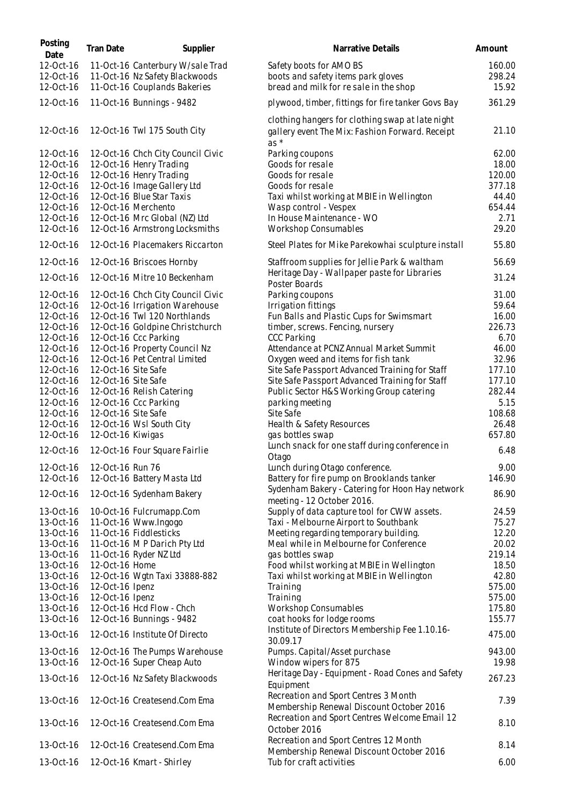| Posting<br>Date | Tran Date           | Supplier                          | Narrative Details                                                                            | Amount |
|-----------------|---------------------|-----------------------------------|----------------------------------------------------------------------------------------------|--------|
| 12-Oct-16       |                     | 11-Oct-16 Canterbury W/sale Trad  | Safety boots for AMO BS                                                                      | 160.00 |
| 12-Oct-16       |                     | 11-Oct-16 Nz Safety Blackwoods    | boots and safety items park gloves                                                           | 298.24 |
| 12-Oct-16       |                     | 11-Oct-16 Couplands Bakeries      | bread and milk for resale in the shop                                                        | 15.92  |
| 12-Oct-16       |                     | 11-Oct-16 Bunnings - 9482         | plywood, timber, fittings for fire tanker Govs Bay                                           | 361.29 |
|                 |                     |                                   | clothing hangers for clothing swap at late night                                             |        |
| 12-Oct-16       |                     | 12-Oct-16 Twl 175 South City      | gallery event The Mix: Fashion Forward. Receipt<br>$as *$                                    | 21.10  |
| 12-Oct-16       |                     | 12-Oct-16 Chch City Council Civic | Parking coupons                                                                              | 62.00  |
| 12-Oct-16       |                     | 12-Oct-16 Henry Trading           | Goods for resale                                                                             | 18.00  |
| 12-Oct-16       |                     | 12-Oct-16 Henry Trading           | Goods for resale                                                                             | 120.00 |
| 12-Oct-16       |                     | 12-Oct-16 Image Gallery Ltd       | Goods for resale                                                                             | 377.18 |
| 12-Oct-16       |                     | 12-Oct-16 Blue Star Taxis         | Taxi whilst working at MBIE in Wellington                                                    | 44.40  |
| 12-Oct-16       |                     | 12-Oct-16 Merchento               | Wasp control - Vespex                                                                        | 654.44 |
| 12-Oct-16       |                     | 12-Oct-16 Mrc Global (NZ) Ltd     | In House Maintenance - WO                                                                    | 2.71   |
| 12-Oct-16       |                     | 12-Oct-16 Armstrong Locksmiths    | <b>Workshop Consumables</b>                                                                  | 29.20  |
| 12-Oct-16       |                     | 12-Oct-16 Placemakers Riccarton   | Steel Plates for Mike Parekowhai sculpture install                                           | 55.80  |
| 12-Oct-16       |                     | 12-Oct-16 Briscoes Hornby         | Staffroom supplies for Jellie Park & waltham<br>Heritage Day - Wallpaper paste for Libraries | 56.69  |
| 12-Oct-16       |                     | 12-Oct-16 Mitre 10 Beckenham      | Poster Boards                                                                                | 31.24  |
| 12-Oct-16       |                     | 12-Oct-16 Chch City Council Civic | Parking coupons                                                                              | 31.00  |
| 12-Oct-16       |                     | 12-Oct-16 Irrigation Warehouse    | Irrigation fittings                                                                          | 59.64  |
| 12-Oct-16       |                     | 12-Oct-16 Twl 120 Northlands      | Fun Balls and Plastic Cups for Swimsmart                                                     | 16.00  |
| 12-Oct-16       |                     | 12-Oct-16 Goldpine Christchurch   | timber, screws. Fencing, nursery                                                             | 226.73 |
| 12-Oct-16       |                     | 12-Oct-16 Ccc Parking             | <b>CCC Parking</b>                                                                           | 6.70   |
| 12-Oct-16       |                     | 12-Oct-16 Property Council Nz     | Attendance at PCNZ Annual Market Summit                                                      | 46.00  |
| 12-Oct-16       |                     | 12-Oct-16 Pet Central Limited     | Oxygen weed and items for fish tank                                                          | 32.96  |
| 12-Oct-16       | 12-Oct-16 Site Safe |                                   | Site Safe Passport Advanced Training for Staff                                               | 177.10 |
| 12-Oct-16       | 12-Oct-16 Site Safe |                                   | Site Safe Passport Advanced Training for Staff                                               | 177.10 |
| 12-Oct-16       |                     | 12-Oct-16 Relish Catering         | Public Sector H&S Working Group catering                                                     | 282.44 |
| 12-Oct-16       |                     | 12-Oct-16 Ccc Parking             | parking meeting                                                                              | 5.15   |
| 12-Oct-16       | 12-Oct-16 Site Safe |                                   | Site Safe                                                                                    | 108.68 |
| 12-Oct-16       |                     | 12-Oct-16 Wsl South City          | Health & Safety Resources                                                                    | 26.48  |
| 12-Oct-16       | 12-Oct-16 Kiwigas   |                                   | gas bottles swap                                                                             | 657.80 |
| 12-Oct-16       |                     | 12-Oct-16 Four Square Fairlie     | Lunch snack for one staff during conference in<br>Otago                                      | 6.48   |
| 12-Oct-16       | 12-Oct-16 Run 76    |                                   | Lunch during Otago conference.                                                               | 9.00   |
| 12-Oct-16       |                     | 12-Oct-16 Battery Masta Ltd       | Battery for fire pump on Brooklands tanker                                                   | 146.90 |
| 12-Oct-16       |                     | 12-Oct-16 Sydenham Bakery         | Sydenham Bakery - Catering for Hoon Hay network<br>meeting - 12 October 2016.                | 86.90  |
| 13-Oct-16       |                     | 10-Oct-16 Fulcrumapp.Com          | Supply of data capture tool for CWW assets.                                                  | 24.59  |
| 13-Oct-16       |                     | 11-Oct-16 Www.Ingogo              | Taxi - Melbourne Airport to Southbank                                                        | 75.27  |
| 13-Oct-16       |                     | 11-Oct-16 Fiddlesticks            | Meeting regarding temporary building.                                                        | 12.20  |
| 13-Oct-16       |                     | 11-Oct-16 MP Darich Pty Ltd       | Meal while in Melbourne for Conference                                                       | 20.02  |
| 13-Oct-16       |                     | 11-Oct-16 Ryder NZ Ltd            | gas bottles swap                                                                             | 219.14 |
| 13-Oct-16       | 12-Oct-16 Home      |                                   | Food whilst working at MBIE in Wellington                                                    | 18.50  |
| 13-Oct-16       |                     | 12-Oct-16 Wgtn Taxi 33888-882     | Taxi whilst working at MBIE in Wellington                                                    | 42.80  |
| 13-Oct-16       | 12-Oct-16 Ipenz     |                                   | Training                                                                                     | 575.00 |
| 13-Oct-16       | 12-Oct-16 Ipenz     |                                   | Training                                                                                     | 575.00 |
| 13-Oct-16       |                     | 12-Oct-16 Hcd Flow - Chch         | Workshop Consumables                                                                         | 175.80 |
| 13-Oct-16       |                     | 12-Oct-16 Bunnings - 9482         | coat hooks for lodge rooms<br>Institute of Directors Membership Fee 1.10.16-                 | 155.77 |
| 13-Oct-16       |                     | 12-Oct-16 Institute Of Directo    | 30.09.17                                                                                     | 475.00 |
| 13-Oct-16       |                     | 12-Oct-16 The Pumps Warehouse     | Pumps. Capital/Asset purchase                                                                | 943.00 |
| 13-Oct-16       |                     | 12-Oct-16 Super Cheap Auto        | Window wipers for 875                                                                        | 19.98  |
| 13-Oct-16       |                     | 12-Oct-16 Nz Safety Blackwoods    | Heritage Day - Equipment - Road Cones and Safety<br>Equipment                                | 267.23 |
| 13-Oct-16       |                     | 12-Oct-16 Createsend.Com Ema      | Recreation and Sport Centres 3 Month                                                         | 7.39   |
|                 |                     |                                   | Membership Renewal Discount October 2016                                                     |        |
| 13-Oct-16       |                     | 12-Oct-16 Createsend.Com Ema      | Recreation and Sport Centres Welcome Email 12<br>October 2016                                | 8.10   |
| 13-Oct-16       |                     | 12-Oct-16 Createsend.Com Ema      | Recreation and Sport Centres 12 Month                                                        | 8.14   |
|                 |                     |                                   | Membership Renewal Discount October 2016                                                     |        |
| 13-Oct-16       |                     | 12-Oct-16 Kmart - Shirley         | Tub for craft activities                                                                     | 6.00   |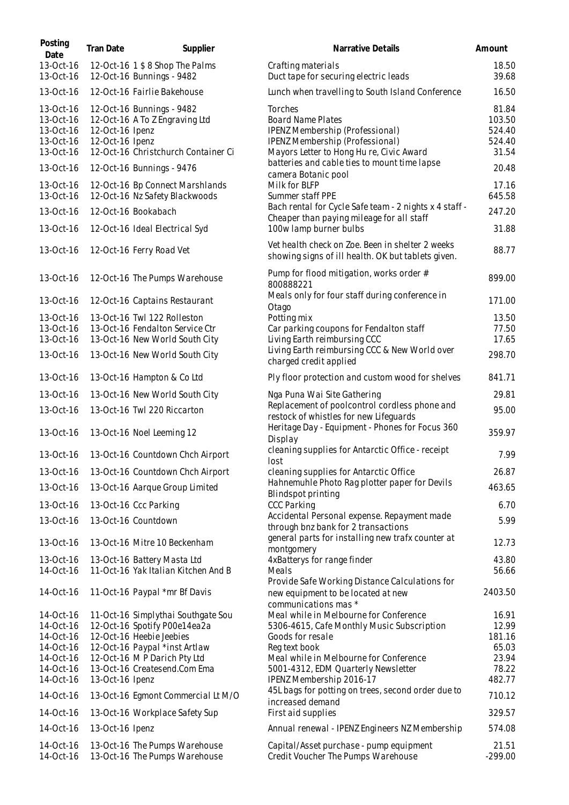| Posting<br>Date                                               | Tran Date                          | Supplier                                                                                           | Narrative Details                                                                                                                                     | Amount                                       |
|---------------------------------------------------------------|------------------------------------|----------------------------------------------------------------------------------------------------|-------------------------------------------------------------------------------------------------------------------------------------------------------|----------------------------------------------|
| 13-Oct-16<br>13-Oct-16                                        |                                    | 12-Oct-16 1 \$ 8 Shop The Palms<br>12-Oct-16 Bunnings - 9482                                       | Crafting materials<br>Duct tape for securing electric leads                                                                                           | 18.50<br>39.68                               |
| 13-Oct-16                                                     |                                    | 12-Oct-16 Fairlie Bakehouse                                                                        | Lunch when travelling to South Island Conference                                                                                                      | 16.50                                        |
| 13-Oct-16<br>13-Oct-16<br>13-Oct-16<br>13-Oct-16<br>13-Oct-16 | 12-Oct-16 Ipenz<br>12-Oct-16 Ipenz | 12-Oct-16 Bunnings - 9482<br>12-Oct-16 A To Z Engraving Ltd<br>12-Oct-16 Christchurch Container Ci | Torches<br><b>Board Name Plates</b><br>IPENZ Membership (Professional)<br>IPENZ Membership (Professional)<br>Mayors Letter to Hong Hu re, Civic Award | 81.84<br>103.50<br>524.40<br>524.40<br>31.54 |
| 13-Oct-16                                                     |                                    | 12-Oct-16 Bunnings - 9476                                                                          | batteries and cable ties to mount time lapse                                                                                                          | 20.48                                        |
| 13-Oct-16<br>13-Oct-16                                        |                                    | 12-Oct-16 Bp Connect Marshlands<br>12-Oct-16 Nz Safety Blackwoods                                  | camera Botanic pool<br>Milk for BLFP<br>Summer staff PPE                                                                                              | 17.16<br>645.58                              |
| 13-Oct-16                                                     |                                    | 12-Oct-16 Bookabach                                                                                | Bach rental for Cycle Safe team - 2 nights x 4 staff -<br>Cheaper than paying mileage for all staff                                                   | 247.20                                       |
| 13-Oct-16                                                     |                                    | 12-Oct-16 Ideal Electrical Syd                                                                     | 100w lamp burner bulbs                                                                                                                                | 31.88                                        |
| 13-Oct-16                                                     |                                    | 12-Oct-16 Ferry Road Vet                                                                           | Vet health check on Zoe. Been in shelter 2 weeks<br>showing signs of ill health. OK but tablets given.                                                | 88.77                                        |
| 13-Oct-16                                                     |                                    | 12-Oct-16 The Pumps Warehouse                                                                      | Pump for flood mitigation, works order #<br>800888221                                                                                                 | 899.00                                       |
| 13-Oct-16                                                     |                                    | 12-Oct-16 Captains Restaurant                                                                      | Meals only for four staff during conference in<br>Otago                                                                                               | 171.00                                       |
| 13-Oct-16                                                     |                                    | 13-Oct-16 Twl 122 Rolleston                                                                        | Potting mix                                                                                                                                           | 13.50                                        |
| 13-Oct-16<br>13-Oct-16                                        |                                    | 13-Oct-16 Fendalton Service Ctr<br>13-Oct-16 New World South City                                  | Car parking coupons for Fendalton staff<br>Living Earth reimbursing CCC                                                                               | 77.50<br>17.65                               |
| 13-Oct-16                                                     |                                    | 13-Oct-16 New World South City                                                                     | Living Earth reimbursing CCC & New World over<br>charged credit applied                                                                               | 298.70                                       |
| 13-Oct-16                                                     |                                    | 13-Oct-16 Hampton & Co Ltd                                                                         | Ply floor protection and custom wood for shelves                                                                                                      | 841.71                                       |
| 13-Oct-16                                                     |                                    | 13-Oct-16 New World South City                                                                     | Nga Puna Wai Site Gathering                                                                                                                           | 29.81                                        |
| 13-Oct-16                                                     |                                    | 13-Oct-16 Twl 220 Riccarton                                                                        | Replacement of poolcontrol cordless phone and<br>restock of whistles for new Lifeguards                                                               | 95.00                                        |
| 13-Oct-16                                                     |                                    | 13-Oct-16 Noel Leeming 12                                                                          | Heritage Day - Equipment - Phones for Focus 360<br>Display                                                                                            | 359.97                                       |
| 13-Oct-16                                                     |                                    | 13-Oct-16 Countdown Chch Airport                                                                   | cleaning supplies for Antarctic Office - receipt<br>lost                                                                                              | 7.99                                         |
| 13-Oct-16                                                     |                                    | 13-Oct-16 Countdown Chch Airport                                                                   | cleaning supplies for Antarctic Office                                                                                                                | 26.87                                        |
| 13-Oct-16                                                     |                                    | 13-Oct-16 Aarque Group Limited                                                                     | Hahnemuhle Photo Rag plotter paper for Devils<br>Blindspot printing                                                                                   | 463.65                                       |
| 13-Oct-16                                                     |                                    | 13-Oct-16 Ccc Parking                                                                              | <b>CCC Parking</b>                                                                                                                                    | 6.70                                         |
| 13-Oct-16                                                     |                                    | 13-Oct-16 Countdown                                                                                | Accidental Personal expense. Repayment made<br>through bnz bank for 2 transactions                                                                    | 5.99                                         |
| 13-Oct-16                                                     |                                    | 13-Oct-16 Mitre 10 Beckenham                                                                       | general parts for installing new trafx counter at<br>montgomery                                                                                       | 12.73                                        |
| 13-Oct-16                                                     |                                    | 13-Oct-16 Battery Masta Ltd                                                                        | 4xBatterys for range finder                                                                                                                           | 43.80                                        |
| 14-Oct-16                                                     |                                    | 11-Oct-16 Yak Italian Kitchen And B                                                                | Meals<br>Provide Safe Working Distance Calculations for                                                                                               | 56.66                                        |
| 14-Oct-16                                                     |                                    | 11-Oct-16 Paypal *mr Bf Davis                                                                      | new equipment to be located at new<br>communications mas *                                                                                            | 2403.50                                      |
| 14-Oct-16                                                     |                                    | 11-Oct-16 Simplythai Southgate Sou                                                                 | Meal while in Melbourne for Conference                                                                                                                | 16.91                                        |
| 14-Oct-16                                                     |                                    | 12-Oct-16 Spotify P00e14ea2a                                                                       | 5306-4615, Cafe Monthly Music Subscription                                                                                                            | 12.99                                        |
| 14-Oct-16<br>14-Oct-16                                        |                                    | 12-Oct-16 Heebie Jeebies<br>12-Oct-16 Paypal *inst Artlaw                                          | Goods for resale<br>Reg text book                                                                                                                     | 181.16<br>65.03                              |
| 14-Oct-16                                                     |                                    | 12-Oct-16 MP Darich Pty Ltd                                                                        | Meal while in Melbourne for Conference                                                                                                                | 23.94                                        |
| 14-Oct-16                                                     |                                    | 13-Oct-16 Createsend.Com Ema                                                                       | 5001-4312, EDM Quarterly Newsletter                                                                                                                   | 78.22                                        |
| 14-Oct-16                                                     | 13-Oct-16 Ipenz                    |                                                                                                    | IPENZ Membership 2016-17                                                                                                                              | 482.77                                       |
| 14-Oct-16                                                     |                                    | 13-Oct-16 Egmont Commercial Lt M/O                                                                 | 45L bags for potting on trees, second order due to<br>increased demand                                                                                | 710.12                                       |
| 14-Oct-16                                                     |                                    | 13-Oct-16 Workplace Safety Sup                                                                     | First aid supplies                                                                                                                                    | 329.57                                       |
| 14-Oct-16                                                     | 13-Oct-16 Ipenz                    |                                                                                                    | Annual renewal - IPENZ Engineers NZ Membership                                                                                                        | 574.08                                       |
| 14-Oct-16<br>14-Oct-16                                        |                                    | 13-Oct-16 The Pumps Warehouse<br>13-Oct-16 The Pumps Warehouse                                     | Capital/Asset purchase - pump equipment<br>Credit Voucher The Pumps Warehouse                                                                         | 21.51<br>$-299.00$                           |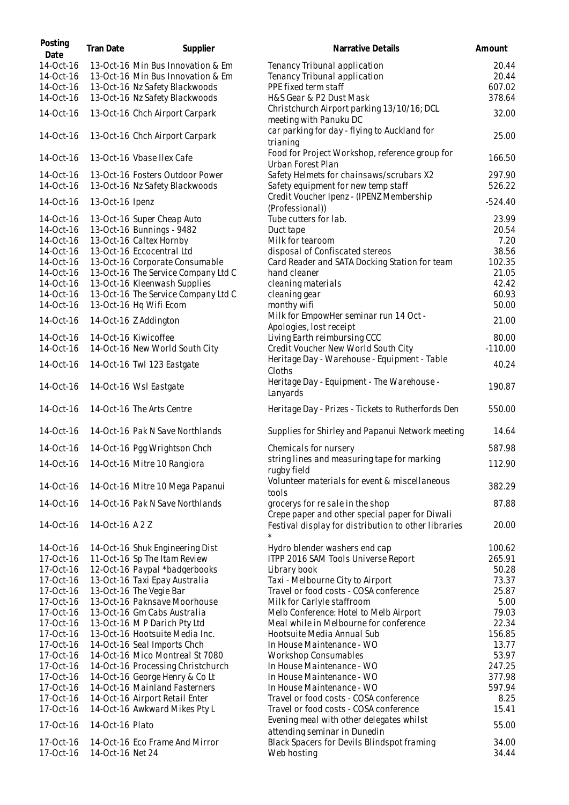| Posting<br>Date        | <b>Tran Date</b> | Supplier                                                               | Narrative Details                                                                  | Amount          |
|------------------------|------------------|------------------------------------------------------------------------|------------------------------------------------------------------------------------|-----------------|
| 14-Oct-16<br>14-Oct-16 |                  | 13-Oct-16 Min Bus Innovation & Em<br>13-Oct-16 Min Bus Innovation & Em | Tenancy Tribunal application<br>Tenancy Tribunal application                       | 20.44<br>20.44  |
| 14-Oct-16              |                  | 13-Oct-16 Nz Safety Blackwoods                                         | PPE fixed term staff                                                               | 607.02          |
| 14-Oct-16              |                  | 13-Oct-16 Nz Safety Blackwoods                                         | H&S Gear & P2 Dust Mask                                                            | 378.64          |
|                        |                  |                                                                        | Christchurch Airport parking 13/10/16; DCL                                         |                 |
| 14-Oct-16              |                  | 13-Oct-16 Chch Airport Carpark                                         | meeting with Panuku DC                                                             | 32.00           |
| 14-Oct-16              |                  | 13-Oct-16 Chch Airport Carpark                                         | car parking for day - flying to Auckland for<br>trianing                           | 25.00           |
| 14-Oct-16              |                  | 13-Oct-16 Vbase Ilex Cafe                                              | Food for Project Workshop, reference group for<br>Urban Forest Plan                | 166.50          |
| 14-Oct-16              |                  | 13-Oct-16 Fosters Outdoor Power                                        | Safety Helmets for chainsaws/scrubars X2                                           | 297.90          |
| 14-Oct-16              |                  | 13-Oct-16 Nz Safety Blackwoods                                         | Safety equipment for new temp staff                                                | 526.22          |
| 14-Oct-16              | 13-Oct-16 Ipenz  |                                                                        | Credit Voucher Ipenz - (IPENZ Membership<br>(Professional))                        | $-524.40$       |
| 14-Oct-16              |                  | 13-Oct-16 Super Cheap Auto                                             | Tube cutters for lab.                                                              | 23.99           |
| 14-Oct-16              |                  | 13-Oct-16 Bunnings - 9482                                              | Duct tape                                                                          | 20.54           |
| 14-Oct-16              |                  | 13-Oct-16 Caltex Hornby                                                | Milk for tearoom                                                                   | 7.20            |
| 14-Oct-16              |                  | 13-Oct-16 Eccocentral Ltd                                              | disposal of Confiscated stereos                                                    | 38.56           |
| 14-Oct-16              |                  | 13-Oct-16 Corporate Consumable                                         | Card Reader and SATA Docking Station for team                                      | 102.35          |
| 14-Oct-16              |                  | 13-Oct-16 The Service Company Ltd C                                    | hand cleaner                                                                       | 21.05           |
| 14-Oct-16              |                  | 13-Oct-16 Kleenwash Supplies                                           | cleaning materials                                                                 | 42.42           |
| 14-Oct-16              |                  | 13-Oct-16 The Service Company Ltd C                                    | cleaning gear                                                                      | 60.93           |
| 14-Oct-16              |                  | 13-Oct-16 Hq Wifi Ecom                                                 | monthy wifi                                                                        | 50.00           |
| 14-Oct-16              |                  | 14-Oct-16 Z Addington                                                  | Milk for EmpowHer seminar run 14 Oct -<br>Apologies, lost receipt                  | 21.00           |
| 14-Oct-16              |                  | 14-Oct-16 Kiwicoffee                                                   | Living Earth reimbursing CCC                                                       | 80.00           |
| 14-Oct-16              |                  | 14-Oct-16 New World South City                                         | Credit Voucher New World South City                                                | $-110.00$       |
| 14-Oct-16              |                  | 14-Oct-16 Twl 123 Eastgate                                             | Heritage Day - Warehouse - Equipment - Table<br>Cloths                             | 40.24           |
| 14-Oct-16              |                  | 14-Oct-16 Wsl Eastgate                                                 | Heritage Day - Equipment - The Warehouse -<br>Lanyards                             | 190.87          |
| 14-Oct-16              |                  | 14-Oct-16 The Arts Centre                                              | Heritage Day - Prizes - Tickets to Rutherfords Den                                 | 550.00          |
| 14-Oct-16              |                  | 14-Oct-16 Pak N Save Northlands                                        | Supplies for Shirley and Papanui Network meeting                                   | 14.64           |
| 14-Oct-16              |                  | 14-Oct-16 Pgg Wrightson Chch                                           | Chemicals for nursery                                                              | 587.98          |
|                        |                  | 14-Oct-16 14-Oct-16 Mitre 10 Rangiora                                  | string lines and measuring tape for marking<br>rugby field                         | 112.90          |
| 14-Oct-16              |                  | 14-Oct-16 Mitre 10 Mega Papanui                                        | Volunteer materials for event & miscellaneous<br>tools                             | 382.29          |
| 14-Oct-16              |                  | 14-Oct-16 Pak N Save Northlands                                        | grocerys for re sale in the shop<br>Crepe paper and other special paper for Diwali | 87.88           |
| 14-Oct-16              | 14-Oct-16 A2Z    |                                                                        | Festival display for distribution to other libraries<br>$\star$                    | 20.00           |
| 14-Oct-16              |                  | 14-Oct-16 Shuk Engineering Dist                                        | Hydro blender washers end cap                                                      | 100.62          |
| 17-Oct-16              |                  | 11-Oct-16 Sp The Itam Review                                           | ITPP 2016 SAM Tools Universe Report                                                | 265.91          |
| 17-Oct-16              |                  | 12-Oct-16 Paypal *badgerbooks                                          | Library book                                                                       | 50.28           |
| 17-Oct-16              |                  | 13-Oct-16 Taxi Epay Australia                                          | Taxi - Melbourne City to Airport                                                   | 73.37           |
| 17-Oct-16              |                  | 13-Oct-16 The Vegie Bar                                                | Travel or food costs - COSA conference                                             | 25.87           |
| 17-Oct-16              |                  | 13-Oct-16 Paknsave Moorhouse                                           | Milk for Carlyle staffroom                                                         | 5.00            |
| 17-Oct-16              |                  | 13-Oct-16 Gm Cabs Australia                                            | Melb Conference: Hotel to Melb Airport                                             | 79.03           |
| 17-Oct-16              |                  | 13-Oct-16 MP Darich Pty Ltd                                            | Meal while in Melbourne for conference                                             | 22.34           |
| 17-Oct-16              |                  | 13-Oct-16 Hootsuite Media Inc.                                         | Hootsuite Media Annual Sub                                                         | 156.85          |
| 17-Oct-16              |                  | 14-Oct-16 Seal Imports Chch                                            | In House Maintenance - WO                                                          | 13.77           |
| 17-Oct-16<br>17-Oct-16 |                  | 14-Oct-16 Mico Montreal St 7080<br>14-Oct-16 Processing Christchurch   | Workshop Consumables<br>In House Maintenance - WO                                  | 53.97<br>247.25 |
| 17-Oct-16              |                  | 14-Oct-16 George Henry & Co Lt                                         | In House Maintenance - WO                                                          | 377.98          |
| 17-Oct-16              |                  | 14-Oct-16 Mainland Fasterners                                          | In House Maintenance - WO                                                          | 597.94          |
| 17-Oct-16              |                  | 14-Oct-16 Airport Retail Enter                                         | Travel or food costs - COSA conference                                             | 8.25            |
| 17-Oct-16              |                  | 14-Oct-16 Awkward Mikes Pty L                                          | Travel or food costs - COSA conference                                             | 15.41           |
| 17-Oct-16              | 14-Oct-16 Plato  |                                                                        | Evening meal with other delegates whilst<br>attending seminar in Dunedin           | 55.00           |
| 17-Oct-16<br>17-Oct-16 | 14-Oct-16 Net 24 | 14-Oct-16 Eco Frame And Mirror                                         | Black Spacers for Devils Blindspot framing<br>Web hosting                          | 34.00<br>34.44  |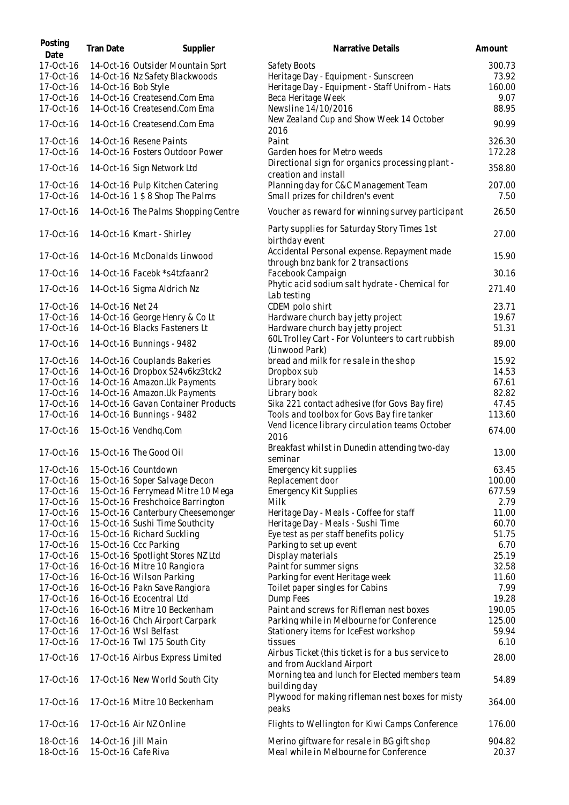| Posting<br>Date | <b>Tran Date</b>    | Supplier                            | Narrative Details                                  | Amount |
|-----------------|---------------------|-------------------------------------|----------------------------------------------------|--------|
| 17-Oct-16       |                     | 14-Oct-16 Outsider Mountain Sprt    | Safety Boots                                       | 300.73 |
| 17-Oct-16       |                     | 14-Oct-16 Nz Safety Blackwoods      | Heritage Day - Equipment - Sunscreen               | 73.92  |
| 17-Oct-16       | 14-Oct-16 Bob Style |                                     | Heritage Day - Equipment - Staff Unifrom - Hats    | 160.00 |
| 17-Oct-16       |                     | 14-Oct-16 Createsend.Com Ema        | Beca Heritage Week                                 | 9.07   |
| 17-Oct-16       |                     | 14-Oct-16 Createsend.Com Ema        | Newsline 14/10/2016                                | 88.95  |
| 17-Oct-16       |                     | 14-Oct-16 Createsend.Com Ema        | New Zealand Cup and Show Week 14 October<br>2016   | 90.99  |
| 17-Oct-16       |                     | 14-Oct-16 Resene Paints             | Paint                                              | 326.30 |
| 17-Oct-16       |                     | 14-Oct-16 Fosters Outdoor Power     | Garden hoes for Metro weeds                        | 172.28 |
|                 |                     |                                     | Directional sign for organics processing plant -   |        |
| 17-Oct-16       |                     | 14-Oct-16 Sign Network Ltd          | creation and install                               | 358.80 |
| 17-Oct-16       |                     | 14-Oct-16 Pulp Kitchen Catering     | Planning day for C&C Management Team               | 207.00 |
| 17-Oct-16       |                     | 14-Oct-16 1 \$ 8 Shop The Palms     | Small prizes for children's event                  | 7.50   |
| 17-Oct-16       |                     | 14-Oct-16 The Palms Shopping Centre | Voucher as reward for winning survey participant   | 26.50  |
| 17-Oct-16       |                     |                                     | Party supplies for Saturday Story Times 1st        | 27.00  |
|                 |                     | 14-Oct-16 Kmart - Shirley           | birthday event                                     |        |
|                 |                     |                                     | Accidental Personal expense. Repayment made        |        |
| 17-Oct-16       |                     | 14-Oct-16 McDonalds Linwood         | through bnz bank for 2 transactions                | 15.90  |
| 17-Oct-16       |                     | 14-Oct-16 Facebk *s4tzfaanr2        | Facebook Campaign                                  | 30.16  |
|                 |                     |                                     | Phytic acid sodium salt hydrate - Chemical for     |        |
| 17-Oct-16       |                     | 14-Oct-16 Sigma Aldrich Nz          | Lab testing                                        | 271.40 |
| 17-Oct-16       | 14-Oct-16 Net 24    |                                     | CDEM polo shirt                                    | 23.71  |
| 17-Oct-16       |                     | 14-Oct-16 George Henry & Co Lt      | Hardware church bay jetty project                  | 19.67  |
| 17-Oct-16       |                     | 14-Oct-16 Blacks Fasteners Lt       | Hardware church bay jetty project                  | 51.31  |
|                 |                     |                                     | 60L Trolley Cart - For Volunteers to cart rubbish  |        |
| 17-Oct-16       |                     | 14-Oct-16 Bunnings - 9482           | (Linwood Park)                                     | 89.00  |
| 17-Oct-16       |                     | 14-Oct-16 Couplands Bakeries        | bread and milk for resale in the shop              | 15.92  |
| 17-Oct-16       |                     | 14-Oct-16 Dropbox S24v6kz3tck2      | Dropbox sub                                        | 14.53  |
| 17-Oct-16       |                     | 14-Oct-16 Amazon.Uk Payments        | Library book                                       | 67.61  |
| 17-Oct-16       |                     | 14-Oct-16 Amazon.Uk Payments        | Library book                                       | 82.82  |
| 17-Oct-16       |                     | 14-Oct-16 Gavan Container Products  | Sika 221 contact adhesive (for Govs Bay fire)      | 47.45  |
| 17-Oct-16       |                     | 14-Oct-16 Bunnings - 9482           | Tools and toolbox for Govs Bay fire tanker         | 113.60 |
|                 |                     |                                     | Vend licence library circulation teams October     |        |
| 17-Oct-16       |                     | 15-Oct-16 Vendhq.Com                | 2016                                               | 674.00 |
|                 |                     |                                     | Breakfast whilst in Dunedin attending two-day      |        |
| 17-Oct-16       |                     | 15-Oct-16 The Good Oil              | seminar                                            | 13.00  |
| 17-Oct-16       |                     | 15-Oct-16 Countdown                 | Emergency kit supplies                             | 63.45  |
| 17-Oct-16       |                     | 15-Oct-16 Soper Salvage Decon       | Replacement door                                   | 100.00 |
| 17-Oct-16       |                     | 15-Oct-16 Ferrymead Mitre 10 Mega   | Emergency Kit Supplies                             | 677.59 |
| 17-Oct-16       |                     | 15-Oct-16 Freshchoice Barrington    | Milk                                               | 2.79   |
| 17-Oct-16       |                     | 15-Oct-16 Canterbury Cheesemonger   | Heritage Day - Meals - Coffee for staff            | 11.00  |
| 17-Oct-16       |                     | 15-Oct-16 Sushi Time Southcity      | Heritage Day - Meals - Sushi Time                  | 60.70  |
| 17-Oct-16       |                     | 15-Oct-16 Richard Suckling          | Eye test as per staff benefits policy              | 51.75  |
| 17-Oct-16       |                     | 15-Oct-16 Ccc Parking               | Parking to set up event                            | 6.70   |
| 17-Oct-16       |                     | 15-Oct-16 Spotlight Stores NZ Ltd   | Display materials                                  | 25.19  |
| 17-Oct-16       |                     | 16-Oct-16 Mitre 10 Rangiora         | Paint for summer signs                             | 32.58  |
| 17-Oct-16       |                     | 16-Oct-16 Wilson Parking            | Parking for event Heritage week                    | 11.60  |
| 17-Oct-16       |                     | 16-Oct-16 Pakn Save Rangiora        | Toilet paper singles for Cabins                    | 7.99   |
| 17-Oct-16       |                     | 16-Oct-16 Ecocentral Ltd            | Dump Fees                                          | 19.28  |
| 17-Oct-16       |                     | 16-Oct-16 Mitre 10 Beckenham        | Paint and screws for Rifleman nest boxes           | 190.05 |
| 17-Oct-16       |                     | 16-Oct-16 Chch Airport Carpark      | Parking while in Melbourne for Conference          | 125.00 |
| 17-Oct-16       |                     | 17-Oct-16 Wsl Belfast               |                                                    | 59.94  |
|                 |                     |                                     | Stationery items for IceFest workshop<br>tissues   |        |
| 17-Oct-16       |                     | 17-Oct-16 Twl 175 South City        |                                                    | 6.10   |
| 17-Oct-16       |                     | 17-Oct-16 Airbus Express Limited    | Airbus Ticket (this ticket is for a bus service to | 28.00  |
|                 |                     |                                     | and from Auckland Airport                          |        |
| 17-Oct-16       |                     | 17-Oct-16 New World South City      | Morning tea and lunch for Elected members team     | 54.89  |
|                 |                     |                                     | building day                                       |        |
| 17-Oct-16       |                     | 17-Oct-16 Mitre 10 Beckenham        | Plywood for making rifleman nest boxes for misty   | 364.00 |
|                 |                     |                                     | peaks                                              |        |
| 17-Oct-16       |                     | 17-Oct-16 Air NZ Online             | Flights to Wellington for Kiwi Camps Conference    | 176.00 |
| 18-Oct-16       | 14-Oct-16 Jill Main |                                     | Merino giftware for resale in BG gift shop         | 904.82 |
| 18-Oct-16       | 15-Oct-16 Cafe Riva |                                     | Meal while in Melbourne for Conference             | 20.37  |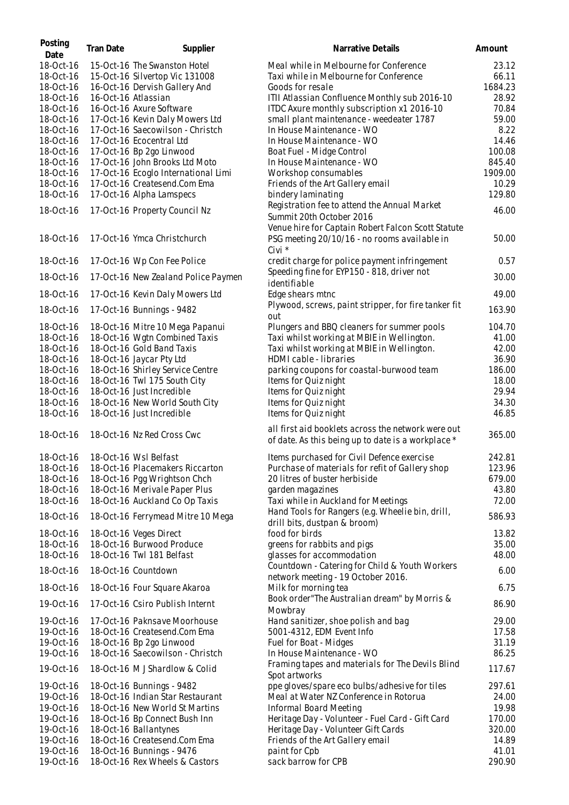| Posting<br>Date        | <b>Tran Date</b> | Supplier                                                     | Narrative Details                                                                                        | Amount           |
|------------------------|------------------|--------------------------------------------------------------|----------------------------------------------------------------------------------------------------------|------------------|
| 18-Oct-16              |                  | 15-Oct-16 The Swanston Hotel                                 | Meal while in Melbourne for Conference                                                                   | 23.12            |
| 18-Oct-16              |                  | 15-Oct-16 Silvertop Vic 131008                               | Taxi while in Melbourne for Conference                                                                   | 66.11            |
| 18-Oct-16              |                  | 16-Oct-16 Dervish Gallery And                                | Goods for resale                                                                                         | 1684.23          |
| 18-Oct-16              |                  | 16-Oct-16 Atlassian                                          | ITII Atlassian Confluence Monthly sub 2016-10                                                            | 28.92            |
| 18-Oct-16              |                  | 16-Oct-16 Axure Software                                     | ITDC Axure monthly subscription x1 2016-10                                                               | 70.84            |
| 18-Oct-16              |                  | 17-Oct-16 Kevin Daly Mowers Ltd                              | small plant maintenance - weedeater 1787                                                                 | 59.00            |
| 18-Oct-16              |                  | 17-Oct-16 Saecowilson - Christch<br>17-Oct-16 Ecocentral Ltd | In House Maintenance - WO<br>In House Maintenance - WO                                                   | 8.22<br>14.46    |
| 18-Oct-16<br>18-Oct-16 |                  | 17-Oct-16 Bp 2go Linwood                                     | Boat Fuel - Midge Control                                                                                | 100.08           |
| 18-Oct-16              |                  | 17-Oct-16 John Brooks Ltd Moto                               | In House Maintenance - WO                                                                                | 845.40           |
| 18-Oct-16              |                  | 17-Oct-16 Ecoglo International Limi                          | Workshop consumables                                                                                     | 1909.00          |
| 18-Oct-16              |                  | 17-Oct-16 Createsend.Com Ema                                 | Friends of the Art Gallery email                                                                         | 10.29            |
| 18-Oct-16              |                  | 17-Oct-16 Alpha Lamspecs                                     | bindery laminating                                                                                       | 129.80           |
|                        |                  |                                                              | Registration fee to attend the Annual Market                                                             |                  |
| 18-Oct-16              |                  | 17-Oct-16 Property Council Nz                                | Summit 20th October 2016<br>Venue hire for Captain Robert Falcon Scott Statute                           | 46.00            |
| 18-Oct-16              |                  | 17-Oct-16 Ymca Christchurch                                  | PSG meeting 20/10/16 - no rooms available in<br>Civi *                                                   | 50.00            |
| 18-Oct-16              |                  | 17-Oct-16 Wp Con Fee Police                                  | credit charge for police payment infringement<br>Speeding fine for EYP150 - 818, driver not              | 0.57             |
| 18-Oct-16              |                  | 17-Oct-16 New Zealand Police Paymen                          | identifiable                                                                                             | 30.00            |
| 18-Oct-16              |                  | 17-Oct-16 Kevin Daly Mowers Ltd                              | Edge shears mtnc                                                                                         | 49.00            |
| 18-Oct-16              |                  | 17-Oct-16 Bunnings - 9482                                    | Plywood, screws, paint stripper, for fire tanker fit<br>out                                              | 163.90           |
| 18-Oct-16              |                  | 18-Oct-16 Mitre 10 Mega Papanui                              | Plungers and BBQ cleaners for summer pools                                                               | 104.70           |
| 18-Oct-16              |                  | 18-Oct-16 Wgtn Combined Taxis                                | Taxi whilst working at MBIE in Wellington.                                                               | 41.00            |
| 18-Oct-16              |                  | 18-Oct-16 Gold Band Taxis                                    | Taxi whilst working at MBIE in Wellington.                                                               | 42.00            |
| 18-Oct-16              |                  | 18-Oct-16 Jaycar Pty Ltd                                     | HDMI cable - libraries                                                                                   | 36.90            |
| 18-Oct-16              |                  | 18-Oct-16 Shirley Service Centre                             | parking coupons for coastal-burwood team                                                                 | 186.00           |
| 18-Oct-16<br>18-Oct-16 |                  | 18-Oct-16 Twl 175 South City<br>18-Oct-16 Just Incredible    | Items for Quiz night<br>Items for Quiz night                                                             | 18.00<br>29.94   |
| 18-Oct-16              |                  | 18-Oct-16 New World South City                               | Items for Quiz night                                                                                     | 34.30            |
| 18-Oct-16              |                  | 18-Oct-16 Just Incredible                                    | Items for Quiz night                                                                                     | 46.85            |
|                        |                  |                                                              |                                                                                                          |                  |
| 18-Oct-16              |                  | 18-Oct-16 Nz Red Cross Cwc                                   | all first aid booklets across the network were out<br>of date. As this being up to date is a workplace * | 365.00           |
| 18-Oct-16              |                  | 18-Oct-16 Wsl Belfast                                        | Items purchased for Civil Defence exercise                                                               | 242.81           |
| 18-Oct-16              |                  | 18-Oct-16 Placemakers Riccarton                              | Purchase of materials for refit of Gallery shop                                                          | 123.96           |
| 18-Oct-16              |                  | 18-Oct-16 Pgg Wrightson Chch                                 | 20 litres of buster herbiside                                                                            | 679.00           |
| 18-Oct-16              |                  | 18-Oct-16 Merivale Paper Plus                                | garden magazines                                                                                         | 43.80            |
| 18-Oct-16              |                  | 18-Oct-16 Auckland Co Op Taxis                               | Taxi while in Auckland for Meetings                                                                      | 72.00            |
| 18-Oct-16              |                  | 18-Oct-16 Ferrymead Mitre 10 Mega                            | Hand Tools for Rangers (e.g. Wheelie bin, drill,<br>drill bits, dustpan & broom)                         | 586.93           |
| 18-Oct-16              |                  | 18-Oct-16 Veges Direct                                       | food for birds                                                                                           | 13.82            |
| 18-Oct-16              |                  | 18-Oct-16 Burwood Produce                                    | greens for rabbits and pigs                                                                              | 35.00            |
| 18-Oct-16              |                  | 18-Oct-16 Twl 181 Belfast                                    | glasses for accommodation                                                                                | 48.00            |
| 18-Oct-16              |                  | 18-Oct-16 Countdown                                          | Countdown - Catering for Child & Youth Workers<br>network meeting - 19 October 2016.                     | 6.00             |
| 18-Oct-16              |                  | 18-Oct-16 Four Square Akaroa                                 | Milk for morning tea                                                                                     | 6.75             |
| 19-Oct-16              |                  | 17-Oct-16 Csiro Publish Internt                              | Book order "The Australian dream" by Morris &<br>Mowbray                                                 | 86.90            |
| 19-Oct-16              |                  | 17-Oct-16 Paknsave Moorhouse                                 | Hand sanitizer, shoe polish and bag                                                                      | 29.00            |
| 19-Oct-16              |                  | 18-Oct-16 Createsend.Com Ema                                 | 5001-4312, EDM Event Info                                                                                | 17.58            |
| 19-Oct-16              |                  | 18-Oct-16 Bp 2go Linwood                                     | Fuel for Boat - Midges                                                                                   | 31.19            |
| 19-Oct-16              |                  | 18-Oct-16 Saecowilson - Christch                             | In House Maintenance - WO<br>Framing tapes and materials for The Devils Blind                            | 86.25            |
| 19-Oct-16<br>19-Oct-16 |                  | 18-Oct-16 M J Shardlow & Colid<br>18-Oct-16 Bunnings - 9482  | Spot artworks<br>ppe gloves/spare eco bulbs/adhesive for tiles                                           | 117.67<br>297.61 |
| 19-Oct-16              |                  | 18-Oct-16 Indian Star Restaurant                             | Meal at Water NZ Conference in Rotorua                                                                   | 24.00            |
| 19-Oct-16              |                  | 18-Oct-16 New World St Martins                               | Informal Board Meeting                                                                                   | 19.98            |
| 19-Oct-16              |                  | 18-Oct-16 Bp Connect Bush Inn                                | Heritage Day - Volunteer - Fuel Card - Gift Card                                                         | 170.00           |
| 19-Oct-16              |                  | 18-Oct-16 Ballantynes                                        | Heritage Day - Volunteer Gift Cards                                                                      | 320.00           |
| 19-Oct-16              |                  | 18-Oct-16 Createsend.Com Ema                                 | Friends of the Art Gallery email                                                                         | 14.89            |
| 19-Oct-16              |                  | 18-Oct-16 Bunnings - 9476                                    | paint for Cpb                                                                                            | 41.01            |
| 19-Oct-16              |                  | 18-Oct-16 Rex Wheels & Castors                               | sack barrow for CPB                                                                                      | 290.90           |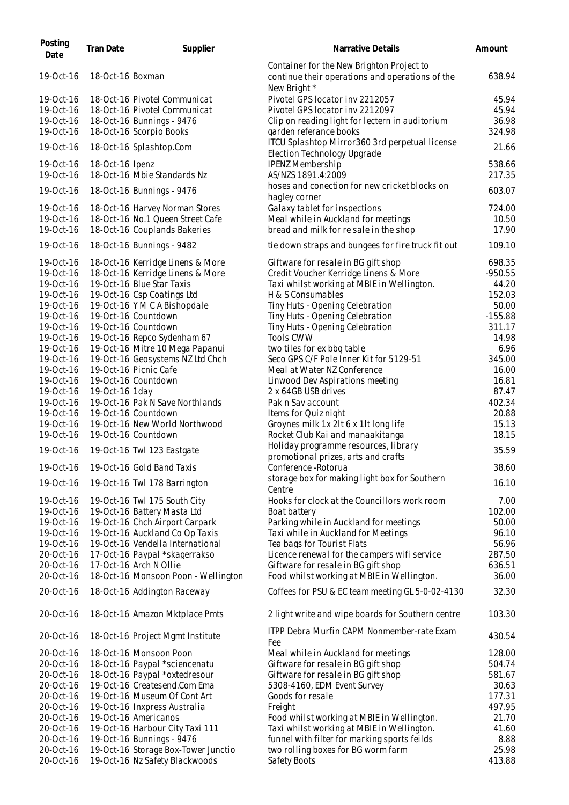| 638.94<br>18-Oct-16 Boxman<br>continue their operations and operations of the<br>New Bright *<br>Pivotel GPS locator inv 2212057<br>19-Oct-16<br>18-Oct-16 Pivotel Communicat<br>45.94<br>19-Oct-16<br>18-Oct-16 Pivotel Communicat<br>Pivotel GPS locator inv 2212097<br>45.94<br>19-Oct-16<br>36.98<br>18-Oct-16 Bunnings - 9476<br>Clip on reading light for lectern in auditorium<br>19-Oct-16<br>18-Oct-16 Scorpio Books<br>324.98<br>garden referance books<br>ITCU Splashtop Mirror360 3rd perpetual license<br>19-Oct-16<br>21.66<br>18-Oct-16 Splashtop.Com<br>Election Technology Upgrade<br><b>IPENZ Membership</b><br>538.66<br>19-Oct-16<br>18-Oct-16 Ipenz<br>18-Oct-16 Mbie Standards Nz<br>19-Oct-16<br>AS/NZS 1891.4:2009<br>217.35<br>hoses and conection for new cricket blocks on<br>603.07<br>19-Oct-16<br>18-Oct-16 Bunnings - 9476<br>hagley corner<br>Galaxy tablet for inspections<br>724.00<br>19-Oct-16<br>18-Oct-16 Harvey Norman Stores<br>18-Oct-16 No.1 Queen Street Cafe<br>Meal while in Auckland for meetings<br>19-Oct-16<br>10.50<br>18-Oct-16 Couplands Bakeries<br>bread and milk for resale in the shop<br>17.90<br>18-Oct-16 Bunnings - 9482<br>109.10<br>19-Oct-16<br>tie down straps and bungees for fire truck fit out<br>18-Oct-16 Kerridge Linens & More<br>Giftware for resale in BG gift shop<br>698.35<br>18-Oct-16 Kerridge Linens & More<br>Credit Voucher Kerridge Linens & More<br>$-950.55$<br>19-Oct-16 Blue Star Taxis<br>Taxi whilst working at MBIE in Wellington.<br>44.20<br>19-Oct-16 Csp Coatings Ltd<br>H & S Consumables<br>152.03<br>Tiny Huts - Opening Celebration<br>19-Oct-16 YMCA Bishopdale<br>50.00<br>19-Oct-16 Countdown<br>$-155.88$<br>Tiny Huts - Opening Celebration<br>19-Oct-16 Countdown<br>Tiny Huts - Opening Celebration<br>311.17<br><b>Tools CWW</b><br>19-Oct-16 Repco Sydenham 67<br>14.98<br>19-Oct-16 Mitre 10 Mega Papanui<br>two tiles for ex bbq table<br>6.96<br>Seco GPS C/F Pole Inner Kit for 5129-51<br>19-Oct-16 Geosystems NZ Ltd Chch<br>345.00<br>19-Oct-16 Picnic Cafe<br>Meal at Water NZ Conference<br>16.00<br>19-Oct-16 Countdown<br>16.81<br>Linwood Dev Aspirations meeting<br>19-Oct-16 1day<br>2 x 64GB USB drives<br>87.47<br>19-Oct-16 Pak N Save Northlands<br>Pak n Sav account<br>402.34<br>19-Oct-16 Countdown<br>Items for Quiz night<br>20.88<br>19-Oct-16 New World Northwood<br>Groynes milk 1x 2lt 6 x 1lt long life<br>15.13<br>19-Oct-16<br>19-Oct-16 Countdown<br>Rocket Club Kai and manaakitanga<br>18.15<br>Holiday programme resources, library<br>19-Oct-16 Twl 123 Eastgate<br>35.59<br>19-Oct-16<br>promotional prizes, arts and crafts<br>19-Oct-16 Gold Band Taxis<br>Conference - Rotorua<br>38.60<br>storage box for making light box for Southern<br>19-Oct-16<br>16.10<br>19-Oct-16 Twl 178 Barrington<br>Centre<br>Hooks for clock at the Councillors work room<br>19-Oct-16 Twl 175 South City<br>7.00<br>19-Oct-16 Battery Masta Ltd<br>102.00<br>Boat battery<br>19-Oct-16 Chch Airport Carpark<br>Parking while in Auckland for meetings<br>50.00<br>19-Oct-16 Auckland Co Op Taxis<br>Taxi while in Auckland for Meetings<br>96.10<br>19-Oct-16 Vendella International<br>19-Oct-16<br>Tea bags for Tourist Flats<br>56.96<br>17-Oct-16 Paypal *skagerrakso<br>287.50<br>20-Oct-16<br>Licence renewal for the campers wifi service<br>17-Oct-16 Arch N Ollie<br>Giftware for resale in BG gift shop<br>20-Oct-16<br>636.51<br>20-Oct-16<br>18-Oct-16 Monsoon Poon - Wellington<br>Food whilst working at MBIE in Wellington.<br>36.00<br>Coffees for PSU & EC team meeting GL 5-0-02-4130<br>32.30<br>18-Oct-16 Addington Raceway<br>2 light write and wipe boards for Southern centre<br>103.30<br>18-Oct-16 Amazon Mktplace Pmts<br>ITPP Debra Murfin CAPM Nonmember-rate Exam<br>430.54<br>18-Oct-16 Project Mgmt Institute<br>Fee<br>18-Oct-16 Monsoon Poon<br>128.00<br>20-Oct-16<br>Meal while in Auckland for meetings<br>Giftware for resale in BG gift shop<br>20-Oct-16<br>18-Oct-16 Paypal *sciencenatu<br>504.74<br>18-Oct-16 Paypal *oxtedresour<br>Giftware for resale in BG gift shop<br>20-Oct-16<br>581.67<br>19-Oct-16 Createsend.Com Ema<br>20-Oct-16<br>5308-4160, EDM Event Survey<br>30.63<br>19-Oct-16 Museum Of Cont Art<br>Goods for resale<br>20-Oct-16<br>177.31<br>497.95<br>20-Oct-16<br>19-Oct-16 Inxpress Australia<br>Freight<br>19-Oct-16 Americanos<br>21.70<br>20-Oct-16<br>Food whilst working at MBIE in Wellington.<br>19-Oct-16 Harbour City Taxi 111<br>Taxi whilst working at MBIE in Wellington.<br>20-Oct-16<br>41.60<br>19-Oct-16 Bunnings - 9476<br>funnel with filter for marking sports feilds<br>20-Oct-16<br>8.88<br>19-Oct-16 Storage Box-Tower Junctio<br>two rolling boxes for BG worm farm<br>25.98<br>20-Oct-16<br>19-Oct-16 Nz Safety Blackwoods<br>Safety Boots<br>413.88 | Posting<br>Date | <b>Tran Date</b> | Supplier | Narrative Details                         | Amount |
|----------------------------------------------------------------------------------------------------------------------------------------------------------------------------------------------------------------------------------------------------------------------------------------------------------------------------------------------------------------------------------------------------------------------------------------------------------------------------------------------------------------------------------------------------------------------------------------------------------------------------------------------------------------------------------------------------------------------------------------------------------------------------------------------------------------------------------------------------------------------------------------------------------------------------------------------------------------------------------------------------------------------------------------------------------------------------------------------------------------------------------------------------------------------------------------------------------------------------------------------------------------------------------------------------------------------------------------------------------------------------------------------------------------------------------------------------------------------------------------------------------------------------------------------------------------------------------------------------------------------------------------------------------------------------------------------------------------------------------------------------------------------------------------------------------------------------------------------------------------------------------------------------------------------------------------------------------------------------------------------------------------------------------------------------------------------------------------------------------------------------------------------------------------------------------------------------------------------------------------------------------------------------------------------------------------------------------------------------------------------------------------------------------------------------------------------------------------------------------------------------------------------------------------------------------------------------------------------------------------------------------------------------------------------------------------------------------------------------------------------------------------------------------------------------------------------------------------------------------------------------------------------------------------------------------------------------------------------------------------------------------------------------------------------------------------------------------------------------------------------------------------------------------------------------------------------------------------------------------------------------------------------------------------------------------------------------------------------------------------------------------------------------------------------------------------------------------------------------------------------------------------------------------------------------------------------------------------------------------------------------------------------------------------------------------------------------------------------------------------------------------------------------------------------------------------------------------------------------------------------------------------------------------------------------------------------------------------------------------------------------------------------------------------------------------------------------------------------------------------------------------------------------------------------------------------------------------------------------------------------------------------------------------------------------------------------------------------------------------------------------------------------------------------------------------------------------------------------------------------------------------------------------------------------------------------------------------------------------------------------------------------------------------------------------------------------------------------------------------------------------------------------------------------------------------------------------------------------------------------------------------|-----------------|------------------|----------|-------------------------------------------|--------|
|                                                                                                                                                                                                                                                                                                                                                                                                                                                                                                                                                                                                                                                                                                                                                                                                                                                                                                                                                                                                                                                                                                                                                                                                                                                                                                                                                                                                                                                                                                                                                                                                                                                                                                                                                                                                                                                                                                                                                                                                                                                                                                                                                                                                                                                                                                                                                                                                                                                                                                                                                                                                                                                                                                                                                                                                                                                                                                                                                                                                                                                                                                                                                                                                                                                                                                                                                                                                                                                                                                                                                                                                                                                                                                                                                                                                                                                                                                                                                                                                                                                                                                                                                                                                                                                                                                                                                                                                                                                                                                                                                                                                                                                                                                                                                                                                                                                                                  | 19-Oct-16       |                  |          | Container for the New Brighton Project to |        |
|                                                                                                                                                                                                                                                                                                                                                                                                                                                                                                                                                                                                                                                                                                                                                                                                                                                                                                                                                                                                                                                                                                                                                                                                                                                                                                                                                                                                                                                                                                                                                                                                                                                                                                                                                                                                                                                                                                                                                                                                                                                                                                                                                                                                                                                                                                                                                                                                                                                                                                                                                                                                                                                                                                                                                                                                                                                                                                                                                                                                                                                                                                                                                                                                                                                                                                                                                                                                                                                                                                                                                                                                                                                                                                                                                                                                                                                                                                                                                                                                                                                                                                                                                                                                                                                                                                                                                                                                                                                                                                                                                                                                                                                                                                                                                                                                                                                                                  |                 |                  |          |                                           |        |
|                                                                                                                                                                                                                                                                                                                                                                                                                                                                                                                                                                                                                                                                                                                                                                                                                                                                                                                                                                                                                                                                                                                                                                                                                                                                                                                                                                                                                                                                                                                                                                                                                                                                                                                                                                                                                                                                                                                                                                                                                                                                                                                                                                                                                                                                                                                                                                                                                                                                                                                                                                                                                                                                                                                                                                                                                                                                                                                                                                                                                                                                                                                                                                                                                                                                                                                                                                                                                                                                                                                                                                                                                                                                                                                                                                                                                                                                                                                                                                                                                                                                                                                                                                                                                                                                                                                                                                                                                                                                                                                                                                                                                                                                                                                                                                                                                                                                                  |                 |                  |          |                                           |        |
|                                                                                                                                                                                                                                                                                                                                                                                                                                                                                                                                                                                                                                                                                                                                                                                                                                                                                                                                                                                                                                                                                                                                                                                                                                                                                                                                                                                                                                                                                                                                                                                                                                                                                                                                                                                                                                                                                                                                                                                                                                                                                                                                                                                                                                                                                                                                                                                                                                                                                                                                                                                                                                                                                                                                                                                                                                                                                                                                                                                                                                                                                                                                                                                                                                                                                                                                                                                                                                                                                                                                                                                                                                                                                                                                                                                                                                                                                                                                                                                                                                                                                                                                                                                                                                                                                                                                                                                                                                                                                                                                                                                                                                                                                                                                                                                                                                                                                  |                 |                  |          |                                           |        |
|                                                                                                                                                                                                                                                                                                                                                                                                                                                                                                                                                                                                                                                                                                                                                                                                                                                                                                                                                                                                                                                                                                                                                                                                                                                                                                                                                                                                                                                                                                                                                                                                                                                                                                                                                                                                                                                                                                                                                                                                                                                                                                                                                                                                                                                                                                                                                                                                                                                                                                                                                                                                                                                                                                                                                                                                                                                                                                                                                                                                                                                                                                                                                                                                                                                                                                                                                                                                                                                                                                                                                                                                                                                                                                                                                                                                                                                                                                                                                                                                                                                                                                                                                                                                                                                                                                                                                                                                                                                                                                                                                                                                                                                                                                                                                                                                                                                                                  |                 |                  |          |                                           |        |
|                                                                                                                                                                                                                                                                                                                                                                                                                                                                                                                                                                                                                                                                                                                                                                                                                                                                                                                                                                                                                                                                                                                                                                                                                                                                                                                                                                                                                                                                                                                                                                                                                                                                                                                                                                                                                                                                                                                                                                                                                                                                                                                                                                                                                                                                                                                                                                                                                                                                                                                                                                                                                                                                                                                                                                                                                                                                                                                                                                                                                                                                                                                                                                                                                                                                                                                                                                                                                                                                                                                                                                                                                                                                                                                                                                                                                                                                                                                                                                                                                                                                                                                                                                                                                                                                                                                                                                                                                                                                                                                                                                                                                                                                                                                                                                                                                                                                                  |                 |                  |          |                                           |        |
|                                                                                                                                                                                                                                                                                                                                                                                                                                                                                                                                                                                                                                                                                                                                                                                                                                                                                                                                                                                                                                                                                                                                                                                                                                                                                                                                                                                                                                                                                                                                                                                                                                                                                                                                                                                                                                                                                                                                                                                                                                                                                                                                                                                                                                                                                                                                                                                                                                                                                                                                                                                                                                                                                                                                                                                                                                                                                                                                                                                                                                                                                                                                                                                                                                                                                                                                                                                                                                                                                                                                                                                                                                                                                                                                                                                                                                                                                                                                                                                                                                                                                                                                                                                                                                                                                                                                                                                                                                                                                                                                                                                                                                                                                                                                                                                                                                                                                  |                 |                  |          |                                           |        |
|                                                                                                                                                                                                                                                                                                                                                                                                                                                                                                                                                                                                                                                                                                                                                                                                                                                                                                                                                                                                                                                                                                                                                                                                                                                                                                                                                                                                                                                                                                                                                                                                                                                                                                                                                                                                                                                                                                                                                                                                                                                                                                                                                                                                                                                                                                                                                                                                                                                                                                                                                                                                                                                                                                                                                                                                                                                                                                                                                                                                                                                                                                                                                                                                                                                                                                                                                                                                                                                                                                                                                                                                                                                                                                                                                                                                                                                                                                                                                                                                                                                                                                                                                                                                                                                                                                                                                                                                                                                                                                                                                                                                                                                                                                                                                                                                                                                                                  |                 |                  |          |                                           |        |
|                                                                                                                                                                                                                                                                                                                                                                                                                                                                                                                                                                                                                                                                                                                                                                                                                                                                                                                                                                                                                                                                                                                                                                                                                                                                                                                                                                                                                                                                                                                                                                                                                                                                                                                                                                                                                                                                                                                                                                                                                                                                                                                                                                                                                                                                                                                                                                                                                                                                                                                                                                                                                                                                                                                                                                                                                                                                                                                                                                                                                                                                                                                                                                                                                                                                                                                                                                                                                                                                                                                                                                                                                                                                                                                                                                                                                                                                                                                                                                                                                                                                                                                                                                                                                                                                                                                                                                                                                                                                                                                                                                                                                                                                                                                                                                                                                                                                                  |                 |                  |          |                                           |        |
|                                                                                                                                                                                                                                                                                                                                                                                                                                                                                                                                                                                                                                                                                                                                                                                                                                                                                                                                                                                                                                                                                                                                                                                                                                                                                                                                                                                                                                                                                                                                                                                                                                                                                                                                                                                                                                                                                                                                                                                                                                                                                                                                                                                                                                                                                                                                                                                                                                                                                                                                                                                                                                                                                                                                                                                                                                                                                                                                                                                                                                                                                                                                                                                                                                                                                                                                                                                                                                                                                                                                                                                                                                                                                                                                                                                                                                                                                                                                                                                                                                                                                                                                                                                                                                                                                                                                                                                                                                                                                                                                                                                                                                                                                                                                                                                                                                                                                  |                 |                  |          |                                           |        |
|                                                                                                                                                                                                                                                                                                                                                                                                                                                                                                                                                                                                                                                                                                                                                                                                                                                                                                                                                                                                                                                                                                                                                                                                                                                                                                                                                                                                                                                                                                                                                                                                                                                                                                                                                                                                                                                                                                                                                                                                                                                                                                                                                                                                                                                                                                                                                                                                                                                                                                                                                                                                                                                                                                                                                                                                                                                                                                                                                                                                                                                                                                                                                                                                                                                                                                                                                                                                                                                                                                                                                                                                                                                                                                                                                                                                                                                                                                                                                                                                                                                                                                                                                                                                                                                                                                                                                                                                                                                                                                                                                                                                                                                                                                                                                                                                                                                                                  |                 |                  |          |                                           |        |
|                                                                                                                                                                                                                                                                                                                                                                                                                                                                                                                                                                                                                                                                                                                                                                                                                                                                                                                                                                                                                                                                                                                                                                                                                                                                                                                                                                                                                                                                                                                                                                                                                                                                                                                                                                                                                                                                                                                                                                                                                                                                                                                                                                                                                                                                                                                                                                                                                                                                                                                                                                                                                                                                                                                                                                                                                                                                                                                                                                                                                                                                                                                                                                                                                                                                                                                                                                                                                                                                                                                                                                                                                                                                                                                                                                                                                                                                                                                                                                                                                                                                                                                                                                                                                                                                                                                                                                                                                                                                                                                                                                                                                                                                                                                                                                                                                                                                                  |                 |                  |          |                                           |        |
|                                                                                                                                                                                                                                                                                                                                                                                                                                                                                                                                                                                                                                                                                                                                                                                                                                                                                                                                                                                                                                                                                                                                                                                                                                                                                                                                                                                                                                                                                                                                                                                                                                                                                                                                                                                                                                                                                                                                                                                                                                                                                                                                                                                                                                                                                                                                                                                                                                                                                                                                                                                                                                                                                                                                                                                                                                                                                                                                                                                                                                                                                                                                                                                                                                                                                                                                                                                                                                                                                                                                                                                                                                                                                                                                                                                                                                                                                                                                                                                                                                                                                                                                                                                                                                                                                                                                                                                                                                                                                                                                                                                                                                                                                                                                                                                                                                                                                  |                 |                  |          |                                           |        |
|                                                                                                                                                                                                                                                                                                                                                                                                                                                                                                                                                                                                                                                                                                                                                                                                                                                                                                                                                                                                                                                                                                                                                                                                                                                                                                                                                                                                                                                                                                                                                                                                                                                                                                                                                                                                                                                                                                                                                                                                                                                                                                                                                                                                                                                                                                                                                                                                                                                                                                                                                                                                                                                                                                                                                                                                                                                                                                                                                                                                                                                                                                                                                                                                                                                                                                                                                                                                                                                                                                                                                                                                                                                                                                                                                                                                                                                                                                                                                                                                                                                                                                                                                                                                                                                                                                                                                                                                                                                                                                                                                                                                                                                                                                                                                                                                                                                                                  | 19-Oct-16       |                  |          |                                           |        |
|                                                                                                                                                                                                                                                                                                                                                                                                                                                                                                                                                                                                                                                                                                                                                                                                                                                                                                                                                                                                                                                                                                                                                                                                                                                                                                                                                                                                                                                                                                                                                                                                                                                                                                                                                                                                                                                                                                                                                                                                                                                                                                                                                                                                                                                                                                                                                                                                                                                                                                                                                                                                                                                                                                                                                                                                                                                                                                                                                                                                                                                                                                                                                                                                                                                                                                                                                                                                                                                                                                                                                                                                                                                                                                                                                                                                                                                                                                                                                                                                                                                                                                                                                                                                                                                                                                                                                                                                                                                                                                                                                                                                                                                                                                                                                                                                                                                                                  |                 |                  |          |                                           |        |
|                                                                                                                                                                                                                                                                                                                                                                                                                                                                                                                                                                                                                                                                                                                                                                                                                                                                                                                                                                                                                                                                                                                                                                                                                                                                                                                                                                                                                                                                                                                                                                                                                                                                                                                                                                                                                                                                                                                                                                                                                                                                                                                                                                                                                                                                                                                                                                                                                                                                                                                                                                                                                                                                                                                                                                                                                                                                                                                                                                                                                                                                                                                                                                                                                                                                                                                                                                                                                                                                                                                                                                                                                                                                                                                                                                                                                                                                                                                                                                                                                                                                                                                                                                                                                                                                                                                                                                                                                                                                                                                                                                                                                                                                                                                                                                                                                                                                                  |                 |                  |          |                                           |        |
|                                                                                                                                                                                                                                                                                                                                                                                                                                                                                                                                                                                                                                                                                                                                                                                                                                                                                                                                                                                                                                                                                                                                                                                                                                                                                                                                                                                                                                                                                                                                                                                                                                                                                                                                                                                                                                                                                                                                                                                                                                                                                                                                                                                                                                                                                                                                                                                                                                                                                                                                                                                                                                                                                                                                                                                                                                                                                                                                                                                                                                                                                                                                                                                                                                                                                                                                                                                                                                                                                                                                                                                                                                                                                                                                                                                                                                                                                                                                                                                                                                                                                                                                                                                                                                                                                                                                                                                                                                                                                                                                                                                                                                                                                                                                                                                                                                                                                  | 19-Oct-16       |                  |          |                                           |        |
|                                                                                                                                                                                                                                                                                                                                                                                                                                                                                                                                                                                                                                                                                                                                                                                                                                                                                                                                                                                                                                                                                                                                                                                                                                                                                                                                                                                                                                                                                                                                                                                                                                                                                                                                                                                                                                                                                                                                                                                                                                                                                                                                                                                                                                                                                                                                                                                                                                                                                                                                                                                                                                                                                                                                                                                                                                                                                                                                                                                                                                                                                                                                                                                                                                                                                                                                                                                                                                                                                                                                                                                                                                                                                                                                                                                                                                                                                                                                                                                                                                                                                                                                                                                                                                                                                                                                                                                                                                                                                                                                                                                                                                                                                                                                                                                                                                                                                  | 19-Oct-16       |                  |          |                                           |        |
|                                                                                                                                                                                                                                                                                                                                                                                                                                                                                                                                                                                                                                                                                                                                                                                                                                                                                                                                                                                                                                                                                                                                                                                                                                                                                                                                                                                                                                                                                                                                                                                                                                                                                                                                                                                                                                                                                                                                                                                                                                                                                                                                                                                                                                                                                                                                                                                                                                                                                                                                                                                                                                                                                                                                                                                                                                                                                                                                                                                                                                                                                                                                                                                                                                                                                                                                                                                                                                                                                                                                                                                                                                                                                                                                                                                                                                                                                                                                                                                                                                                                                                                                                                                                                                                                                                                                                                                                                                                                                                                                                                                                                                                                                                                                                                                                                                                                                  | 19-Oct-16       |                  |          |                                           |        |
|                                                                                                                                                                                                                                                                                                                                                                                                                                                                                                                                                                                                                                                                                                                                                                                                                                                                                                                                                                                                                                                                                                                                                                                                                                                                                                                                                                                                                                                                                                                                                                                                                                                                                                                                                                                                                                                                                                                                                                                                                                                                                                                                                                                                                                                                                                                                                                                                                                                                                                                                                                                                                                                                                                                                                                                                                                                                                                                                                                                                                                                                                                                                                                                                                                                                                                                                                                                                                                                                                                                                                                                                                                                                                                                                                                                                                                                                                                                                                                                                                                                                                                                                                                                                                                                                                                                                                                                                                                                                                                                                                                                                                                                                                                                                                                                                                                                                                  | 19-Oct-16       |                  |          |                                           |        |
|                                                                                                                                                                                                                                                                                                                                                                                                                                                                                                                                                                                                                                                                                                                                                                                                                                                                                                                                                                                                                                                                                                                                                                                                                                                                                                                                                                                                                                                                                                                                                                                                                                                                                                                                                                                                                                                                                                                                                                                                                                                                                                                                                                                                                                                                                                                                                                                                                                                                                                                                                                                                                                                                                                                                                                                                                                                                                                                                                                                                                                                                                                                                                                                                                                                                                                                                                                                                                                                                                                                                                                                                                                                                                                                                                                                                                                                                                                                                                                                                                                                                                                                                                                                                                                                                                                                                                                                                                                                                                                                                                                                                                                                                                                                                                                                                                                                                                  | 19-Oct-16       |                  |          |                                           |        |
|                                                                                                                                                                                                                                                                                                                                                                                                                                                                                                                                                                                                                                                                                                                                                                                                                                                                                                                                                                                                                                                                                                                                                                                                                                                                                                                                                                                                                                                                                                                                                                                                                                                                                                                                                                                                                                                                                                                                                                                                                                                                                                                                                                                                                                                                                                                                                                                                                                                                                                                                                                                                                                                                                                                                                                                                                                                                                                                                                                                                                                                                                                                                                                                                                                                                                                                                                                                                                                                                                                                                                                                                                                                                                                                                                                                                                                                                                                                                                                                                                                                                                                                                                                                                                                                                                                                                                                                                                                                                                                                                                                                                                                                                                                                                                                                                                                                                                  | 19-Oct-16       |                  |          |                                           |        |
|                                                                                                                                                                                                                                                                                                                                                                                                                                                                                                                                                                                                                                                                                                                                                                                                                                                                                                                                                                                                                                                                                                                                                                                                                                                                                                                                                                                                                                                                                                                                                                                                                                                                                                                                                                                                                                                                                                                                                                                                                                                                                                                                                                                                                                                                                                                                                                                                                                                                                                                                                                                                                                                                                                                                                                                                                                                                                                                                                                                                                                                                                                                                                                                                                                                                                                                                                                                                                                                                                                                                                                                                                                                                                                                                                                                                                                                                                                                                                                                                                                                                                                                                                                                                                                                                                                                                                                                                                                                                                                                                                                                                                                                                                                                                                                                                                                                                                  | 19-Oct-16       |                  |          |                                           |        |
|                                                                                                                                                                                                                                                                                                                                                                                                                                                                                                                                                                                                                                                                                                                                                                                                                                                                                                                                                                                                                                                                                                                                                                                                                                                                                                                                                                                                                                                                                                                                                                                                                                                                                                                                                                                                                                                                                                                                                                                                                                                                                                                                                                                                                                                                                                                                                                                                                                                                                                                                                                                                                                                                                                                                                                                                                                                                                                                                                                                                                                                                                                                                                                                                                                                                                                                                                                                                                                                                                                                                                                                                                                                                                                                                                                                                                                                                                                                                                                                                                                                                                                                                                                                                                                                                                                                                                                                                                                                                                                                                                                                                                                                                                                                                                                                                                                                                                  | 19-Oct-16       |                  |          |                                           |        |
|                                                                                                                                                                                                                                                                                                                                                                                                                                                                                                                                                                                                                                                                                                                                                                                                                                                                                                                                                                                                                                                                                                                                                                                                                                                                                                                                                                                                                                                                                                                                                                                                                                                                                                                                                                                                                                                                                                                                                                                                                                                                                                                                                                                                                                                                                                                                                                                                                                                                                                                                                                                                                                                                                                                                                                                                                                                                                                                                                                                                                                                                                                                                                                                                                                                                                                                                                                                                                                                                                                                                                                                                                                                                                                                                                                                                                                                                                                                                                                                                                                                                                                                                                                                                                                                                                                                                                                                                                                                                                                                                                                                                                                                                                                                                                                                                                                                                                  | 19-Oct-16       |                  |          |                                           |        |
|                                                                                                                                                                                                                                                                                                                                                                                                                                                                                                                                                                                                                                                                                                                                                                                                                                                                                                                                                                                                                                                                                                                                                                                                                                                                                                                                                                                                                                                                                                                                                                                                                                                                                                                                                                                                                                                                                                                                                                                                                                                                                                                                                                                                                                                                                                                                                                                                                                                                                                                                                                                                                                                                                                                                                                                                                                                                                                                                                                                                                                                                                                                                                                                                                                                                                                                                                                                                                                                                                                                                                                                                                                                                                                                                                                                                                                                                                                                                                                                                                                                                                                                                                                                                                                                                                                                                                                                                                                                                                                                                                                                                                                                                                                                                                                                                                                                                                  | 19-Oct-16       |                  |          |                                           |        |
|                                                                                                                                                                                                                                                                                                                                                                                                                                                                                                                                                                                                                                                                                                                                                                                                                                                                                                                                                                                                                                                                                                                                                                                                                                                                                                                                                                                                                                                                                                                                                                                                                                                                                                                                                                                                                                                                                                                                                                                                                                                                                                                                                                                                                                                                                                                                                                                                                                                                                                                                                                                                                                                                                                                                                                                                                                                                                                                                                                                                                                                                                                                                                                                                                                                                                                                                                                                                                                                                                                                                                                                                                                                                                                                                                                                                                                                                                                                                                                                                                                                                                                                                                                                                                                                                                                                                                                                                                                                                                                                                                                                                                                                                                                                                                                                                                                                                                  | 19-Oct-16       |                  |          |                                           |        |
|                                                                                                                                                                                                                                                                                                                                                                                                                                                                                                                                                                                                                                                                                                                                                                                                                                                                                                                                                                                                                                                                                                                                                                                                                                                                                                                                                                                                                                                                                                                                                                                                                                                                                                                                                                                                                                                                                                                                                                                                                                                                                                                                                                                                                                                                                                                                                                                                                                                                                                                                                                                                                                                                                                                                                                                                                                                                                                                                                                                                                                                                                                                                                                                                                                                                                                                                                                                                                                                                                                                                                                                                                                                                                                                                                                                                                                                                                                                                                                                                                                                                                                                                                                                                                                                                                                                                                                                                                                                                                                                                                                                                                                                                                                                                                                                                                                                                                  | 19-Oct-16       |                  |          |                                           |        |
|                                                                                                                                                                                                                                                                                                                                                                                                                                                                                                                                                                                                                                                                                                                                                                                                                                                                                                                                                                                                                                                                                                                                                                                                                                                                                                                                                                                                                                                                                                                                                                                                                                                                                                                                                                                                                                                                                                                                                                                                                                                                                                                                                                                                                                                                                                                                                                                                                                                                                                                                                                                                                                                                                                                                                                                                                                                                                                                                                                                                                                                                                                                                                                                                                                                                                                                                                                                                                                                                                                                                                                                                                                                                                                                                                                                                                                                                                                                                                                                                                                                                                                                                                                                                                                                                                                                                                                                                                                                                                                                                                                                                                                                                                                                                                                                                                                                                                  | 19-Oct-16       |                  |          |                                           |        |
|                                                                                                                                                                                                                                                                                                                                                                                                                                                                                                                                                                                                                                                                                                                                                                                                                                                                                                                                                                                                                                                                                                                                                                                                                                                                                                                                                                                                                                                                                                                                                                                                                                                                                                                                                                                                                                                                                                                                                                                                                                                                                                                                                                                                                                                                                                                                                                                                                                                                                                                                                                                                                                                                                                                                                                                                                                                                                                                                                                                                                                                                                                                                                                                                                                                                                                                                                                                                                                                                                                                                                                                                                                                                                                                                                                                                                                                                                                                                                                                                                                                                                                                                                                                                                                                                                                                                                                                                                                                                                                                                                                                                                                                                                                                                                                                                                                                                                  | 19-Oct-16       |                  |          |                                           |        |
|                                                                                                                                                                                                                                                                                                                                                                                                                                                                                                                                                                                                                                                                                                                                                                                                                                                                                                                                                                                                                                                                                                                                                                                                                                                                                                                                                                                                                                                                                                                                                                                                                                                                                                                                                                                                                                                                                                                                                                                                                                                                                                                                                                                                                                                                                                                                                                                                                                                                                                                                                                                                                                                                                                                                                                                                                                                                                                                                                                                                                                                                                                                                                                                                                                                                                                                                                                                                                                                                                                                                                                                                                                                                                                                                                                                                                                                                                                                                                                                                                                                                                                                                                                                                                                                                                                                                                                                                                                                                                                                                                                                                                                                                                                                                                                                                                                                                                  | 19-Oct-16       |                  |          |                                           |        |
|                                                                                                                                                                                                                                                                                                                                                                                                                                                                                                                                                                                                                                                                                                                                                                                                                                                                                                                                                                                                                                                                                                                                                                                                                                                                                                                                                                                                                                                                                                                                                                                                                                                                                                                                                                                                                                                                                                                                                                                                                                                                                                                                                                                                                                                                                                                                                                                                                                                                                                                                                                                                                                                                                                                                                                                                                                                                                                                                                                                                                                                                                                                                                                                                                                                                                                                                                                                                                                                                                                                                                                                                                                                                                                                                                                                                                                                                                                                                                                                                                                                                                                                                                                                                                                                                                                                                                                                                                                                                                                                                                                                                                                                                                                                                                                                                                                                                                  | 19-Oct-16       |                  |          |                                           |        |
|                                                                                                                                                                                                                                                                                                                                                                                                                                                                                                                                                                                                                                                                                                                                                                                                                                                                                                                                                                                                                                                                                                                                                                                                                                                                                                                                                                                                                                                                                                                                                                                                                                                                                                                                                                                                                                                                                                                                                                                                                                                                                                                                                                                                                                                                                                                                                                                                                                                                                                                                                                                                                                                                                                                                                                                                                                                                                                                                                                                                                                                                                                                                                                                                                                                                                                                                                                                                                                                                                                                                                                                                                                                                                                                                                                                                                                                                                                                                                                                                                                                                                                                                                                                                                                                                                                                                                                                                                                                                                                                                                                                                                                                                                                                                                                                                                                                                                  |                 |                  |          |                                           |        |
|                                                                                                                                                                                                                                                                                                                                                                                                                                                                                                                                                                                                                                                                                                                                                                                                                                                                                                                                                                                                                                                                                                                                                                                                                                                                                                                                                                                                                                                                                                                                                                                                                                                                                                                                                                                                                                                                                                                                                                                                                                                                                                                                                                                                                                                                                                                                                                                                                                                                                                                                                                                                                                                                                                                                                                                                                                                                                                                                                                                                                                                                                                                                                                                                                                                                                                                                                                                                                                                                                                                                                                                                                                                                                                                                                                                                                                                                                                                                                                                                                                                                                                                                                                                                                                                                                                                                                                                                                                                                                                                                                                                                                                                                                                                                                                                                                                                                                  |                 |                  |          |                                           |        |
|                                                                                                                                                                                                                                                                                                                                                                                                                                                                                                                                                                                                                                                                                                                                                                                                                                                                                                                                                                                                                                                                                                                                                                                                                                                                                                                                                                                                                                                                                                                                                                                                                                                                                                                                                                                                                                                                                                                                                                                                                                                                                                                                                                                                                                                                                                                                                                                                                                                                                                                                                                                                                                                                                                                                                                                                                                                                                                                                                                                                                                                                                                                                                                                                                                                                                                                                                                                                                                                                                                                                                                                                                                                                                                                                                                                                                                                                                                                                                                                                                                                                                                                                                                                                                                                                                                                                                                                                                                                                                                                                                                                                                                                                                                                                                                                                                                                                                  |                 |                  |          |                                           |        |
|                                                                                                                                                                                                                                                                                                                                                                                                                                                                                                                                                                                                                                                                                                                                                                                                                                                                                                                                                                                                                                                                                                                                                                                                                                                                                                                                                                                                                                                                                                                                                                                                                                                                                                                                                                                                                                                                                                                                                                                                                                                                                                                                                                                                                                                                                                                                                                                                                                                                                                                                                                                                                                                                                                                                                                                                                                                                                                                                                                                                                                                                                                                                                                                                                                                                                                                                                                                                                                                                                                                                                                                                                                                                                                                                                                                                                                                                                                                                                                                                                                                                                                                                                                                                                                                                                                                                                                                                                                                                                                                                                                                                                                                                                                                                                                                                                                                                                  | 19-Oct-16       |                  |          |                                           |        |
|                                                                                                                                                                                                                                                                                                                                                                                                                                                                                                                                                                                                                                                                                                                                                                                                                                                                                                                                                                                                                                                                                                                                                                                                                                                                                                                                                                                                                                                                                                                                                                                                                                                                                                                                                                                                                                                                                                                                                                                                                                                                                                                                                                                                                                                                                                                                                                                                                                                                                                                                                                                                                                                                                                                                                                                                                                                                                                                                                                                                                                                                                                                                                                                                                                                                                                                                                                                                                                                                                                                                                                                                                                                                                                                                                                                                                                                                                                                                                                                                                                                                                                                                                                                                                                                                                                                                                                                                                                                                                                                                                                                                                                                                                                                                                                                                                                                                                  |                 |                  |          |                                           |        |
|                                                                                                                                                                                                                                                                                                                                                                                                                                                                                                                                                                                                                                                                                                                                                                                                                                                                                                                                                                                                                                                                                                                                                                                                                                                                                                                                                                                                                                                                                                                                                                                                                                                                                                                                                                                                                                                                                                                                                                                                                                                                                                                                                                                                                                                                                                                                                                                                                                                                                                                                                                                                                                                                                                                                                                                                                                                                                                                                                                                                                                                                                                                                                                                                                                                                                                                                                                                                                                                                                                                                                                                                                                                                                                                                                                                                                                                                                                                                                                                                                                                                                                                                                                                                                                                                                                                                                                                                                                                                                                                                                                                                                                                                                                                                                                                                                                                                                  |                 |                  |          |                                           |        |
|                                                                                                                                                                                                                                                                                                                                                                                                                                                                                                                                                                                                                                                                                                                                                                                                                                                                                                                                                                                                                                                                                                                                                                                                                                                                                                                                                                                                                                                                                                                                                                                                                                                                                                                                                                                                                                                                                                                                                                                                                                                                                                                                                                                                                                                                                                                                                                                                                                                                                                                                                                                                                                                                                                                                                                                                                                                                                                                                                                                                                                                                                                                                                                                                                                                                                                                                                                                                                                                                                                                                                                                                                                                                                                                                                                                                                                                                                                                                                                                                                                                                                                                                                                                                                                                                                                                                                                                                                                                                                                                                                                                                                                                                                                                                                                                                                                                                                  | 19-Oct-16       |                  |          |                                           |        |
|                                                                                                                                                                                                                                                                                                                                                                                                                                                                                                                                                                                                                                                                                                                                                                                                                                                                                                                                                                                                                                                                                                                                                                                                                                                                                                                                                                                                                                                                                                                                                                                                                                                                                                                                                                                                                                                                                                                                                                                                                                                                                                                                                                                                                                                                                                                                                                                                                                                                                                                                                                                                                                                                                                                                                                                                                                                                                                                                                                                                                                                                                                                                                                                                                                                                                                                                                                                                                                                                                                                                                                                                                                                                                                                                                                                                                                                                                                                                                                                                                                                                                                                                                                                                                                                                                                                                                                                                                                                                                                                                                                                                                                                                                                                                                                                                                                                                                  | 19-Oct-16       |                  |          |                                           |        |
|                                                                                                                                                                                                                                                                                                                                                                                                                                                                                                                                                                                                                                                                                                                                                                                                                                                                                                                                                                                                                                                                                                                                                                                                                                                                                                                                                                                                                                                                                                                                                                                                                                                                                                                                                                                                                                                                                                                                                                                                                                                                                                                                                                                                                                                                                                                                                                                                                                                                                                                                                                                                                                                                                                                                                                                                                                                                                                                                                                                                                                                                                                                                                                                                                                                                                                                                                                                                                                                                                                                                                                                                                                                                                                                                                                                                                                                                                                                                                                                                                                                                                                                                                                                                                                                                                                                                                                                                                                                                                                                                                                                                                                                                                                                                                                                                                                                                                  | 19-Oct-16       |                  |          |                                           |        |
|                                                                                                                                                                                                                                                                                                                                                                                                                                                                                                                                                                                                                                                                                                                                                                                                                                                                                                                                                                                                                                                                                                                                                                                                                                                                                                                                                                                                                                                                                                                                                                                                                                                                                                                                                                                                                                                                                                                                                                                                                                                                                                                                                                                                                                                                                                                                                                                                                                                                                                                                                                                                                                                                                                                                                                                                                                                                                                                                                                                                                                                                                                                                                                                                                                                                                                                                                                                                                                                                                                                                                                                                                                                                                                                                                                                                                                                                                                                                                                                                                                                                                                                                                                                                                                                                                                                                                                                                                                                                                                                                                                                                                                                                                                                                                                                                                                                                                  | 19-Oct-16       |                  |          |                                           |        |
|                                                                                                                                                                                                                                                                                                                                                                                                                                                                                                                                                                                                                                                                                                                                                                                                                                                                                                                                                                                                                                                                                                                                                                                                                                                                                                                                                                                                                                                                                                                                                                                                                                                                                                                                                                                                                                                                                                                                                                                                                                                                                                                                                                                                                                                                                                                                                                                                                                                                                                                                                                                                                                                                                                                                                                                                                                                                                                                                                                                                                                                                                                                                                                                                                                                                                                                                                                                                                                                                                                                                                                                                                                                                                                                                                                                                                                                                                                                                                                                                                                                                                                                                                                                                                                                                                                                                                                                                                                                                                                                                                                                                                                                                                                                                                                                                                                                                                  |                 |                  |          |                                           |        |
|                                                                                                                                                                                                                                                                                                                                                                                                                                                                                                                                                                                                                                                                                                                                                                                                                                                                                                                                                                                                                                                                                                                                                                                                                                                                                                                                                                                                                                                                                                                                                                                                                                                                                                                                                                                                                                                                                                                                                                                                                                                                                                                                                                                                                                                                                                                                                                                                                                                                                                                                                                                                                                                                                                                                                                                                                                                                                                                                                                                                                                                                                                                                                                                                                                                                                                                                                                                                                                                                                                                                                                                                                                                                                                                                                                                                                                                                                                                                                                                                                                                                                                                                                                                                                                                                                                                                                                                                                                                                                                                                                                                                                                                                                                                                                                                                                                                                                  |                 |                  |          |                                           |        |
|                                                                                                                                                                                                                                                                                                                                                                                                                                                                                                                                                                                                                                                                                                                                                                                                                                                                                                                                                                                                                                                                                                                                                                                                                                                                                                                                                                                                                                                                                                                                                                                                                                                                                                                                                                                                                                                                                                                                                                                                                                                                                                                                                                                                                                                                                                                                                                                                                                                                                                                                                                                                                                                                                                                                                                                                                                                                                                                                                                                                                                                                                                                                                                                                                                                                                                                                                                                                                                                                                                                                                                                                                                                                                                                                                                                                                                                                                                                                                                                                                                                                                                                                                                                                                                                                                                                                                                                                                                                                                                                                                                                                                                                                                                                                                                                                                                                                                  |                 |                  |          |                                           |        |
|                                                                                                                                                                                                                                                                                                                                                                                                                                                                                                                                                                                                                                                                                                                                                                                                                                                                                                                                                                                                                                                                                                                                                                                                                                                                                                                                                                                                                                                                                                                                                                                                                                                                                                                                                                                                                                                                                                                                                                                                                                                                                                                                                                                                                                                                                                                                                                                                                                                                                                                                                                                                                                                                                                                                                                                                                                                                                                                                                                                                                                                                                                                                                                                                                                                                                                                                                                                                                                                                                                                                                                                                                                                                                                                                                                                                                                                                                                                                                                                                                                                                                                                                                                                                                                                                                                                                                                                                                                                                                                                                                                                                                                                                                                                                                                                                                                                                                  |                 |                  |          |                                           |        |
|                                                                                                                                                                                                                                                                                                                                                                                                                                                                                                                                                                                                                                                                                                                                                                                                                                                                                                                                                                                                                                                                                                                                                                                                                                                                                                                                                                                                                                                                                                                                                                                                                                                                                                                                                                                                                                                                                                                                                                                                                                                                                                                                                                                                                                                                                                                                                                                                                                                                                                                                                                                                                                                                                                                                                                                                                                                                                                                                                                                                                                                                                                                                                                                                                                                                                                                                                                                                                                                                                                                                                                                                                                                                                                                                                                                                                                                                                                                                                                                                                                                                                                                                                                                                                                                                                                                                                                                                                                                                                                                                                                                                                                                                                                                                                                                                                                                                                  | 20-Oct-16       |                  |          |                                           |        |
|                                                                                                                                                                                                                                                                                                                                                                                                                                                                                                                                                                                                                                                                                                                                                                                                                                                                                                                                                                                                                                                                                                                                                                                                                                                                                                                                                                                                                                                                                                                                                                                                                                                                                                                                                                                                                                                                                                                                                                                                                                                                                                                                                                                                                                                                                                                                                                                                                                                                                                                                                                                                                                                                                                                                                                                                                                                                                                                                                                                                                                                                                                                                                                                                                                                                                                                                                                                                                                                                                                                                                                                                                                                                                                                                                                                                                                                                                                                                                                                                                                                                                                                                                                                                                                                                                                                                                                                                                                                                                                                                                                                                                                                                                                                                                                                                                                                                                  | 20-Oct-16       |                  |          |                                           |        |
|                                                                                                                                                                                                                                                                                                                                                                                                                                                                                                                                                                                                                                                                                                                                                                                                                                                                                                                                                                                                                                                                                                                                                                                                                                                                                                                                                                                                                                                                                                                                                                                                                                                                                                                                                                                                                                                                                                                                                                                                                                                                                                                                                                                                                                                                                                                                                                                                                                                                                                                                                                                                                                                                                                                                                                                                                                                                                                                                                                                                                                                                                                                                                                                                                                                                                                                                                                                                                                                                                                                                                                                                                                                                                                                                                                                                                                                                                                                                                                                                                                                                                                                                                                                                                                                                                                                                                                                                                                                                                                                                                                                                                                                                                                                                                                                                                                                                                  | 20-Oct-16       |                  |          |                                           |        |
|                                                                                                                                                                                                                                                                                                                                                                                                                                                                                                                                                                                                                                                                                                                                                                                                                                                                                                                                                                                                                                                                                                                                                                                                                                                                                                                                                                                                                                                                                                                                                                                                                                                                                                                                                                                                                                                                                                                                                                                                                                                                                                                                                                                                                                                                                                                                                                                                                                                                                                                                                                                                                                                                                                                                                                                                                                                                                                                                                                                                                                                                                                                                                                                                                                                                                                                                                                                                                                                                                                                                                                                                                                                                                                                                                                                                                                                                                                                                                                                                                                                                                                                                                                                                                                                                                                                                                                                                                                                                                                                                                                                                                                                                                                                                                                                                                                                                                  |                 |                  |          |                                           |        |
|                                                                                                                                                                                                                                                                                                                                                                                                                                                                                                                                                                                                                                                                                                                                                                                                                                                                                                                                                                                                                                                                                                                                                                                                                                                                                                                                                                                                                                                                                                                                                                                                                                                                                                                                                                                                                                                                                                                                                                                                                                                                                                                                                                                                                                                                                                                                                                                                                                                                                                                                                                                                                                                                                                                                                                                                                                                                                                                                                                                                                                                                                                                                                                                                                                                                                                                                                                                                                                                                                                                                                                                                                                                                                                                                                                                                                                                                                                                                                                                                                                                                                                                                                                                                                                                                                                                                                                                                                                                                                                                                                                                                                                                                                                                                                                                                                                                                                  |                 |                  |          |                                           |        |
|                                                                                                                                                                                                                                                                                                                                                                                                                                                                                                                                                                                                                                                                                                                                                                                                                                                                                                                                                                                                                                                                                                                                                                                                                                                                                                                                                                                                                                                                                                                                                                                                                                                                                                                                                                                                                                                                                                                                                                                                                                                                                                                                                                                                                                                                                                                                                                                                                                                                                                                                                                                                                                                                                                                                                                                                                                                                                                                                                                                                                                                                                                                                                                                                                                                                                                                                                                                                                                                                                                                                                                                                                                                                                                                                                                                                                                                                                                                                                                                                                                                                                                                                                                                                                                                                                                                                                                                                                                                                                                                                                                                                                                                                                                                                                                                                                                                                                  |                 |                  |          |                                           |        |
|                                                                                                                                                                                                                                                                                                                                                                                                                                                                                                                                                                                                                                                                                                                                                                                                                                                                                                                                                                                                                                                                                                                                                                                                                                                                                                                                                                                                                                                                                                                                                                                                                                                                                                                                                                                                                                                                                                                                                                                                                                                                                                                                                                                                                                                                                                                                                                                                                                                                                                                                                                                                                                                                                                                                                                                                                                                                                                                                                                                                                                                                                                                                                                                                                                                                                                                                                                                                                                                                                                                                                                                                                                                                                                                                                                                                                                                                                                                                                                                                                                                                                                                                                                                                                                                                                                                                                                                                                                                                                                                                                                                                                                                                                                                                                                                                                                                                                  |                 |                  |          |                                           |        |
|                                                                                                                                                                                                                                                                                                                                                                                                                                                                                                                                                                                                                                                                                                                                                                                                                                                                                                                                                                                                                                                                                                                                                                                                                                                                                                                                                                                                                                                                                                                                                                                                                                                                                                                                                                                                                                                                                                                                                                                                                                                                                                                                                                                                                                                                                                                                                                                                                                                                                                                                                                                                                                                                                                                                                                                                                                                                                                                                                                                                                                                                                                                                                                                                                                                                                                                                                                                                                                                                                                                                                                                                                                                                                                                                                                                                                                                                                                                                                                                                                                                                                                                                                                                                                                                                                                                                                                                                                                                                                                                                                                                                                                                                                                                                                                                                                                                                                  |                 |                  |          |                                           |        |
|                                                                                                                                                                                                                                                                                                                                                                                                                                                                                                                                                                                                                                                                                                                                                                                                                                                                                                                                                                                                                                                                                                                                                                                                                                                                                                                                                                                                                                                                                                                                                                                                                                                                                                                                                                                                                                                                                                                                                                                                                                                                                                                                                                                                                                                                                                                                                                                                                                                                                                                                                                                                                                                                                                                                                                                                                                                                                                                                                                                                                                                                                                                                                                                                                                                                                                                                                                                                                                                                                                                                                                                                                                                                                                                                                                                                                                                                                                                                                                                                                                                                                                                                                                                                                                                                                                                                                                                                                                                                                                                                                                                                                                                                                                                                                                                                                                                                                  |                 |                  |          |                                           |        |
|                                                                                                                                                                                                                                                                                                                                                                                                                                                                                                                                                                                                                                                                                                                                                                                                                                                                                                                                                                                                                                                                                                                                                                                                                                                                                                                                                                                                                                                                                                                                                                                                                                                                                                                                                                                                                                                                                                                                                                                                                                                                                                                                                                                                                                                                                                                                                                                                                                                                                                                                                                                                                                                                                                                                                                                                                                                                                                                                                                                                                                                                                                                                                                                                                                                                                                                                                                                                                                                                                                                                                                                                                                                                                                                                                                                                                                                                                                                                                                                                                                                                                                                                                                                                                                                                                                                                                                                                                                                                                                                                                                                                                                                                                                                                                                                                                                                                                  |                 |                  |          |                                           |        |
|                                                                                                                                                                                                                                                                                                                                                                                                                                                                                                                                                                                                                                                                                                                                                                                                                                                                                                                                                                                                                                                                                                                                                                                                                                                                                                                                                                                                                                                                                                                                                                                                                                                                                                                                                                                                                                                                                                                                                                                                                                                                                                                                                                                                                                                                                                                                                                                                                                                                                                                                                                                                                                                                                                                                                                                                                                                                                                                                                                                                                                                                                                                                                                                                                                                                                                                                                                                                                                                                                                                                                                                                                                                                                                                                                                                                                                                                                                                                                                                                                                                                                                                                                                                                                                                                                                                                                                                                                                                                                                                                                                                                                                                                                                                                                                                                                                                                                  |                 |                  |          |                                           |        |
|                                                                                                                                                                                                                                                                                                                                                                                                                                                                                                                                                                                                                                                                                                                                                                                                                                                                                                                                                                                                                                                                                                                                                                                                                                                                                                                                                                                                                                                                                                                                                                                                                                                                                                                                                                                                                                                                                                                                                                                                                                                                                                                                                                                                                                                                                                                                                                                                                                                                                                                                                                                                                                                                                                                                                                                                                                                                                                                                                                                                                                                                                                                                                                                                                                                                                                                                                                                                                                                                                                                                                                                                                                                                                                                                                                                                                                                                                                                                                                                                                                                                                                                                                                                                                                                                                                                                                                                                                                                                                                                                                                                                                                                                                                                                                                                                                                                                                  |                 |                  |          |                                           |        |
|                                                                                                                                                                                                                                                                                                                                                                                                                                                                                                                                                                                                                                                                                                                                                                                                                                                                                                                                                                                                                                                                                                                                                                                                                                                                                                                                                                                                                                                                                                                                                                                                                                                                                                                                                                                                                                                                                                                                                                                                                                                                                                                                                                                                                                                                                                                                                                                                                                                                                                                                                                                                                                                                                                                                                                                                                                                                                                                                                                                                                                                                                                                                                                                                                                                                                                                                                                                                                                                                                                                                                                                                                                                                                                                                                                                                                                                                                                                                                                                                                                                                                                                                                                                                                                                                                                                                                                                                                                                                                                                                                                                                                                                                                                                                                                                                                                                                                  |                 |                  |          |                                           |        |
|                                                                                                                                                                                                                                                                                                                                                                                                                                                                                                                                                                                                                                                                                                                                                                                                                                                                                                                                                                                                                                                                                                                                                                                                                                                                                                                                                                                                                                                                                                                                                                                                                                                                                                                                                                                                                                                                                                                                                                                                                                                                                                                                                                                                                                                                                                                                                                                                                                                                                                                                                                                                                                                                                                                                                                                                                                                                                                                                                                                                                                                                                                                                                                                                                                                                                                                                                                                                                                                                                                                                                                                                                                                                                                                                                                                                                                                                                                                                                                                                                                                                                                                                                                                                                                                                                                                                                                                                                                                                                                                                                                                                                                                                                                                                                                                                                                                                                  | 20-Oct-16       |                  |          |                                           |        |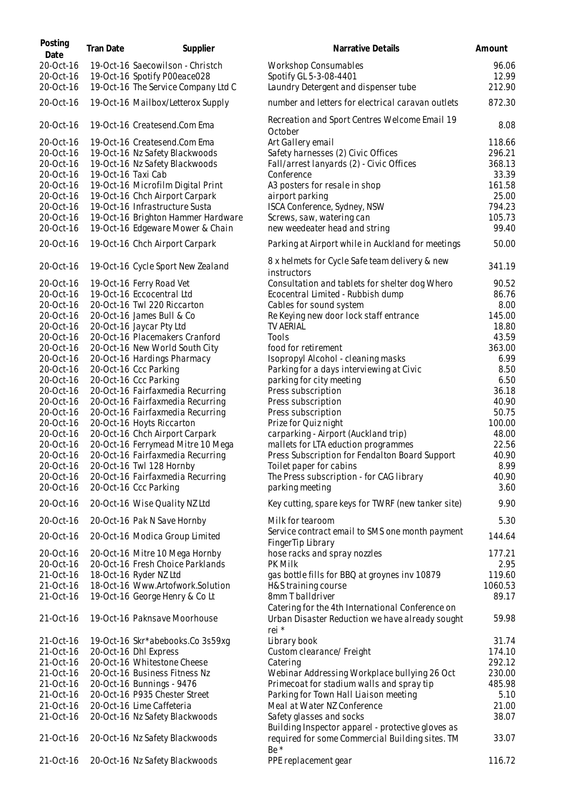| Posting<br>Date        | Tran Date          | Supplier                                                             | Narrative Details                                                             | Amount        |
|------------------------|--------------------|----------------------------------------------------------------------|-------------------------------------------------------------------------------|---------------|
| 20-Oct-16              |                    | 19-Oct-16 Saecowilson - Christch                                     | <b>Workshop Consumables</b>                                                   | 96.06         |
| 20-Oct-16              |                    | 19-Oct-16 Spotify P00eace028                                         | Spotify GL 5-3-08-4401                                                        | 12.99         |
| 20-Oct-16              |                    | 19-Oct-16 The Service Company Ltd C                                  | Laundry Detergent and dispenser tube                                          | 212.90        |
| 20-Oct-16              |                    | 19-Oct-16 Mailbox/Letterox Supply                                    | number and letters for electrical caravan outlets                             | 872.30        |
| 20-Oct-16              |                    | 19-Oct-16 Createsend.Com Ema                                         | Recreation and Sport Centres Welcome Email 19<br>October                      | 8.08          |
| 20-Oct-16              |                    | 19-Oct-16 Createsend.Com Ema                                         | Art Gallery email                                                             | 118.66        |
| 20-Oct-16              |                    | 19-Oct-16 Nz Safety Blackwoods                                       | Safety harnesses (2) Civic Offices                                            | 296.21        |
| 20-Oct-16              |                    | 19-Oct-16 Nz Safety Blackwoods                                       | Fall/arrest lanyards (2) - Civic Offices                                      | 368.13        |
| 20-Oct-16              | 19-Oct-16 Taxi Cab |                                                                      | Conference                                                                    | 33.39         |
| 20-Oct-16              |                    | 19-Oct-16 Microfilm Digital Print                                    | A3 posters for resale in shop                                                 | 161.58        |
| 20-Oct-16              |                    | 19-Oct-16 Chch Airport Carpark                                       | airport parking                                                               | 25.00         |
| 20-Oct-16              |                    | 19-Oct-16 Infrastructure Susta                                       | ISCA Conference, Sydney, NSW                                                  | 794.23        |
| 20-Oct-16              |                    | 19-Oct-16 Brighton Hammer Hardware                                   | Screws, saw, watering can                                                     | 105.73        |
| 20-Oct-16              |                    | 19-Oct-16 Edgeware Mower & Chain                                     | new weedeater head and string                                                 | 99.40         |
| 20-Oct-16              |                    | 19-Oct-16 Chch Airport Carpark                                       | Parking at Airport while in Auckland for meetings                             | 50.00         |
| 20-Oct-16              |                    | 19-Oct-16 Cycle Sport New Zealand                                    | 8 x helmets for Cycle Safe team delivery & new<br>instructors                 | 341.19        |
| 20-Oct-16              |                    | 19-Oct-16 Ferry Road Vet                                             | Consultation and tablets for shelter dog Whero                                | 90.52         |
| 20-Oct-16              |                    | 19-Oct-16 Eccocentral Ltd                                            | Ecocentral Limited - Rubbish dump                                             | 86.76         |
| 20-Oct-16              |                    | 20-Oct-16 Twl 220 Riccarton                                          | Cables for sound system                                                       | 8.00          |
| 20-Oct-16              |                    | 20-Oct-16 James Bull & Co                                            | Re Keying new door lock staff entrance                                        | 145.00        |
| 20-Oct-16              |                    | 20-Oct-16 Jaycar Pty Ltd                                             | TV AERIAL                                                                     | 18.80         |
| 20-Oct-16              |                    | 20-Oct-16 Placemakers Cranford                                       | Tools                                                                         | 43.59         |
| 20-Oct-16              |                    | 20-Oct-16 New World South City                                       | food for retirement                                                           | 363.00        |
| 20-Oct-16              |                    | 20-Oct-16 Hardings Pharmacy                                          | Isopropyl Alcohol - cleaning masks                                            | 6.99          |
| 20-Oct-16              |                    | 20-Oct-16 Ccc Parking                                                | Parking for a days interviewing at Civic                                      | 8.50          |
| 20-Oct-16              |                    | 20-Oct-16 Ccc Parking                                                | parking for city meeting                                                      | 6.50<br>36.18 |
| 20-Oct-16<br>20-Oct-16 |                    | 20-Oct-16 Fairfaxmedia Recurring<br>20-Oct-16 Fairfaxmedia Recurring | Press subscription<br>Press subscription                                      | 40.90         |
| 20-Oct-16              |                    | 20-Oct-16 Fairfaxmedia Recurring                                     | Press subscription                                                            | 50.75         |
| 20-Oct-16              |                    | 20-Oct-16 Hoyts Riccarton                                            | Prize for Quiz night                                                          | 100.00        |
| 20-Oct-16              |                    | 20-Oct-16 Chch Airport Carpark                                       | carparking - Airport (Auckland trip)                                          | 48.00         |
| 20-Oct-16              |                    | 20-Oct-16 Ferrymead Mitre 10 Mega                                    | mallets for LTA eduction programmes                                           | 22.56         |
| 20-Oct-16              |                    | 20-Oct-16 Fairfaxmedia Recurring                                     | Press Subscription for Fendalton Board Support                                | 40.90         |
| 20-Oct-16              |                    | 20-Oct-16 Twl 128 Hornby                                             | Toilet paper for cabins                                                       | 8.99          |
| 20-Oct-16              |                    | 20-Oct-16 Fairfaxmedia Recurring                                     | The Press subscription - for CAG library                                      | 40.90         |
| 20-Oct-16              |                    | 20-Oct-16 Ccc Parking                                                | parking meeting                                                               | 3.60          |
| 20-Oct-16              |                    | 20-Oct-16 Wise Quality NZ Ltd                                        | Key cutting, spare keys for TWRF (new tanker site)                            | 9.90          |
| 20-Oct-16              |                    | 20-Oct-16 Pak N Save Hornby                                          | Milk for tearoom                                                              | 5.30          |
| 20-Oct-16              |                    | 20-Oct-16 Modica Group Limited                                       | Service contract email to SMS one month payment<br>FingerTip Library          | 144.64        |
| 20-Oct-16              |                    | 20-Oct-16 Mitre 10 Mega Hornby                                       | hose racks and spray nozzles                                                  | 177.21        |
| 20-Oct-16              |                    | 20-Oct-16 Fresh Choice Parklands                                     | <b>PK Milk</b>                                                                | 2.95          |
| 21-Oct-16              |                    | 18-Oct-16 Ryder NZ Ltd                                               | gas bottle fills for BBQ at groynes inv 10879                                 | 119.60        |
| 21-Oct-16              |                    | 18-Oct-16 Www.Artofwork.Solution                                     | H&S training course                                                           | 1060.53       |
| 21-Oct-16              |                    | 19-Oct-16 George Henry & Co Lt                                       | 8mm T balldriver<br>Catering for the 4th International Conference on          | 89.17         |
| 21-Oct-16              |                    | 19-Oct-16 Paknsave Moorhouse                                         | Urban Disaster Reduction we have already sought<br>rei *                      | 59.98         |
| 21-Oct-16              |                    | 19-Oct-16 Skr*abebooks.Co 3s59xg                                     | Library book                                                                  | 31.74         |
| 21-Oct-16              |                    | 20-Oct-16 Dhl Express                                                | Custom clearance/ Freight                                                     | 174.10        |
| 21-Oct-16              |                    | 20-Oct-16 Whitestone Cheese                                          | Catering                                                                      | 292.12        |
| 21-Oct-16              |                    | 20-Oct-16 Business Fitness Nz                                        | Webinar Addressing Workplace bullying 26 Oct                                  | 230.00        |
| 21-Oct-16              |                    | 20-Oct-16 Bunnings - 9476                                            | Primecoat for stadium walls and spray tip                                     | 485.98        |
| 21-Oct-16              |                    | 20-Oct-16 P935 Chester Street                                        | Parking for Town Hall Liaison meeting                                         | 5.10          |
| 21-Oct-16              |                    | 20-Oct-16 Lime Caffeteria                                            | Meal at Water NZ Conference                                                   | 21.00         |
| 21-Oct-16              |                    | 20-Oct-16 Nz Safety Blackwoods                                       | Safety glasses and socks<br>Building Inspector apparel - protective gloves as | 38.07         |
| 21-Oct-16              |                    | 20-Oct-16 Nz Safety Blackwoods                                       | required for some Commercial Building sites. TM<br>Be *                       | 33.07         |
| 21-Oct-16              |                    | 20-Oct-16 Nz Safety Blackwoods                                       | PPE replacement gear                                                          | 116.72        |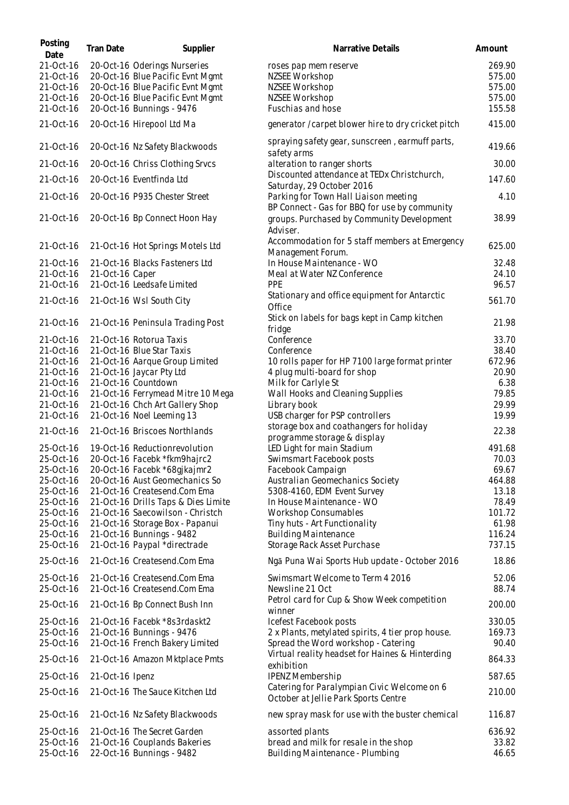| Posting<br>Date        | Tran Date       | Supplier                                                     | Narrative Details                                                                                       | Amount         |
|------------------------|-----------------|--------------------------------------------------------------|---------------------------------------------------------------------------------------------------------|----------------|
| 21-Oct-16              |                 | 20-Oct-16 Oderings Nurseries                                 | roses pap mem reserve                                                                                   | 269.90         |
| 21-Oct-16              |                 | 20-Oct-16 Blue Pacific Evnt Mgmt                             | NZSEE Workshop                                                                                          | 575.00         |
| 21-Oct-16              |                 | 20-Oct-16 Blue Pacific Evnt Mgmt                             | NZSEE Workshop                                                                                          | 575.00         |
| 21-Oct-16              |                 | 20-Oct-16 Blue Pacific Evnt Mgmt                             | NZSEE Workshop                                                                                          | 575.00         |
| 21-Oct-16              |                 | 20-Oct-16 Bunnings - 9476                                    | Fuschias and hose                                                                                       | 155.58         |
| 21-Oct-16              |                 | 20-Oct-16 Hirepool Ltd Ma                                    | generator / carpet blower hire to dry cricket pitch                                                     | 415.00         |
| 21-Oct-16              |                 | 20-Oct-16 Nz Safety Blackwoods                               | spraying safety gear, sunscreen, earmuff parts,<br>safety arms                                          | 419.66         |
| 21-Oct-16              |                 | 20-Oct-16 Chriss Clothing Srvcs                              | alteration to ranger shorts                                                                             | 30.00          |
| 21-Oct-16              |                 | 20-Oct-16 Eventfinda Ltd                                     | Discounted attendance at TEDx Christchurch,                                                             | 147.60         |
| 21-Oct-16              |                 | 20-Oct-16 P935 Chester Street                                | Saturday, 29 October 2016<br>Parking for Town Hall Liaison meeting                                      | 4.10           |
| 21-Oct-16              |                 | 20-Oct-16 Bp Connect Hoon Hay                                | BP Connect - Gas for BBQ for use by community<br>groups. Purchased by Community Development<br>Adviser. | 38.99          |
| 21-Oct-16              |                 | 21-Oct-16 Hot Springs Motels Ltd                             | Accommodation for 5 staff members at Emergency<br>Management Forum.                                     | 625.00         |
| 21-Oct-16              |                 | 21-Oct-16 Blacks Fasteners Ltd                               | In House Maintenance - WO                                                                               | 32.48          |
| 21-Oct-16              | 21-Oct-16 Caper |                                                              | Meal at Water NZ Conference                                                                             | 24.10          |
| 21-Oct-16              |                 | 21-Oct-16 Leedsafe Limited                                   | PPE                                                                                                     | 96.57          |
| 21-Oct-16              |                 | 21-Oct-16 Wsl South City                                     | Stationary and office equipment for Antarctic<br>Office                                                 | 561.70         |
| 21-Oct-16              |                 | 21-Oct-16 Peninsula Trading Post                             | Stick on labels for bags kept in Camp kitchen<br>fridge                                                 | 21.98          |
| 21-Oct-16              |                 | 21-Oct-16 Rotorua Taxis                                      | Conference                                                                                              | 33.70          |
| 21-Oct-16              |                 | 21-Oct-16 Blue Star Taxis                                    | Conference                                                                                              | 38.40          |
| 21-Oct-16              |                 | 21-Oct-16 Aarque Group Limited                               | 10 rolls paper for HP 7100 large format printer                                                         | 672.96         |
| 21-Oct-16              |                 | 21-Oct-16 Jaycar Pty Ltd                                     | 4 plug multi-board for shop                                                                             | 20.90          |
| 21-Oct-16              |                 | 21-Oct-16 Countdown                                          | Milk for Carlyle St                                                                                     | 6.38           |
| 21-Oct-16              |                 | 21-Oct-16 Ferrymead Mitre 10 Mega                            | Wall Hooks and Cleaning Supplies                                                                        | 79.85          |
| 21-Oct-16              |                 | 21-Oct-16 Chch Art Gallery Shop                              | Library book                                                                                            | 29.99          |
| 21-Oct-16              |                 | 21-Oct-16 Noel Leeming 13                                    | USB charger for PSP controllers                                                                         | 19.99          |
| 21-Oct-16              |                 | 21-Oct-16 Briscoes Northlands                                | storage box and coathangers for holiday<br>programme storage & display                                  | 22.38          |
| 25-Oct-16              |                 | 19-Oct-16 Reductionrevolution                                | LED Light for main Stadium                                                                              | 491.68         |
| 25-Oct-16              |                 | 20-Oct-16 Facebk *fkm9hajrc2                                 | Swimsmart Facebook posts                                                                                | 70.03          |
| 25-Oct-16              |                 | 20-Oct-16 Facebk *68gjkajmr2                                 | Facebook Campaign                                                                                       | 69.67          |
| 25-Oct-16              |                 | 20-Oct-16 Aust Geomechanics So                               | Australian Geomechanics Society                                                                         | 464.88         |
| 25-Oct-16              |                 | 21-Oct-16 Createsend.Com Ema                                 | 5308-4160, EDM Event Survey                                                                             | 13.18          |
| 25-Oct-16              |                 | 21-Oct-16 Drills Taps & Dies Limite                          | In House Maintenance - WO                                                                               | 78.49          |
| 25-Oct-16              |                 | 21-Oct-16 Saecowilson - Christch                             | <b>Workshop Consumables</b>                                                                             | 101.72         |
| 25-Oct-16              |                 | 21-Oct-16 Storage Box - Papanui                              | Tiny huts - Art Functionality                                                                           | 61.98          |
| 25-Oct-16              |                 | 21-Oct-16 Bunnings - 9482                                    | <b>Building Maintenance</b>                                                                             | 116.24         |
| 25-Oct-16              |                 | 21-Oct-16 Paypal *directrade                                 | Storage Rack Asset Purchase                                                                             | 737.15         |
| 25-Oct-16              |                 | 21-Oct-16 Createsend.Com Ema                                 | Ngā Puna Wai Sports Hub update - October 2016                                                           | 18.86          |
| 25-Oct-16<br>25-Oct-16 |                 | 21-Oct-16 Createsend.Com Ema<br>21-Oct-16 Createsend.Com Ema | Swimsmart Welcome to Term 4 2016<br>Newsline 21 Oct                                                     | 52.06<br>88.74 |
| 25-Oct-16              |                 | 21-Oct-16 Bp Connect Bush Inn                                | Petrol card for Cup & Show Week competition<br>winner                                                   | 200.00         |
| 25-Oct-16              |                 | 21-Oct-16 Facebk *8s3rdaskt2                                 | Icefest Facebook posts                                                                                  | 330.05         |
| 25-Oct-16              |                 | 21-Oct-16 Bunnings - 9476                                    | 2 x Plants, metylated spirits, 4 tier prop house.                                                       | 169.73         |
| 25-Oct-16              |                 | 21-Oct-16 French Bakery Limited                              | Spread the Word workshop - Catering                                                                     | 90.40          |
| 25-Oct-16              |                 | 21-Oct-16 Amazon Mktplace Pmts                               | Virtual reality headset for Haines & Hinterding<br>exhibition                                           | 864.33         |
| 25-Oct-16              | 21-Oct-16 Ipenz |                                                              | <b>IPENZ Membership</b>                                                                                 | 587.65         |
| 25-Oct-16              |                 | 21-Oct-16 The Sauce Kitchen Ltd                              | Catering for Paralympian Civic Welcome on 6<br>October at Jellie Park Sports Centre                     | 210.00         |
| 25-Oct-16              |                 | 21-Oct-16 Nz Safety Blackwoods                               | new spray mask for use with the buster chemical                                                         | 116.87         |
| 25-Oct-16              |                 | 21-Oct-16 The Secret Garden                                  | assorted plants                                                                                         | 636.92         |
| 25-Oct-16<br>25-Oct-16 |                 | 21-Oct-16 Couplands Bakeries<br>22-Oct-16 Bunnings - 9482    | bread and milk for resale in the shop<br>Building Maintenance - Plumbing                                | 33.82<br>46.65 |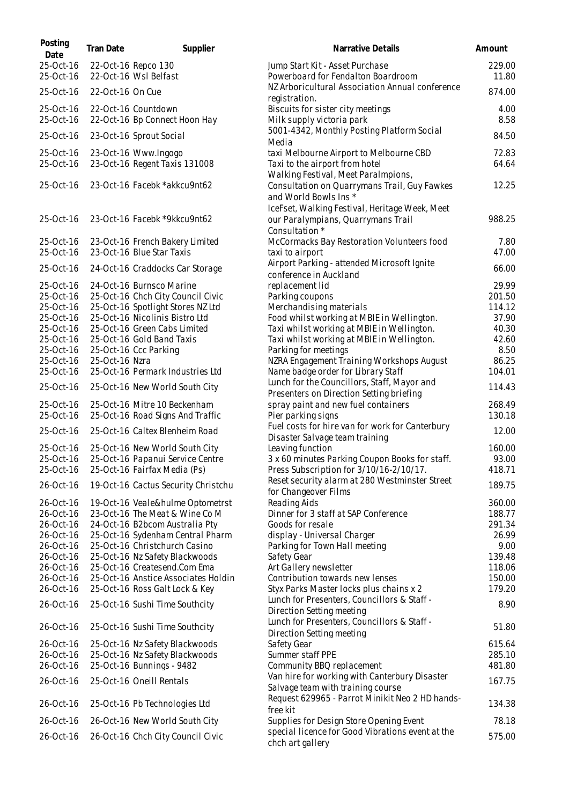| Posting<br>Date        | <b>Tran Date</b> | Supplier                                                         | Narrative Details                                                                                                | Amount           |
|------------------------|------------------|------------------------------------------------------------------|------------------------------------------------------------------------------------------------------------------|------------------|
| 25-Oct-16<br>25-Oct-16 |                  | 22-Oct-16 Repco 130<br>22-Oct-16 Wsl Belfast                     | Jump Start Kit - Asset Purchase<br>Powerboard for Fendalton Boardroom                                            | 229.00<br>11.80  |
| 25-Oct-16              | 22-Oct-16 On Cue |                                                                  | NZ Arboricultural Association Annual conference<br>registration.                                                 | 874.00           |
| 25-Oct-16<br>25-Oct-16 |                  | 22-Oct-16 Countdown<br>22-Oct-16 Bp Connect Hoon Hay             | Biscuits for sister city meetings<br>Milk supply victoria park                                                   | 4.00<br>8.58     |
| 25-Oct-16              |                  | 23-Oct-16 Sprout Social                                          | 5001-4342, Monthly Posting Platform Social<br>Media                                                              | 84.50            |
| 25-Oct-16<br>25-Oct-16 |                  | 23-Oct-16 Www.Ingogo<br>23-Oct-16 Regent Taxis 131008            | taxi Melbourne Airport to Melbourne CBD<br>Taxi to the airport from hotel<br>Walking Festival, Meet Paralmpions, | 72.83<br>64.64   |
| 25-Oct-16              |                  | 23-Oct-16 Facebk *akkcu9nt62                                     | Consultation on Quarrymans Trail, Guy Fawkes<br>and World Bowls Ins *                                            | 12.25            |
| 25-Oct-16              |                  | 23-Oct-16 Facebk *9kkcu9nt62                                     | IceFset, Walking Festival, Heritage Week, Meet<br>our Paralympians, Quarrymans Trail<br>Consultation *           | 988.25           |
| 25-Oct-16<br>25-Oct-16 |                  | 23-Oct-16 French Bakery Limited<br>23-Oct-16 Blue Star Taxis     | McCormacks Bay Restoration Volunteers food<br>taxi to airport                                                    | 7.80<br>47.00    |
| 25-Oct-16              |                  | 24-Oct-16 Craddocks Car Storage                                  | Airport Parking - attended Microsoft Ignite<br>conference in Auckland                                            | 66.00            |
| 25-Oct-16<br>25-Oct-16 |                  | 24-Oct-16 Burnsco Marine<br>25-Oct-16 Chch City Council Civic    | replacement lid<br>Parking coupons                                                                               | 29.99<br>201.50  |
| 25-Oct-16              |                  | 25-Oct-16 Spotlight Stores NZ Ltd                                | Merchandising materials                                                                                          | 114.12           |
| 25-Oct-16              |                  | 25-Oct-16 Nicolinis Bistro Ltd                                   | Food whilst working at MBIE in Wellington.                                                                       | 37.90            |
| 25-Oct-16              |                  | 25-Oct-16 Green Cabs Limited                                     | Taxi whilst working at MBIE in Wellington.                                                                       | 40.30            |
| 25-Oct-16              |                  | 25-Oct-16 Gold Band Taxis                                        | Taxi whilst working at MBIE in Wellington.                                                                       | 42.60            |
| 25-Oct-16              |                  | 25-Oct-16 Ccc Parking                                            | Parking for meetings                                                                                             | 8.50             |
| 25-Oct-16              | 25-Oct-16 Nzra   |                                                                  | NZRA Engagement Training Workshops August                                                                        | 86.25            |
| 25-Oct-16              |                  | 25-Oct-16 Permark Industries Ltd                                 | Name badge order for Library Staff                                                                               | 104.01           |
| 25-Oct-16              |                  | 25-Oct-16 New World South City                                   | Lunch for the Councillors, Staff, Mayor and<br>Presenters on Direction Setting briefing                          | 114.43           |
| 25-Oct-16<br>25-Oct-16 |                  | 25-Oct-16 Mitre 10 Beckenham<br>25-Oct-16 Road Signs And Traffic | spray paint and new fuel containers<br>Pier parking signs                                                        | 268.49<br>130.18 |
| 25-Oct-16              |                  | 25-Oct-16 Caltex Blenheim Road                                   | Fuel costs for hire van for work for Canterbury<br>Disaster Salvage team training                                | 12.00            |
| 25-Oct-16              |                  | 25-Oct-16 New World South City                                   | Leaving function                                                                                                 | 160.00           |
| 25-Oct-16              |                  | 25-Oct-16 Papanui Service Centre                                 | 3 x 60 minutes Parking Coupon Books for staff.                                                                   | 93.00            |
| 25-Oct-16              |                  | 25-Oct-16 Fairfax Media (Ps)                                     | Press Subscription for 3/10/16-2/10/17.                                                                          | 418.71           |
| 26-Oct-16              |                  | 19-Oct-16 Cactus Security Christchu                              | Reset security alarm at 280 Westminster Street<br>for Changeover Films                                           | 189.75           |
| 26-Oct-16              |                  | 19-Oct-16 Veale&hulme Optometrst                                 | Reading Aids                                                                                                     | 360.00           |
| 26-Oct-16              |                  | 23-Oct-16 The Meat & Wine Co M                                   | Dinner for 3 staff at SAP Conference                                                                             | 188.77           |
| 26-Oct-16              |                  | 24-Oct-16 B2bcom Australia Pty                                   | Goods for resale                                                                                                 | 291.34           |
| 26-Oct-16              |                  | 25-Oct-16 Sydenham Central Pharm                                 | display - Universal Charger                                                                                      | 26.99            |
| 26-Oct-16              |                  | 25-Oct-16 Christchurch Casino                                    | Parking for Town Hall meeting                                                                                    | 9.00             |
| 26-Oct-16              |                  | 25-Oct-16 Nz Safety Blackwoods                                   | Safety Gear                                                                                                      | 139.48           |
| 26-Oct-16              |                  | 25-Oct-16 Createsend.Com Ema                                     | Art Gallery newsletter                                                                                           | 118.06           |
| 26-Oct-16              |                  | 25-Oct-16 Anstice Associates Holdin                              | Contribution towards new lenses                                                                                  | 150.00           |
| 26-Oct-16              |                  | 25-Oct-16 Ross Galt Lock & Key                                   | Styx Parks Master locks plus chains x 2                                                                          | 179.20           |
| 26-Oct-16              |                  | 25-Oct-16 Sushi Time Southcity                                   | Lunch for Presenters, Councillors & Staff -<br>Direction Setting meeting                                         | 8.90             |
| 26-Oct-16              |                  | 25-Oct-16 Sushi Time Southcity                                   | Lunch for Presenters, Councillors & Staff -<br>Direction Setting meeting                                         | 51.80            |
| 26-Oct-16              |                  | 25-Oct-16 Nz Safety Blackwoods                                   | Safety Gear                                                                                                      | 615.64           |
| 26-Oct-16              |                  | 25-Oct-16 Nz Safety Blackwoods                                   | Summer staff PPE                                                                                                 | 285.10           |
| 26-Oct-16              |                  | 25-Oct-16 Bunnings - 9482                                        | Community BBQ replacement                                                                                        | 481.80           |
| 26-Oct-16              |                  | 25-Oct-16 Oneill Rentals                                         | Van hire for working with Canterbury Disaster<br>Salvage team with training course                               | 167.75           |
| 26-Oct-16              |                  | 25-Oct-16 Pb Technologies Ltd                                    | Request 629965 - Parrot Minikit Neo 2 HD hands-<br>free kit                                                      | 134.38           |
| 26-Oct-16              |                  | 26-Oct-16 New World South City                                   | Supplies for Design Store Opening Event                                                                          | 78.18            |
| 26-Oct-16              |                  | 26-Oct-16 Chch City Council Civic                                | special licence for Good Vibrations event at the<br>chch art gallery                                             | 575.00           |